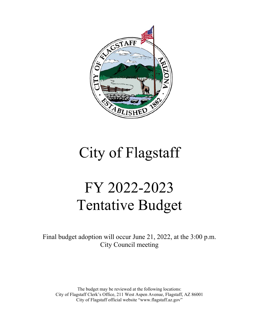

# City of Flagstaff

# FY 2022-2023 Tentative Budget

Final budget adoption will occur June 21, 2022, at the 3:00 p.m. City Council meeting

The budget may be reviewed at the following locations: City of Flagstaff Clerk's Office, 211 West Aspen Avenue, Flagstaff, AZ 86001 City of Flagstaff official website "www.flagstaff.az.gov"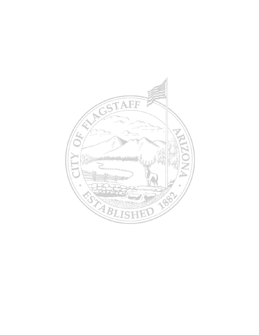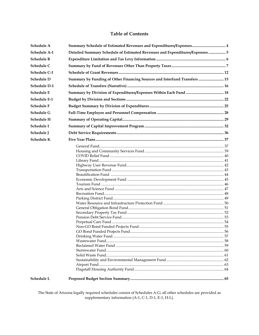## **Table of Contents**

| <b>Schedule A</b> |                                                                             |  |
|-------------------|-----------------------------------------------------------------------------|--|
| Schedule A-1      | Detailed Summary Schedule of Estimated Revenues and Expenditures/Expenses 5 |  |
| <b>Schedule B</b> |                                                                             |  |
| <b>Schedule C</b> |                                                                             |  |
| Schedule C-1      |                                                                             |  |
| <b>Schedule D</b> | Summary by Funding of Other Financing Sources and Interfund Transfers  15   |  |
| Schedule D-1      |                                                                             |  |
| <b>Schedule E</b> |                                                                             |  |
|                   |                                                                             |  |
| Schedule E-1      |                                                                             |  |
| <b>Schedule F</b> |                                                                             |  |
| <b>Schedule G</b> |                                                                             |  |
| Schedule H        |                                                                             |  |
| Schedule I        |                                                                             |  |
| Schedule J        |                                                                             |  |
| <b>Schedule K</b> |                                                                             |  |
|                   |                                                                             |  |
|                   |                                                                             |  |
|                   |                                                                             |  |
|                   |                                                                             |  |
|                   |                                                                             |  |
|                   |                                                                             |  |
|                   |                                                                             |  |
|                   |                                                                             |  |
|                   |                                                                             |  |
|                   |                                                                             |  |
|                   |                                                                             |  |
|                   |                                                                             |  |
|                   |                                                                             |  |
|                   |                                                                             |  |
|                   |                                                                             |  |
|                   |                                                                             |  |
|                   |                                                                             |  |
|                   |                                                                             |  |
|                   |                                                                             |  |
|                   |                                                                             |  |
|                   |                                                                             |  |
|                   |                                                                             |  |
|                   |                                                                             |  |
|                   |                                                                             |  |
|                   |                                                                             |  |
|                   |                                                                             |  |
| Schedule L        |                                                                             |  |

The State of Arizona legally required schedules consist of Schedules A-G; all other schedules are provided as supplementary information (A-1, C-1, D-1, E-1, H-L).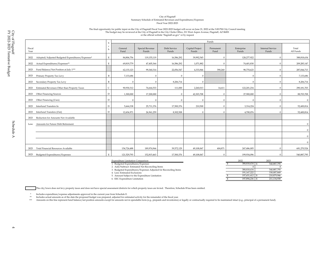#### City of Flagstaff Summary Schedule of Estimated Revenues and Expenditures/Expenses Fiscal Year 2022-2023

#### The final opportunity for public input on the City of Flagstaff Fiscal Year 2022-2023 budget will occur on June 21, 2022 at the 3:00 PM City Council meeting The budget may be reviewed at the City of Flagstaff in the City Clerks Office, 211 West Aspen Avenue, Flagstaff, AZ 86001 or the official website "flagstaff.az.gov" or by request

|                                                          | S          | Funds           |                                 |                       |                          |                   |                     |                                  |                    |
|----------------------------------------------------------|------------|-----------------|---------------------------------|-----------------------|--------------------------|-------------------|---------------------|----------------------------------|--------------------|
| Fiscal<br>Year                                           | $\epsilon$ | General<br>Fund | <b>Special Revenue</b><br>Funds | Debt Service<br>Funds | Capital Project<br>Funds | Permanent<br>Fund | Enterprise<br>Funds | <b>Internal Service</b><br>Funds | Total<br>All Funds |
| Adopted/Adjusted Budgeted Expenditures/Expenses*<br>2022 | E          | 84,806,756      | 119,155,119                     | 16,586,292            | 39,992,545               | $\Omega$          | 128,277,922         |                                  | 388,818,634        |
| Actual Expenditures/Expenses**<br>2022                   | Е          | 69,819,779      | 47,405,364                      | 16,586,292            | 1,071,882                | $\Omega$          | 74,401,830          |                                  | 209,285,147        |
| Fund Balance/Net Position at July 1***<br>2023           |            | 62,133,123      | 99,360,314                      | 22,056,547            | 4,333,846                | 390,260           | 98,770,623          |                                  | 287,044,713        |
| Primary Property Tax Levy<br>2023                        | B          | 7,133,686       | $\Omega$                        | $\Omega$              | $\Omega$                 |                   |                     |                                  | 7,133,686          |
| Secondary Property Tax Levy<br>2023                      | B          | $\Omega$        | $\Omega$                        | 8,206,714             | $\Omega$                 |                   |                     |                                  | 8,206,714          |
| Estimated Revenues Other than Property Taxes<br>2023     | C          | 90,930,312      | 74,664,533                      | 111,000               | 2,260,013                | 14,611            | 122,201,234         |                                  | 290,181,703        |
| Other Financing Sources<br>2023                          | D          | 1,300,000       | 17,200,000                      | $\Omega$              | 42,303,708               | $\overline{0}$    | 27,900,000          |                                  | 88,703,708         |
| Other Financing (Uses)<br>2023                           | D          | $\Omega$        |                                 |                       |                          | $\Omega$          |                     |                                  | $\Omega$           |
| Interfund Transfers In<br>2023                           | D          | 5,664,338       | 25,711,376                      | 17,500,376            | 210,500                  | $\mathbf{0}$      | 3,314,224           |                                  | 52,400,814         |
| Interfund Transfers (Out)<br>2023                        | D          | 12,436,971      | 26,961,259                      | 8,302,508             | $\Omega$                 | $\overline{0}$    | 4,700,076           |                                  | 52,400,814         |
| Reduction for Amounts Not Available<br>2023              |            |                 |                                 |                       |                          |                   |                     |                                  |                    |
| Amounts for Future Debt Retirement<br>Less:              |            |                 |                                 |                       |                          |                   |                     |                                  | $\Omega$           |
|                                                          |            |                 |                                 |                       |                          |                   |                     |                                  | $\Omega$           |
|                                                          |            |                 |                                 |                       |                          |                   |                     |                                  | $\Omega$           |
|                                                          |            |                 |                                 |                       |                          |                   |                     |                                  | $\Omega$           |
| <b>Total Financial Resources Available</b><br>2023       |            | 154,724,488     | 189,974,964                     | 39,572,129            | 49,108,067               | 404,871           | 247,486,005         |                                  | 681,270,524        |
| 2023<br>Budgeted Expenditures/Expenses                   | E          | 121,529,793     | 152,815,463                     | 17,500,376            | 49,108,067               | $\overline{0}$    | 199,934,096         | 0                                | 540,887,795        |

4. Less: Estimated Exclusions

6. EEC Expenditure Limitation



The city/town does not levy property taxes and does not have special assessment districts for which property taxes are levied. Therefore, Schedule B has been omitted.

\*Includes expenditure/expense adjustments approved in the current year from Schedule E.

 \*\*Includes actual amounts as of the date the proposed budget was prepared, adjusted for estimated activity for the remainder of the fiscal year.

\*\*\* Amounts on this line represent fund balance/net position amounts except for amounts not in spendable form (e.g., prepaids and inventories) or legally or contractually required to be maintained intact (e.g., principal o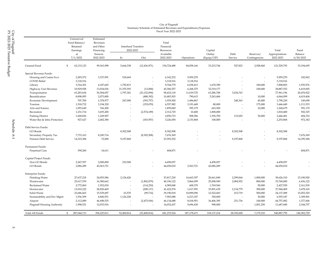|                                    | Unreserved        | Estimated   |                            |                |             |             |                          |                          |                          |                |             |
|------------------------------------|-------------------|-------------|----------------------------|----------------|-------------|-------------|--------------------------|--------------------------|--------------------------|----------------|-------------|
|                                    | Fund Balance/     | Revenues    |                            |                | Total       |             |                          |                          |                          |                |             |
|                                    | Retained          | and Other   | <b>Interfund Transfers</b> |                | Financial   |             |                          |                          |                          |                |             |
|                                    | Earnings          | Financing   | 2022-2023                  |                | Resources   |             | Capital                  |                          |                          | Total          | Fund        |
|                                    | at                | Sources     |                            |                | Available   |             | Outlay                   | Debt                     | Reserves/                | Appropriations | Balance     |
|                                    | 7/1/2022          | 2022-2023   | In                         | Out            | 2022-2023   | Operations  | (Equip/CIP)              | Service                  | Contingencies            | 2022-2023      | 6/30/2023   |
| General Fund                       | \$<br>62,133,123  | 99,363,998  | 5,664,338                  | (12, 436, 971) | 154,724,488 | 84,858,166  | 33,215,744               | 527,823                  | 2,928,060                | 121,529,793    | 33,194,695  |
| Special Revenue Funds:             |                   |             |                            |                |             |             |                          |                          |                          |                |             |
| Housing and Comm Svcs              | 2,285,572         | 3,337,991   | 518,669                    |                | 6,142,232   | 5,959,270   |                          |                          |                          | 5,959,270      | 182,962     |
| <b>COVID Relief</b>                | 3,118,516         |             |                            |                | 3,118,516   | 3,118,516   |                          |                          |                          | 3,118,516      |             |
| Library                            | 3,764,301         | 4,187,665   | 1,792,813                  |                | 9,744,779   | 6,038,413   | 1,670,390                |                          | 100,000                  | 7,808,803      | 1,935,976   |
| Highway User Revenue               | 10,929,928        | 13,034,036  | 21,355,593                 | (13,000)       | 45,306,557  | 6,268,375   | 32,519,177               |                          | 100,000                  | 38,887,552     | 6,419,005   |
| Transportation                     | 63,283,654        | 56,504,057  | 1,797,301                  | (23, 152, 894) | 98,432,118  | 11,639,725  | 63,286,708               | 3,034,763                | $\overline{\phantom{a}}$ | 77,961,196     | 20,470,922  |
| Beautification                     | 8,898,095         | 2,073,800   |                            | (488, 392)     | 10,483,503  | 790,615     | 5,263,484                |                          | 10,000                   | 6,064,099      | 4,419,404   |
| Economic Development               | 707,700           | 1,378,977   | 247,000                    | (393, 757)     | 1,939,920   | 1,496,867   | $\overline{\phantom{a}}$ | 248,363                  | 45,000                   | 1,790,230      | 149,690     |
| Tourism                            | 1,518,732         | 3,194,320   |                            | (155,070)      | 4,557,982   | 3,191,449   | 80,000                   |                          | 175,000                  | 3,446,449      | 1,111,533   |
| Arts and Science                   | 1,093,649         | 766,200     |                            |                | 1,859,849   | 595,179     | 663,500                  |                          | 10,000                   | 1,268,679      | 591,170     |
| Recreation                         | 1,231,714         | 3,655,200   |                            | (2,574,189)    | 2,312,725   | 10,400      | 1,800,000                |                          | $\overline{\phantom{a}}$ | 1,810,400      | 502,325     |
| Parking District                   | 1,600,826         | 1,249,907   |                            |                | 2,850,733   | 908,586     | 1,392,790                | 115,025                  | 30,000                   | 2,446,401      | 404,332     |
| Water Res & Infra Protection       | 927,627           | 2,482,380   |                            | (183, 957)     | 3,226,050   | 2,153,868   | 100,000                  |                          |                          | 2,253,868      | 972,182     |
| Debt Service Funds:                |                   |             |                            |                |             |             |                          |                          |                          |                |             |
| GO Bonds                           |                   |             | 8,302,508                  |                | 8,302,508   |             |                          | 8,302,508                |                          | 8,302,508      |             |
| Secondary Property Tax             | 7,733,163         | 8,245,714   |                            | (8,302,508)    | 7,676,369   |             |                          |                          |                          |                | 7,676,369   |
| <b>Pension Debt Service</b>        | 14,323,384        | 72,000      | 9,197,868                  |                | 23,593,252  |             |                          | 9,197,868                |                          | 9,197,868      | 14,395,384  |
| Permanent Funds:                   |                   |             |                            |                |             |             |                          |                          |                          |                |             |
| Perpetual Care                     | 390,260           | 14,611      |                            |                | 404,871     |             |                          |                          |                          |                | 404,871     |
| Capital Project Funds:             |                   |             |                            |                |             |             |                          |                          |                          |                |             |
| Non GO Bonds                       | 2,247,557         | 2,000,000   | 210,500                    |                | 4,458,057   |             | 4,458,057                |                          |                          | 4,458,057      |             |
| GO Bonds                           | 2,086,289         | 42,563,721  |                            |                | 44,650,010  | 2,563,721   | 42,086,289               |                          |                          | 44,650,010     |             |
| Enterprise Funds:                  |                   |             |                            |                |             |             |                          |                          |                          |                |             |
| Drinking Water                     | 27,637,218        | 24,055,586  | 2,124,426                  |                | 53,817,230  | 14,665,397  | 20,661,849               | 2,299,064                | 1,000,000                | 38,626,310     | 15,190,920  |
| Wastewater                         | 25,617,539        | 16,380,662  |                            | (1,802,079)    | 40,196,122  | 5,866,099   | 25,008,949               | 2,084,952                | 800,000                  | 33,760,000     | 6,436,122   |
| Reclaimed Water                    | 2,772,060         | 1,932,018   | $\overline{\phantom{a}}$   | (114, 230)     | 4,589,848   | 608,370     | 1,769,560                | $\overline{\phantom{a}}$ | 50,000                   | 2,427,930      | 2,161,918   |
| Stormwater                         | 13,010,222        | 28,820,469  |                            | (208, 117)     | 41,622,574  | 1,617,991   | 33,891,639               | 2,134,779                | 300,000                  | 37,944,409     | 3,678,165   |
| Solid Waste                        | 23,686,665        | 15,539,497  | 63,570                     | (99, 714)      | 39,190,018  | 10,899,096  | 12,522,683               | 215,719                  | 500,000                  | 24,137,498     | 15,052,520  |
| Sustainability and Env Mgmt        | 1,936,309         | 4,840,551   | 1,126,228                  |                | 7,903,088   | 6,213,187   | 350,000                  |                          | 30,000                   | 6,593,187      | 1,309,901   |
| Airport                            | 2,112,089         | 46,498,535  |                            | (2,475,936)    | 46,134,688  | 8,018,951   | 36,406,395               | 231,736                  | 100,000                  | 44,757,082     | 1,377,606   |
| <b>Flagstaff Housing Authority</b> | 1,998,521         | 12,033,916  |                            |                | 14,032,437  | 9,696,430   | 990,000                  |                          | 1,001,250                | 11,687,680     | 2,344,757   |
| Total All Funds                    | 287,044,713<br>\$ | 394,225,811 | 52,400,814                 | (52,400,814)   | 681,270,524 | 187,178,671 | 318,137,214              | 28,392,600               | 7,179,310                | 540,887,795    | 140,382,729 |

## City of Flagstaff Summary Schedule of Estimated Revenues and Expenditures/Expenses Fiscal Year 2022-2023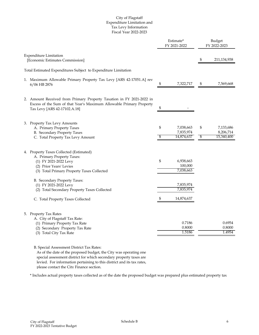## City of Flagstaff Expenditure Limitation and Tax Levy Information Fiscal Year 2022-2023

|                                                                                                                                                                             |          | Estimate*<br>FY 2021-2022            | Budget<br>FY 2022-2023 |                                      |  |
|-----------------------------------------------------------------------------------------------------------------------------------------------------------------------------|----------|--------------------------------------|------------------------|--------------------------------------|--|
| <b>Expenditure Limitation</b><br>[Economic Estimates Commission]                                                                                                            |          |                                      | S                      | 211,134,938                          |  |
| Total Estimated Expenditures Subject to Expenditure Limitation                                                                                                              |          |                                      |                        |                                      |  |
| 1. Maximum Allowable Primary Property Tax Levy [ARS 42-17051.A] rev<br>6/06 HB 2876                                                                                         | \$       | 7,322,717                            | \$                     | 7,569,668                            |  |
| 2. Amount Received from Primary Property Taxation in FY 2021-2022 in<br>Excess of the Sum of that Year's Maximum Allowable Primary Property<br>Tax Levy [ARS 42-17102.A.18] | \$       |                                      |                        |                                      |  |
| 3. Property Tax Levy Amounts<br>A. Primary Property Taxes<br><b>B.</b> Secondary Property Taxes<br>C. Total Property Tax Levy Amount                                        | \$<br>\$ | 7,038,663<br>7,835,974<br>14,874,637 | \$<br>\$               | 7,133,686<br>8,206,714<br>15,340,400 |  |
| 4. Property Taxes Collected (Estimated)<br>A. Primary Property Taxes:<br>(1) FY 2021-2022 Levy<br>(2) Prior Years' Levies<br>(3) Total Primary Property Taxes Collected     | \$       | 6,938,663<br>100,000<br>7,038,663    |                        |                                      |  |
| B. Secondary Property Taxes:<br>(1) FY 2021-2022 Levy<br>(2) Total Secondary Property Taxes Collected<br>C. Total Property Taxes Collected                                  | \$       | 7,835,974<br>7,835,974<br>14,874,637 |                        |                                      |  |
| 5. Property Tax Rates<br>A. City of Flagstaff Tax Rate:<br>(1) Primary Property Tax Rate<br>(2) Secondary Property Tax Rate<br>(3) Total City Tax Rate                      |          | 0.7186<br>0.8000<br>1.5186           |                        | 0.6954<br>0.8000<br>1.4954           |  |

B. Special Assessment District Tax Rates:

As of the date of the proposed budget, the City was operating one special assessment district for which secondary property taxes are levied. For information pertaining to this district and its tax rates, please contact the City Finance section.

\* Includes actual property taxes collected as of the date the proposed budget was prepared plus estimated property tax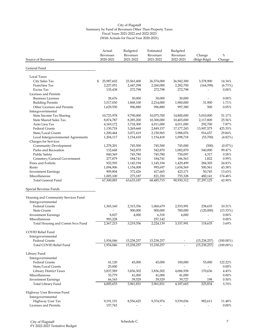| Source of Revenues                                         | Actual<br>Revenues<br>2020-2021 | Budgeted<br>Revenues<br>2021-2022 | Estimated<br>Revenues<br>2021-2022 | Budgeted<br>Revenues<br>2022-2023 | Change<br>(Bdgt-Bdgt)    | $\%$<br>Change  |
|------------------------------------------------------------|---------------------------------|-----------------------------------|------------------------------------|-----------------------------------|--------------------------|-----------------|
| General Fund                                               |                                 |                                   |                                    |                                   |                          |                 |
| Local Taxes                                                |                                 |                                   |                                    |                                   |                          |                 |
| City Sales Tax                                             | \$<br>25,987,602                | 23,563,400                        | 26,574,000                         | 26,942,300                        | 3,378,900                | 14.34%          |
| Franchise Tax                                              | 2,227,051                       | 2,447,298                         | 2,260,000                          | 2,282,700                         | (164, 598)               | $(6.73\%)$      |
| <b>Excise Tax</b>                                          | 135,438                         | 272,798                           | 272,798                            | 272,798                           |                          | $0.00\%$        |
| Licenses and Permits                                       |                                 |                                   |                                    |                                   |                          |                 |
| <b>Business Licenses</b>                                   | 28,676                          | 30,000                            | 30,000                             | 30,000                            |                          | $0.00\%$        |
| <b>Building Permits</b>                                    | 3,517,030                       | 1,868,100                         | 2,214,000                          | 1,900,000                         | 31,900                   | 1.71%           |
| Other Licenses and Permits<br>Intergovernmental            | 1,629,550                       | 996,880                           | 996,880                            | 997,380                           | 500                      | 0.05%           |
| State Income Tax Sharing                                   | 10,723,978                      | 9,790,000                         | 10,075,700                         | 14,800,000                        | 5,010,000                | 51.17%          |
| <b>State Shared Sales Tax</b>                              | 8,874,787                       | 8,285,200                         | 10,300,000                         | 10,403,000                        | 2,117,800                | 25.56%          |
| Auto Lieu Tax                                              | 4,169,172                       | 3,718,300                         | 4,011,000                          | 4,011,000                         | 292,700                  | 7.87%           |
| <b>Federal Grants</b>                                      | 1,130,718                       | 3,269,668                         | 2,849,157                          | 17,177,243                        | 13,907,575               | 425.35%         |
| State/Local Grants                                         | 1,200,444                       | 3,071,419                         | 2,150,965                          | 3,988,076                         | 916,657                  | 29.84%          |
| Local Intergovernmental Agreements<br>Charges for Services | 1,204,117                       | 1,154,418                         | 1,154,418                          | 1,098,718                         | (55,700)                 | $(4.82\%)$      |
| Community Development                                      | 1,278,201                       | 745,500                           | 745,500                            | 745,000                           | (500)                    | $(0.07\%)$      |
| Parks and Recreation                                       | 132,668                         | 542,870                           | 542,870                            | 1,082,870                         | 540,000                  | 99.47%          |
| <b>Public Safety</b>                                       | 840,369                         | 745,780                           | 745,780                            | 750,097                           | 4,317                    | 0.58%           |
| Cemetery/General Government<br>Fines and Forfeits          | 277,879                         | 184,741                           | 184,741                            | 186,563                           | 1,822                    | 0.99%<br>24.83% |
| Rents                                                      | 932,593<br>1,094,906            | 1,145,194<br>1,154,008            | 1,145,194<br>993,697               | 1,429,499<br>1,654,569            | 284,305<br>500,561       | 43.38%          |
| <b>Investment Earnings</b>                                 | 909,804                         | 372,426                           | 417,665                            | 423,171                           | 50,745                   | 13.63%          |
| Miscellaneous                                              | 1,005,100                       | 275,187                           | 821,350                            | 755,328                           | 480,141                  | 174.48%         |
| <b>Total General Fund</b>                                  | 67,300,083                      | 63,633,187                        | 68,485,715                         | 90,930,312                        | 27,297,125               | 42.90%          |
| Special Revenue Funds                                      |                                 |                                   |                                    |                                   |                          |                 |
|                                                            |                                 |                                   |                                    |                                   |                          |                 |
| Housing and Community Services Fund<br>Intergovernmental   |                                 |                                   |                                    |                                   |                          |                 |
| <b>Federal Grants</b>                                      | 1,365,160                       | 2,315,356                         | 1,060,679                          | 2,553,991                         | 238,635                  | 10.31%          |
| <b>State Grants</b>                                        |                                 | 900,000                           | 900,000                            | 780,000                           | (120,000)                | (13.33%)        |
| <b>Investment Earnings</b>                                 | 8,827                           | 4,000                             | 6,318                              | 4,000                             | $\overline{a}$           | 0.00%           |
| Miscellaneous                                              | 993,228                         | $\overline{a}$                    | 257,142                            | $\overline{\phantom{a}}$          |                          | 0.00%           |
| Total Housing and Comm Svcs Fund                           | 2,367,215                       | 3,219,356                         | 2,224,139                          | 3,337,991                         | 118,635                  | 3.69%           |
| <b>COVID Relief Fund</b>                                   |                                 |                                   |                                    |                                   |                          |                 |
| Intergovernmental<br>Federal Grants                        | 1,934,046                       | 15,238,257                        | 15,238,257                         |                                   | (15, 238, 257)           | $(100.00\%)$    |
| Total COVID Relief Fund                                    | 1,934,046                       | 15,238,257                        | 15,238,257                         |                                   | (15,238,257)             | $(100.00\%)$    |
| Library Fund                                               |                                 |                                   |                                    |                                   |                          |                 |
| Intergovernmental                                          |                                 |                                   |                                    |                                   |                          |                 |
| <b>Federal Grants</b>                                      | 41,120                          | 45,000                            | 45,000                             | 100,000                           | 55,000                   | 122.22%         |
| State/Local Grants                                         | 25,000                          |                                   |                                    |                                   |                          | $0.00\%$        |
| Library District Taxes                                     | 3,837,589                       | 3,836,302                         | 3,836,302                          | 4,006,938                         | 170,636                  | 4.45%           |
| Miscellaneous                                              | 35,779                          | 41,000                            | 41,000                             | 41,000                            |                          | $0.00\%$        |
| <b>Investment Earnings</b><br>Total Library Fund           | 66,165<br>4,005,653             | 39,529<br>3,961,831               | 39,529<br>3,961,831                | 39,727<br>4,187,665               | 198<br>225,834           | 0.50%<br>5.70%  |
| Highway User Revenue Fund                                  |                                 |                                   |                                    |                                   |                          |                 |
| Intergovernmental                                          |                                 |                                   |                                    |                                   |                          |                 |
| Highway User Tax                                           | 9,191,151                       | 8,556,425                         | 9,374,974                          | 9,539,036                         | 982,611                  | 11.48%          |
| Licenses and Permits                                       | 157,743                         |                                   |                                    |                                   | $\overline{\phantom{a}}$ | $0.00\%$        |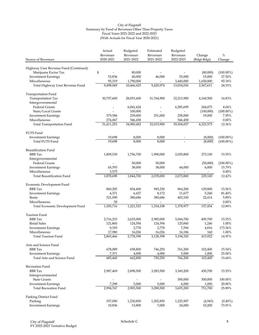| Source of Revenues                                         | Actual<br>Revenues<br>2020-2021 | Budgeted<br>Revenues<br>2021-2022 | Estimated<br>Revenues<br>2021-2022    | Budgeted<br>Revenues<br>2022-2023 | Change<br>(Bdgt-Bdgt)    | $\%$<br>Change   |
|------------------------------------------------------------|---------------------------------|-----------------------------------|---------------------------------------|-----------------------------------|--------------------------|------------------|
|                                                            |                                 |                                   |                                       |                                   |                          |                  |
| Highway User Revenue Fund (Continued)                      |                                 |                                   |                                       |                                   |                          |                  |
| Marijuana Excise Tax                                       | \$                              | 80,000                            |                                       |                                   | (80,000)                 | $(100.00\%)$     |
| <b>Investment Earnings</b>                                 | 53,836                          | 40,000                            | 46,000                                | 55,000                            | 15,000                   | 37.50%           |
| Miscellaneous<br>Total Highway User Revenue Fund           | 95,319<br>9,498,049             | 1,790,000<br>10,466,425           | $\overline{\phantom{a}}$<br>9,420,974 | 3,440,000<br>13,034,036           | 1,650,000<br>2,567,611   | 92.18%<br>24.53% |
|                                                            |                                 |                                   |                                       |                                   |                          |                  |
| Transportation Fund                                        |                                 |                                   |                                       |                                   |                          |                  |
| Transportation Tax                                         | 30,757,600                      | 28,053,400                        | 31,764,900                            | 32,213,900                        | 4,160,500                | 14.83%           |
| Intergovernmental                                          |                                 |                                   |                                       |                                   |                          |                  |
| <b>Federal Grants</b>                                      |                                 | 6,041,624                         |                                       | 6,285,699                         | 244,075                  | 4.04%            |
| State/Local Grants                                         |                                 | 100,000                           |                                       |                                   | (100,000)                | $(100.00\%)$     |
| <b>Investment Earnings</b>                                 | 379,586                         | 239,000                           | 251,000                               | 258,000                           | 19,000                   | 7.95%            |
| Miscellaneous                                              | 274,067                         | 546,458                           |                                       | 546,458                           |                          | 0.00%            |
| Total Transportation Fund                                  | 31,411,253                      | 34,980,482                        | 32,015,900                            | 39,304,057                        | 4,323,575                | 12.36%           |
| FUTS Fund                                                  |                                 |                                   |                                       |                                   |                          |                  |
| <b>Investment Earnings</b>                                 | 19,698                          | 8,000                             | 8,000                                 |                                   | (8,000)                  | $(100.00\%)$     |
| Total FUTS Fund                                            | 19,698                          | 8,000                             | 8,000                                 |                                   | (8,000)                  | $(100.00\%)$     |
| <b>Beautification Fund</b>                                 |                                 |                                   |                                       |                                   |                          |                  |
| BBB Tax                                                    | 1,809,530                       | 1,756,700                         | 1,990,000                             | 2,029,800                         | 273,100                  | 15.55%           |
| Intergovernmental                                          |                                 |                                   |                                       |                                   |                          |                  |
| Federal Grants                                             |                                 | 50,000                            | 50,000                                |                                   | (50,000)                 | $(100.00\%)$     |
| <b>Investment Earnings</b>                                 | 65,593                          | 38,000                            | 38,000                                | 44,000                            | 6,000                    | 15.79%           |
| Miscellaneous                                              | 3,575                           | $\overline{\phantom{a}}$          | $\overline{\phantom{a}}$              |                                   |                          | $0.00\%$         |
| Total Beautification Fund                                  | 1,878,698                       | 1,844,700                         | 2,078,000                             | 2,073,800                         | 229,100                  | 12.42%           |
| Economic Development Fund                                  |                                 |                                   |                                       |                                   |                          |                  |
| <b>BBB</b> Tax                                             | 860,205                         | 834,400                           | 945,250                               | 964,200                           | 129,800                  | 15.56%           |
| <b>Investment Earnings</b>                                 | 4,371                           | 6,437                             | 8,172                                 | 11,677                            | 5,240                    | 81.40%           |
| Rents                                                      | 321,090                         | 380,686                           | 380,686                               | 403,100                           | 22,414                   | 5.89%            |
| Miscellaneous                                              | 50                              | $\overline{\phantom{a}}$          | $\overline{\phantom{a}}$              | $\overline{\phantom{a}}$          | $\overline{\phantom{a}}$ | 0.00%            |
| Total Economic Development Fund                            | 1,185,716                       | 1,221,523                         | 1,334,108                             | 1,378,977                         | 157,454                  | 12.89%           |
| Tourism Fund                                               |                                 |                                   |                                       |                                   |                          |                  |
| <b>BBB</b> Tax                                             | 2,716,233                       | 2,635,000                         | 2,985,000                             | 3,044,700                         | 409,700                  | 15.55%           |
| <b>Retail Sales</b>                                        | 121,860                         | 124,594                           | 124,594                               | 125,840                           | 1,246                    | 1.00%            |
| <b>Investment Earnings</b>                                 | 9,393                           | 2,778                             | 2,778                                 | 7,594                             | 4,816                    | 173.36%          |
| Miscellaneous                                              | 17,980                          | 16,026                            | 16,026                                | 16,186                            | 160                      | 1.00%            |
| Total Tourism Fund                                         | 2,865,466                       | 2,778,398                         | 3,128,398                             | 3,194,320                         | 415,922                  | 14.97%           |
| Arts and Science Fund                                      |                                 |                                   |                                       |                                   |                          |                  |
| <b>BBB</b> Tax                                             | 678,089                         | 658,800                           | 746,250                               | 761,200                           | 102,400                  | 15.54%           |
| <b>Investment Earnings</b>                                 | 7,371                           | 4,000                             | 4,000                                 | 5,000                             | 1,000                    | 25.00%           |
| Total Arts and Science Fund                                | 685,460                         | 662,800                           | 750,250                               | 766,200                           | 103,400                  | 15.60%           |
|                                                            |                                 |                                   |                                       |                                   |                          |                  |
| Recreation Fund<br><b>BBB</b> Tax                          | 2,987,469                       | 2,898,500                         |                                       |                                   |                          |                  |
|                                                            |                                 |                                   | 3,283,500                             | 3,349,200                         | 450,700                  | 15.55%           |
| Intergovernmental<br><b>State Grants</b>                   | $\overline{\phantom{a}}$        | $\overline{\phantom{a}}$          | $\overline{\phantom{a}}$              | 300,000                           | 300,000                  | 100.00%          |
|                                                            | 7,298                           | 5,000                             | 5,000                                 |                                   |                          | 20.00%           |
| <b>Investment Earnings</b><br><b>Total Recreation Fund</b> | 2,994,767                       | 2,903,500                         | 3,288,500                             | 6,000<br>3,655,200                | 1,000<br>751,700         | 25.89%           |
|                                                            |                                 |                                   |                                       |                                   |                          |                  |
| Parking District Fund                                      |                                 |                                   |                                       |                                   |                          |                  |
| Parking                                                    | 357,090                         | 1,230,850                         | 1,202,850                             | 1,225,907                         | (4,943)                  | $(0.40\%)$       |
| <b>Investment Earnings</b>                                 | 10,836                          | 13,800                            | 7,000                                 | 24,000                            | 10,200                   | 73.91%           |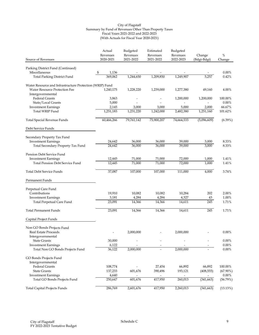| Source of Revenues                                         | Actual<br>Revenues<br>2020-2021 | Budgeted<br>Revenues<br>2021-2022 | Estimated<br>Revenues<br>2021-2022  | Budgeted<br>Revenues<br>2022-2023   | Change<br>(Bdgt-Bdgt)                  | $\%$<br>Change       |
|------------------------------------------------------------|---------------------------------|-----------------------------------|-------------------------------------|-------------------------------------|----------------------------------------|----------------------|
|                                                            |                                 |                                   |                                     |                                     |                                        |                      |
| Parking District Fund (Continued)                          |                                 |                                   |                                     |                                     |                                        |                      |
| Miscellaneous                                              | \$<br>1,136                     |                                   |                                     |                                     |                                        | 0.00%                |
| <b>Total Parking District Fund</b>                         | 369,062                         | 1,244,650                         | 1,209,850                           | 1,249,907                           | 5,257                                  | 0.42%                |
| Water Resource and Infrastructure Protection (WRIP) Fund   |                                 |                                   |                                     |                                     |                                        |                      |
| <b>Water Resource Protection Fee</b>                       | 1,240,175                       | 1,228,220                         | 1,239,000                           | 1,277,380                           | 49,160                                 | 4.00%                |
| Intergovernmental                                          |                                 |                                   |                                     |                                     |                                        |                      |
| <b>Federal Grants</b>                                      | 3,863                           |                                   |                                     | 1,200,000                           | 1,200,000                              | 100.00%              |
| State/Local Grants                                         | 5,000                           |                                   |                                     |                                     |                                        | 0.00%                |
| <b>Investment Earnings</b>                                 | 2,145                           | 3,000                             | 3,000                               | 5,000                               | 2,000                                  | 66.67%               |
| Total WRIP Fund                                            | 1,251,183                       | 1,231,220                         | 1,242,000                           | 2,482,380                           | 1,251,160                              | 101.62%              |
| Total Special Revenue Funds                                | 60,466,266                      | 79,761,142                        | 75,900,207                          | 74,664,533                          | (5,096,609)                            | $(6.39\%)$           |
| Debt Service Funds                                         |                                 |                                   |                                     |                                     |                                        |                      |
| Secondary Property Tax Fund                                |                                 |                                   |                                     |                                     |                                        |                      |
| <b>Investment Earnings</b>                                 | 24,642                          | 36,000                            | 36,000                              | 39,000                              | 3,000                                  | 8.33%                |
| Total Secondary Property Tax Fund                          | 24,642                          | 36,000                            | 36,000                              | 39,000                              | 3,000                                  | 8.33%                |
| Pension Debt Service Fund                                  |                                 |                                   |                                     |                                     |                                        |                      |
| <b>Investment Earnings</b>                                 | 12,445                          | 71,000                            | 71,000                              | 72,000                              | 1,000                                  | 1.41%                |
| <b>Total Pension Debt Service Fund</b>                     | 12,445                          | 71,000                            | 71,000                              | 72,000                              | 1,000                                  | 1.41%                |
| <b>Total Debt Service Funds</b>                            | 37,087                          | 107,000                           | 107,000                             | 111,000                             | 4,000                                  | 3.74%                |
| Permanent Funds                                            |                                 |                                   |                                     |                                     |                                        |                      |
| Perpetual Care Fund                                        |                                 |                                   |                                     |                                     |                                        |                      |
| Contributions                                              | 19,910                          | 10,082                            | 10,082                              | 10,284                              | 202                                    | 2.00%                |
| <b>Investment Earnings</b>                                 | 3,181                           | 4,284                             | 4,284                               | 4,327                               | 43                                     | 1.00%                |
| Total Perpetual Care Fund                                  | 23,091                          | 14,366                            | 14,366                              | 14,611                              | 245                                    | 1.71%                |
| <b>Total Permanent Funds</b>                               | 23,091                          | 14,366                            | 14,366                              | 14,611                              | 245                                    | 1.71%                |
| Capital Project Funds                                      |                                 |                                   |                                     |                                     |                                        |                      |
| Non GO Bonds Projects Fund                                 |                                 |                                   |                                     |                                     |                                        |                      |
| <b>Real Estate Proceeds</b>                                |                                 | 2,000,000                         |                                     | 2,000,000                           |                                        | 0.00%                |
| Intergovernmental                                          |                                 |                                   |                                     |                                     |                                        |                      |
| <b>State Grants</b>                                        | 30,000                          |                                   |                                     |                                     |                                        | 0.00%                |
| <b>Investment Earnings</b>                                 | 6,122                           |                                   |                                     |                                     |                                        | $0.00\%$             |
| Total Non GO Bonds Projects Fund                           | 36,122                          | 2,000,000                         |                                     | 2,000,000                           |                                        | $0.00\%$             |
| GO Bonds Projects Fund                                     |                                 |                                   |                                     |                                     |                                        |                      |
| Intergovernmental                                          |                                 |                                   |                                     |                                     |                                        |                      |
| Federal Grants                                             | 108,774                         | 601,676                           | 27,454<br>390,496                   | 66,892                              | 66,892                                 | 100.00%              |
| <b>State Grants</b>                                        | 137,233                         |                                   |                                     | 193,121                             | (408, 555)                             | $(67.90\%)$          |
| <b>Investment Earnings</b><br>Total GO Bonds Projects Fund | 4,640<br>250,647                | 601,676                           | $\overline{\phantom{a}}$<br>417,950 | $\overline{\phantom{a}}$<br>260,013 | $\overline{\phantom{a}}$<br>(341, 663) | $0.00\%$<br>(56.79%) |
|                                                            |                                 |                                   |                                     |                                     |                                        |                      |
| <b>Total Capital Projects Funds</b>                        | 286,769                         | 2,601,676                         | 417,950                             | 2,260,013                           | (341, 663)                             | (13.13%)             |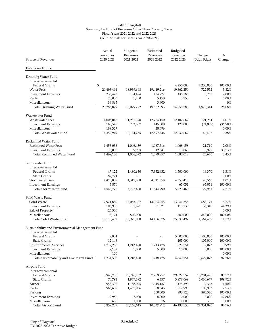| Source of Revenues                               | Actual<br>Revenues<br>2020-2021 | Budgeted<br>Revenues<br>2021-2022     | Estimated<br>Revenues<br>2021-2022    | Budgeted<br>Revenues<br>2022-2023 | Change<br>(Bdgt-Bdgt)    | $\%$<br>Change   |
|--------------------------------------------------|---------------------------------|---------------------------------------|---------------------------------------|-----------------------------------|--------------------------|------------------|
| <b>Enterprise Funds</b>                          |                                 |                                       |                                       |                                   |                          |                  |
| Drinking Water Fund                              |                                 |                                       |                                       |                                   |                          |                  |
| Intergovernmental                                |                                 |                                       |                                       |                                   |                          |                  |
| <b>Federal Grants</b>                            | \$                              |                                       |                                       | 4,250,000                         | 4,250,000                | 100.00%          |
| <b>Water Fees</b>                                | 20,493,491                      | 18,939,698                            | 19,449,216                            | 19,662,250                        | 722,552                  | 3.82%            |
| <b>Investment Earnings</b>                       | 235,473                         | 134,424                               | 124,727                               | 138,186                           | 3,762                    | 2.80%            |
| Rents                                            | 20,000                          | 5,150                                 | 5,150                                 | 5,150                             | $\overline{\phantom{a}}$ | 0.00%            |
| Miscellaneous                                    | 36,865                          |                                       | 3,900                                 | $\overline{a}$                    |                          | $0\%$            |
| Total Drinking Water Fund                        | 20,785,829                      | 19,079,272                            | 19,582,993                            | 24,055,586                        | 4,976,314                | 26.08%           |
| Wastewater Fund                                  |                                 |                                       |                                       |                                   |                          |                  |
| <b>Wastewater Fees</b>                           | 14,005,043                      | 11,981,398                            | 12,724,150                            | 12,102,662                        | 121,264                  | 1.01%            |
| <b>Investment Earnings</b>                       | 165,549                         | 202,857                               | 145,000                               | 128,000                           | (74, 857)                | $(36.90\%)$      |
| Miscellaneous                                    | 189,327                         |                                       | 28,696                                |                                   |                          | $0.00\%$         |
| Total Wastewater Fund                            | 14,359,919                      | 12,184,255                            | 12,897,846                            | 12,230,662                        | 46,407                   | 0.38%            |
| Reclaimed Water Fund                             |                                 |                                       |                                       |                                   |                          |                  |
| <b>Reclaimed Water Fees</b>                      | 1,453,038                       | 1,046,439                             | 1,067,516                             | 1,068,158                         | 21,719                   | 2.08%            |
| <b>Investment Earnings</b>                       | 16,088                          | 9,933                                 | 12,341                                | 13,860                            | 3,927                    | 39.53%           |
| Total Reclaimed Water Fund                       | 1,469,126                       | 1,056,372                             | 1,079,857                             | 1,082,018                         | 25,646                   | 2.43%            |
| Stormwater Fund                                  |                                 |                                       |                                       |                                   |                          |                  |
| Intergovernmental                                |                                 |                                       |                                       |                                   |                          |                  |
| <b>Federal Grants</b>                            | 47,122                          | 1,480,630                             | 7,332,932                             | 1,500,000                         | 19,370                   | 1.31%            |
| <b>State Grants</b>                              | 82,721                          |                                       | $\overline{\phantom{0}}$              | $\overline{\phantom{a}}$          | $ \,$                    | 0.00%            |
| <b>Stormwater Fees</b>                           | 4,415,057                       | 4,311,858                             | 4,311,858                             | 4,355,418                         | 43,560                   | 1.01%            |
| <b>Investment Earnings</b>                       | 3,870                           | $\overline{\phantom{a}}$              | $\overline{\phantom{a}}$              | 65,051                            | 65,051                   | 100.00%          |
| Total Stormwater Fund                            | 4,548,770                       | 5,792,488                             | 11,644,790                            | 5,920,469                         | 127,981                  | 2.21%            |
| Solid Waste Fund                                 |                                 |                                       |                                       |                                   |                          |                  |
| Solid Waste                                      | 12,971,880                      | 13,053,187                            | 14,024,255                            | 13,741,358                        | 688,171                  | 5.27%            |
| <b>Investment Earnings</b>                       | 106,988                         | 81,821                                | 81,821                                | 118,139                           | 36,318                   | 44.39%           |
| Sale of Property                                 | 26,500                          |                                       | $\overline{\phantom{0}}$              | $\overline{\phantom{a}}$          | $\overline{\phantom{a}}$ | 0.00%            |
| Miscellaneous                                    | 8,124                           | 840,000                               | $\overline{\phantom{a}}$              | 1,680,000                         | 840,000                  | 100.00%          |
| Total Solid Waste Fund                           | 13,113,492                      | 13,975,008                            | 14,106,076                            | 15,539,497                        | 1,564,489                | 11.19%           |
| Sustainability and Environmental Management Fund |                                 |                                       |                                       |                                   |                          |                  |
| Intergovernmental                                |                                 |                                       |                                       |                                   |                          |                  |
| Federal Grants<br><b>State Grants</b>            | 2,851                           |                                       |                                       | 3,500,000<br>105,000              | 3,500,000<br>105,000     | 100.00%          |
| <b>Environmental Services</b>                    | 12,146<br>1,212,258             | $\overline{\phantom{a}}$<br>1,213,478 | $\overline{\phantom{a}}$<br>1,213,478 | 1,225,551                         | 12,073                   | 100.00%<br>0.99% |
| <b>Investment Earnings</b>                       | 7,152                           | 5,000                                 | 5,000                                 | 10,000                            | 5,000                    | 100.00%          |
| Miscellaneous                                    | 100                             |                                       |                                       |                                   |                          | 0.00%            |
| Total Sustainability and Env Mgmt Fund           | 1,234,507                       | 1,218,478                             | 1,218,478                             | 4,840,551                         | 3,622,073                | 297.26%          |
| Airport Fund                                     |                                 |                                       |                                       |                                   |                          |                  |
| Intergovernmental                                |                                 |                                       |                                       |                                   |                          |                  |
| <b>Federal Grants</b>                            | 3,949,750                       | 20,746,132                            | 7,789,757                             | 39,027,557                        | 18,281,425               | 88.12%           |
| <b>State Grants</b>                              | 70,791                          | 1,847,392                             | 6,457                                 | 3,878,069                         | 2,030,677                | 109.92%          |
| Airport                                          | 958,392                         | 1,158,025                             | 1,645,137                             | 1,175,390                         | 17,365                   | 1.50%            |
| Rents                                            | 966,689                         | 1,407,096                             | 888,345                               | 1,512,999                         | 105,903                  | 7.53%            |
| Parking                                          |                                 |                                       | 200,000                               | 893,520                           | 893,520                  | 100.00%          |
| <b>Investment Earnings</b>                       | 12,982                          | 7,000                                 | 8,000                                 | 10,000                            | 3,000                    | 42.86%           |
| Miscellaneous                                    | 635                             | 1,000                                 | 16                                    | 1,000                             |                          | 0.00%            |
| <b>Total Airport Fund</b>                        | 5,959,239                       | 25,166,645                            | 10,537,712                            | 46,498,535                        | 21,331,890               | 84.76%           |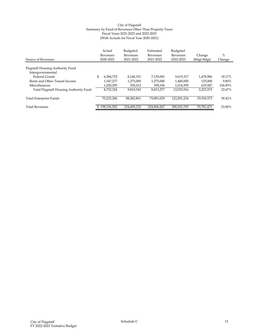| Source of Revenues                     | Actual<br>Revenues<br>2020-2021 | Budgeted<br>Revenues<br>2021-2022 | Estimated<br>Revenues<br>2021-2022 | Budgeted<br>Revenues<br>2022-2023 | Change<br>(Bdgt-Bdgt) | %<br>Change |
|----------------------------------------|---------------------------------|-----------------------------------|------------------------------------|-----------------------------------|-----------------------|-------------|
| Flagstaff Housing Authority Fund       |                                 |                                   |                                    |                                   |                       |             |
| Intergovernmental                      |                                 |                                   |                                    |                                   |                       |             |
| <b>Federal Grants</b>                  | \$<br>6,384,752                 | 8.140.331                         | 7.139.081                          | 9.619.317                         | 1.478.986             | 18.17%      |
| Rents and Other Tenant Income          | 1.347.277                       | 1,275,000                         | 1,275,000                          | 1,400,000                         | 125,000               | 9.80%       |
| Miscellaneous                          | 1,020,295                       | 395,012                           | 399,196                            | 1.014.599                         | 619,587               | 156.85%     |
| Total Flagstaff Housing Authority Fund | 8,752,324                       | 9,810,343                         | 8,813,277                          | 12,033,916                        | 2,223,573             | 22.67%      |
| Total Enterprise Funds                 | 70,223,206                      | 88,282,861                        | 79,881,029                         | 122,201,234                       | 33,918,373            | 38.42%      |
| <b>Total Revenues</b>                  | \$198,336,502                   | 234,400,232                       | 224,806,267                        | 290.181.703                       | 55.781.471            | 23.80%      |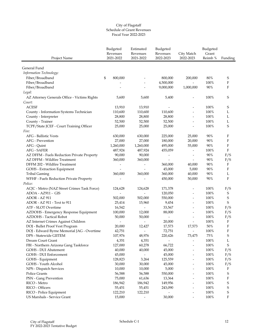## City of Flagstaff Schedule of Grant Revenues Fiscal Year 2022-2023

| Project Name                                                           | Budgeted<br>Revenues<br>2021-2022 | Estimated<br>Revenues<br>2021-2022 | Budgeted<br>Revenues<br>2022-2023 | City Match<br>2022-2023      | Budgeted<br>Grant<br>Reimb % | Funding                   |
|------------------------------------------------------------------------|-----------------------------------|------------------------------------|-----------------------------------|------------------------------|------------------------------|---------------------------|
| General Fund                                                           |                                   |                                    |                                   |                              |                              |                           |
| Information Technology:                                                |                                   |                                    |                                   |                              |                              |                           |
| Fiber/Broadband                                                        | \$<br>800,000                     |                                    | 800,000                           | 200,000                      | 80%                          | S                         |
| Fiber/Broadband                                                        |                                   |                                    | 4,500,000                         |                              | 100%                         | $\rm F$                   |
| Fiber/Broadband                                                        |                                   |                                    | 9,000,000                         | 1,000,000                    | 90%                          | F                         |
| Legal:                                                                 |                                   |                                    |                                   |                              |                              |                           |
|                                                                        | 5,600                             | 5,600                              | 5,400                             |                              | 100%                         | S                         |
| AZ Attorney Generals Office - Victims Rights<br>Court:                 |                                   |                                    |                                   |                              |                              |                           |
|                                                                        |                                   |                                    |                                   |                              |                              |                           |
| <b>ACESF</b>                                                           | 13,910                            | 13,910                             |                                   |                              | 100%                         | S                         |
| County - Information Systems Technician                                | 110,600                           | 110,600                            | 110,600                           | $\overline{a}$               | 100%                         | L                         |
| County - Interpreter                                                   | 28,800                            | 28,800                             | 28,800                            | $\overline{\phantom{a}}$     | 100%                         | L                         |
| County - Trainer                                                       | 52,500                            | 52,500                             | 52,500                            | $\overline{\phantom{a}}$     | 100%                         | L                         |
| TCPF/State JCEF - Court Training Officer<br>Fire:                      | 25,000                            | 25,000                             | 25,000                            |                              | 100%                         | S                         |
| AFG - Ballistic Vests                                                  | 630,000                           | 630,000                            | 225,000                           | 25,000                       | 90%                          | F                         |
| AFG - Prevention                                                       | 27,000                            | 27,000                             | 180,000                           | 20,000                       | 90%                          | $\rm F$                   |
| AFG - Quint                                                            | 1,260,000                         | 1,260,000                          | 495,000                           | 55,000                       | 90%                          | $\boldsymbol{\mathrm{F}}$ |
| AFG - SAFER                                                            | 487,924                           | 487,924                            | 455,059                           | $\overline{\phantom{a}}$     | 100%                         | $\mathbf F$               |
| AZ DFFM - Fuels Reduction Private Property                             | 90,000                            | 90,000                             |                                   |                              | 90%                          | F/S                       |
| AZ DFFM - Wildfire Treatment                                           | 360,000                           | 360,000                            |                                   | $\overline{\phantom{a}}$     | 90%                          | F/S                       |
| DFFM 202 - Wildfire Treatment                                          | $\overline{\phantom{a}}$          | $\frac{1}{2}$                      | 360,000                           | 40,000                       | 90%                          | F                         |
| GOHS - Extraction Equipment                                            |                                   |                                    | 45,000                            | 5,000                        | 90%                          | $\boldsymbol{\mathrm{F}}$ |
| <b>Tribal Gaming</b>                                                   | 360,000                           | 360,000                            | 360,000                           | 40,000                       | 90%                          | L                         |
| WFHF - Fuels Reduction Private Property                                | $\overline{a}$                    | $\overline{a}$                     | 450,000                           | 50,000                       | 90%                          | $\rm F$                   |
| Police:                                                                |                                   |                                    |                                   |                              |                              |                           |
| ACJC - Metro (NAZ Street Crimes Task Force)                            | 124,628                           | 124,628                            | 171,378                           |                              | 100%                         | F/S                       |
| ADOA - AZ911 - GIS                                                     |                                   | $\frac{1}{2}$                      | 120,050                           | $\overline{a}$               | 100%                         | S                         |
| ADOR - AZ 911                                                          | 502,000                           | 502,000                            | 550,000                           |                              | 100%                         | S                         |
| ADOR - AZ 911 - Text to 911                                            | 25,414                            | 15,960                             | 9,454                             | $\overline{\phantom{a}}$     | 100%                         | S                         |
| ATF - SLOT Overtime                                                    | 16,542                            |                                    | 33,567                            |                              | 100%                         | F/S                       |
| AZDOHS - Emergency Response Equipment                                  | 100,000                           | 12,000                             | 88,000                            |                              | 100%                         | F/S                       |
| AZDOHS - Tactical Robot                                                |                                   | 50,000                             |                                   |                              | 100%                         | F/S                       |
|                                                                        | 50,000                            |                                    | 20,000                            |                              | 100%                         | $\rm F$                   |
| AZ Internet Crimes Against Children<br>DOJ - Bullet Proof Vest Program | 20,000                            | 12,427                             | 17,573                            | 17,573                       | 50%                          | F                         |
| DOJ - Edward Byrne Memorial JAG - Overtime                             | 42,751                            | $\overline{\phantom{a}}$           | 72,751                            |                              | 100%                         | F                         |
| DPS - Statewide GIITEM                                                 | 107,976                           | 48,976                             | 220,426                           | 73,475                       | 75%                          | S                         |
| Dream Court Grant                                                      | 4,351                             | 4,351                              |                                   |                              | 100%                         | L                         |
| FBI - Northern Arizona Gang Taskforce                                  | 127,000                           | 60,278                             | 66,722                            |                              | 100%                         | S                         |
| GOHS - DUI Abatement                                                   | 40,000                            | 40,000                             | 45,000                            |                              | 100%                         | F/S                       |
| GOHS - DUI Enforcement                                                 | 45,000                            |                                    | 45,000                            |                              | 100%                         | F/S                       |
|                                                                        |                                   | $\overline{\phantom{a}}$           | 125,559                           |                              | 100%                         |                           |
| GOHS - Equipment                                                       | 128,823                           | 3,264                              |                                   |                              | 100%                         | F/S<br>F/S                |
| GOHS - Youth Alcohol                                                   | 30,000<br>10,000                  | 30,000                             | 45,000                            |                              | 100%                         | F                         |
| NPS - Dispatch Services                                                |                                   | 10,000                             | 5,000                             | $\qquad \qquad \blacksquare$ |                              |                           |
| Police Grants                                                          | 56,588                            | 56,588                             | 550,000                           |                              | 100%                         | S                         |
| PSN - Gang Prevention                                                  | 75,000                            | 61,636                             | 13,364                            |                              | 100%                         | F                         |
| RICO - Metro<br>RICO - Officers                                        | 186,942                           | 186,942                            | 149,956                           |                              | 100%                         | S                         |
|                                                                        | 55,451                            | 55,451                             | 243,090                           | $\overline{\phantom{a}}$     | 100%                         | S                         |
| RICO - Police Equipment                                                | 122,210                           | 122,210                            |                                   |                              | 100%                         | S                         |
| US Marshals - Service Grant                                            | 15,000                            |                                    | 30,000                            | $\qquad \qquad \blacksquare$ | 100%                         | F                         |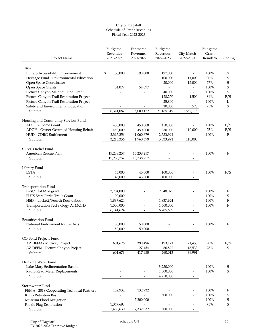## City of Flagstaff Schedule of Grant Revenues Fiscal Year 2022-2023

| Project Name                               | Budgeted<br>Revenues<br>2021-2022 | Estimated<br>Revenues<br>2021-2022 | Budgeted<br>Revenues<br>2022-2023 | City Match<br>2022-2023  | Budgeted<br>Grant<br>Reimb % | Funding     |
|--------------------------------------------|-----------------------------------|------------------------------------|-----------------------------------|--------------------------|------------------------------|-------------|
| Parks:                                     |                                   |                                    |                                   |                          |                              |             |
| Buffalo Accessibility Improvement          | \$<br>150,000                     | 98,000                             | 1,127,000                         |                          | 100%                         | S           |
| Heritage Fund - Environmental Education    |                                   |                                    | 100,000                           | 11,000                   | 90%                          | S           |
| Open Space Coordinator                     |                                   |                                    | 20,000                            | 15,000                   | 57%                          | S           |
| Open Space Grants                          | 54,077                            | 54,077                             |                                   |                          | 100%                         | S           |
| Picture Canyon Malapai Fund Grant          |                                   |                                    | 40,000                            | ÷,                       | 100%                         | S           |
| Picture Canyon Trail Restoration Project   |                                   |                                    | 128,270                           | 4,500                    | 81%                          | F/S         |
| Picture Canyon Trail Restoration Project   |                                   |                                    | 25,800                            |                          | 100%                         | L           |
| Safety and Environmental Education         |                                   |                                    | 10,000                            | 570                      | 95%                          | S           |
| Subtotal                                   | 6,341,087                         | 5,000,122                          | 21,165,319                        | 1,557,118                |                              |             |
| Housing and Community Services Fund        |                                   |                                    |                                   |                          |                              |             |
| ADOH - Home Grant                          | 450,000                           | 450,000                            | 450,000                           |                          | 100%                         | F/S         |
| ADOH - Owner Occupied Housing Rehab        | 450,000                           | 450,000                            | 330,000                           | 110,000                  | 75%                          | F/S         |
| HUD - CDBG Entitlement                     | 2,315,356                         | 1,060,679                          | 2,553,991                         |                          | 100%                         | $\mathbf F$ |
| Subtotal                                   | 3,215,356                         | 1,960,679                          | 3,333,991                         | 110,000                  |                              |             |
| <b>COVID Relief Fund</b>                   |                                   |                                    |                                   |                          |                              |             |
| American Rescue Plan                       | 15,238,257                        | 15,238,257                         |                                   |                          | 100%                         | F           |
| Subtotal                                   | 15,238,257                        | 15,238,257                         |                                   |                          |                              |             |
| Library Fund                               |                                   |                                    |                                   |                          |                              |             |
| <b>LSTA</b>                                | 45,000                            | 45,000                             | 100,000                           | -                        | 100%                         | F/S         |
| Subtotal                                   | 45,000                            | 45,000                             | 100,000                           |                          |                              |             |
| <b>Transportation Fund</b>                 |                                   |                                    |                                   |                          |                              |             |
| First/Last Mile grant                      | 2,704,000                         |                                    | 2,948,075                         |                          | 100%                         | F           |
| FUTS State Parks Trails Grant              | 100,000                           |                                    |                                   |                          | 100%                         | S           |
| HSIP - Lockett/Fourth Roundabout           | 1,837,624                         | $\overline{\phantom{0}}$           | 1,837,624                         | $\overline{\phantom{a}}$ | 100%                         | $\rm F$     |
| Transportation Technology ATMCTD           | 1,500,000                         | -                                  | 1,500,000                         | $\overline{\phantom{a}}$ | 100%                         | F           |
| Subtotal                                   | 6,141,624                         | $\frac{1}{2}$                      | 6,285,699                         | ٠                        |                              |             |
| <b>Beautification Fund</b>                 |                                   |                                    |                                   |                          |                              |             |
| National Endowment for the Arts            | 50,000                            | 50,000                             |                                   |                          | 100%                         | F           |
| Subtotal                                   | 50,000                            | 50,000                             | $\overline{\phantom{a}}$          |                          |                              |             |
| GO Bond Projects Fund                      |                                   |                                    |                                   |                          |                              |             |
| AZ DFFM - Midway Project                   | 601,676                           | 390,496                            | 193,121                           | 21,458                   | 90%                          | F/S         |
| AZ DFFM - Picture Canyon Project           |                                   | 27,454                             | 66,892                            | 18,533                   | 78%                          | S           |
| Subtotal                                   | 601,676                           | 417,950                            | 260,013                           | 39,991                   |                              |             |
| Drinking Water Fund                        |                                   |                                    |                                   |                          |                              |             |
| Lake Mary Sedimentation Basins             |                                   |                                    | 3,250,000                         |                          | 100%                         | S           |
| Radio Read Meter Replacements              | $\overline{\phantom{a}}$          | -                                  | 1,000,000                         |                          | 100%                         | S           |
| Subtotal                                   | $\overline{\phantom{a}}$          | $\qquad \qquad \blacksquare$       | 4,250,000                         | $\overline{\phantom{a}}$ |                              |             |
| Stormwater Fund                            |                                   |                                    |                                   |                          |                              |             |
| FEMA - 2018 Cooperating Technical Partners | 132,932                           | 132,932                            |                                   |                          | 100%                         | F           |
| Killip Retention Basin                     | -                                 | $\overline{\phantom{a}}$           | 1,500,000                         |                          | 100%                         | S           |
| Museum Flood Mitigation                    | -                                 | 7,200,000                          |                                   |                          | 100%                         | S           |
| Rio de Flag Restoration                    | 1,347,698                         | $\overline{\phantom{a}}$           |                                   | $\overline{\phantom{a}}$ | 75%                          | S           |
| Subtotal                                   | 1,480,630                         | 7,332,932                          | 1,500,000                         | $\overline{\phantom{a}}$ |                              |             |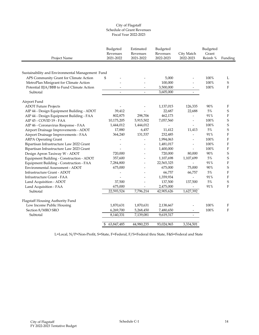## City of Flagstaff Schedule of Grant Revenues Fiscal Year 2022-2023

|                                                  | Budgeted              | Estimated             | Budgeted              |                          | Budgeted         |         |
|--------------------------------------------------|-----------------------|-----------------------|-----------------------|--------------------------|------------------|---------|
| Project Name                                     | Revenues<br>2021-2022 | Revenues<br>2021-2022 | Revenues<br>2022-2023 | City Match<br>2022-2023  | Grant<br>Reimb % | Funding |
|                                                  |                       |                       |                       |                          |                  |         |
| Sustainability and Environmental Management Fund |                       |                       |                       |                          |                  |         |
| APS Community Grant for Climate Action           | \$                    |                       | 5,000                 |                          | 100%             | L       |
| MetroPlan Minigrant for Climate Action           |                       |                       | 100,000               |                          | 100%             | S       |
| Potential IIJA/BBB to Fund Climate Action        |                       | $\overline{a}$        | 3,500,000             | $\overline{a}$           | 100%             | F       |
| Subtotal                                         | $\overline{a}$        | $\overline{a}$        | 3,605,000             | $\overline{a}$           |                  |         |
| Airport Fund                                     |                       |                       |                       |                          |                  |         |
| <b>ADOT Future Projects</b>                      |                       |                       | 1,137,015             | 126,335                  | 90%              | F       |
| AIP 44 - Design Equipment Building - ADOT        | 39,412                |                       | 22,687                | 22,688                   | 5%               | S       |
| AIP 44 - Design Equipment Building - FAA         | 802,875               | 298,706               | 462,173               | $\overline{a}$           | 91%              | F       |
| AIP 45 - COVID 19 - FAA                          | 10,175,205            | 5,915,502             | 7,057,560             | L,                       | 100%             | S       |
| AIP 46 - Coronavirus Response - FAA              | 1,444,012             | 1,444,012             |                       | $\overline{\phantom{a}}$ | 100%             | S       |
| Airport Drainage Improvements - ADOT             | 17,880                | 6,457                 | 11,412                | 11,413                   | $5\%$            | S       |
| Airport Drainage Improvements - FAA              | 364,240               | 131,537               | 232,485               |                          | 91%              | $\rm F$ |
| <b>ARPA Operating Grant</b>                      |                       | $\overline{a}$        | 1,994,063             |                          | 100%             | $\rm F$ |
| Bipartisan Infrastructure Law 2022 Grant         |                       |                       | 1,481,017             |                          | 100%             | F       |
| Bipartisan Infrastructure Law 2023 Grant         |                       | $\overline{a}$        | 1,400,000             |                          | 100%             | $\rm F$ |
| Design Apron Taxiway W - ADOT                    | 720,000               |                       | 720,000               | 80,000                   | 90%              | S       |
| Equipment Building - Construction - ADOT         | 357,600               | $\overline{a}$        | 1,107,698             | 1,107,699                | $5\%$            | S       |
| Equipment Building - Construction - FAA          | 7,284,800             | $\overline{a}$        | 22,565,325            | $\overline{\phantom{a}}$ | 91%              | F       |
| Environmental Assessment - ADOT                  | 675,000               | $\overline{a}$        | 675,000               | 75,000                   | 90%              | S       |
| Infrastructure Grant - ADOT                      |                       |                       | 66,757                | 66,757                   | $5%$             | F       |
| Infrastructure Grant - FAA                       |                       | $\overline{a}$        | 1,359,934             | $\overline{a}$           | 91%              | F       |
| Land Acquisition - ADOT                          | 37,500                | $\overline{a}$        | 137,500               | 137,500                  | 5%               | S       |
| Land Acquisition - FAA                           | 675,000               | $\frac{1}{2}$         | 2,475,000             | $\overline{a}$           | 91%              | F       |
| Subtotal                                         | 22,593,524            | 7,796,214             | 42,905,626            | 1,627,392                |                  |         |
| Flagstaff Housing Authority Fund                 |                       |                       |                       |                          |                  |         |
| Low Income Public Housing                        | 1,870,631             | 1,870,631             | 2,138,667             |                          | 100%             | F       |
| Section 8/MRO SRO                                | 6,269,700             | 5,268,450             | 7,480,650             | $\overline{\phantom{a}}$ | 100%             | F       |
| Subtotal                                         | 8,140,331             | 7,139,081             | 9,619,317             | $\overline{\phantom{a}}$ |                  |         |
|                                                  | 63,847,485<br>\$      | 44,980,235            | 93,024,965            | 3,334,501                |                  |         |
|                                                  |                       |                       |                       |                          |                  |         |

L=Local, N/P=Non-Profit, S=State, F=Federal, F/S=Federal thru State, F&S=Federal and State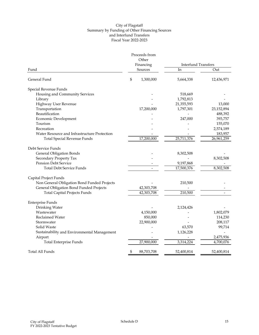## City of Flagstaff Summary by Funding of Other Financing Sources and Interfund Transfers Fiscal Year 2022-2023

|                                              | Proceeds from      |                            |            |
|----------------------------------------------|--------------------|----------------------------|------------|
|                                              | Other<br>Financing | <b>Interfund Transfers</b> |            |
| Fund                                         | Sources            | In                         | Out        |
| General Fund                                 | \$<br>1,300,000    | 5,664,338                  | 12,436,971 |
| Special Revenue Funds                        |                    |                            |            |
| Housing and Community Services               |                    | 518,669                    |            |
| Library                                      |                    | 1,792,813                  |            |
| Highway User Revenue                         |                    | 21,355,593                 | 13,000     |
| Transportation                               | 17,200,000         | 1,797,301                  | 23,152,894 |
| Beautification                               |                    | $\overline{a}$             | 488,392    |
| Economic Development                         |                    | 247,000                    | 393,757    |
| Tourism                                      |                    |                            | 155,070    |
| Recreation                                   |                    |                            | 2,574,189  |
| Water Resource and Infrastructure Protection |                    |                            | 183,957    |
| <b>Total Special Revenue Funds</b>           | 17,200,000         | 25,711,376                 | 26,961,259 |
| Debt Service Funds                           |                    |                            |            |
| General Obligation Bonds                     |                    | 8,302,508                  |            |
| Secondary Property Tax                       |                    |                            | 8,302,508  |
| <b>Pension Debt Service</b>                  |                    | 9,197,868                  |            |
| <b>Total Debt Service Funds</b>              |                    | 17,500,376                 | 8,302,508  |
| Capital Project Funds                        |                    |                            |            |
| Non General Obligation Bond Funded Projects  |                    | 210,500                    |            |
| General Obligation Bond Funded Projects      | 42,303,708         |                            |            |
| <b>Total Capital Projects Funds</b>          | 42,303,708         | 210,500                    |            |
| <b>Enterprise Funds</b>                      |                    |                            |            |
| Drinking Water                               |                    | 2,124,426                  |            |
| Wastewater                                   | 4,150,000          |                            | 1,802,079  |
| Reclaimed Water                              | 850,000            |                            | 114,230    |
| Stormwater                                   | 22,900,000         |                            | 208,117    |
| Solid Waste                                  |                    | 63,570                     | 99,714     |
| Sustainability and Environmental Management  |                    | 1,126,228                  |            |
| Airport                                      |                    |                            | 2,475,936  |
| <b>Total Enterprise Funds</b>                | 27,900,000         | 3,314,224                  | 4,700,076  |
| <b>Total All Funds</b>                       | \$<br>88,703,708   | 52,400,814                 | 52,400,814 |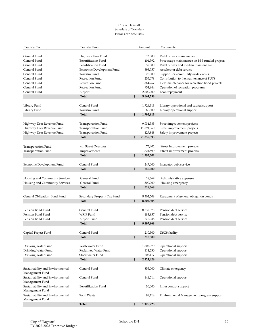## City of Flagstaff Schedule of Transfers Fiscal Year 2022-2023

| Transfer To:                     | Transfer From:              | Amount           | Comments                                       |
|----------------------------------|-----------------------------|------------------|------------------------------------------------|
|                                  |                             |                  |                                                |
| General Fund                     | Highway User Fund           | 13,000           | Right of way maintenance                       |
| General Fund                     | <b>Beautification Fund</b>  | 401,392          | Streetscape maintenance on BBB funded projects |
| General Fund                     | <b>Beautification Fund</b>  | 57,000           | Right of way and median maintenance            |
| General Fund                     | Economic Development Fund   | 393,757          | Accelerator debt service                       |
| General Fund                     | Tourism Fund                | 25,000           | Support for community-wide events              |
|                                  |                             |                  |                                                |
| General Fund                     | Recreation Fund             | 255,078          | Contribution to the maintenance of FUTS        |
| General Fund                     | Recreation Fund             | 1,364,267        | Field maintenance for recreation bond projects |
| General Fund                     | <b>Recreation Fund</b>      | 954,844          | Operation of recreation programs               |
| General Fund                     | Airport                     | 2,200,000        | Loan repayment                                 |
|                                  | Total                       | \$<br>5,664,338  |                                                |
|                                  |                             |                  |                                                |
| Library Fund                     | General Fund                | 1,726,313        | Library operational and capital support        |
| Library Fund                     | Tourism Fund                | 66,500           | Library operational support                    |
|                                  | Total                       | \$<br>1,792,813  |                                                |
|                                  |                             |                  |                                                |
| Highway User Revenue Fund        | Transportation Fund         | 9,034,385        | Street improvement projects                    |
| Highway User Revenue Fund        | Transportation Fund         | 11,891,360       | Street improvement projects                    |
| Highway User Revenue Fund        | Transportation Fund         | 429,848          |                                                |
|                                  |                             |                  | Safety improvement projects                    |
|                                  | Total                       | \$<br>21,355,593 |                                                |
|                                  |                             |                  |                                                |
| Transportation Fund              | 4th Street Overpass         | 75,402           | Street improvement projects                    |
| Transportation Fund              | Improvements                | 1,721,899        | Street improvement projects                    |
|                                  | Total                       | \$<br>1,797,301  |                                                |
|                                  |                             |                  |                                                |
| Economic Development Fund        | General Fund                | 247,000          | Incubator debt service                         |
|                                  | <b>Total</b>                | \$<br>247,000    |                                                |
|                                  |                             |                  |                                                |
|                                  | General Fund                | 18,669           | Administrative expenses                        |
| Housing and Community Services   | General Fund                |                  |                                                |
| Housing and Community Services   |                             | 500,000          | Housing emergency                              |
|                                  | Total                       | \$<br>518,669    |                                                |
|                                  |                             |                  |                                                |
| General Obligation Bond Fund     | Secondary Property Tax Fund | 8,302,508        | Repayment of general obligation bonds          |
|                                  | Total                       | \$<br>8,302,508  |                                                |
|                                  |                             |                  |                                                |
| Pension Bond Fund                | General Fund                | 8,737,975        | Pension debt service                           |
| Pension Bond Fund                | WRIP Fund                   | 183,957          | Pension debt service                           |
| Pension Bond Fund                | Airport Fund                | 275,936          | Pension debt service                           |
|                                  | Total                       | \$<br>9,197,868  |                                                |
|                                  |                             |                  |                                                |
| Capital Project Fund             | General Fund                | 210,500          | <b>USGS</b> facility                           |
|                                  | Total                       | \$<br>210,500    |                                                |
|                                  |                             |                  |                                                |
|                                  |                             |                  |                                                |
| Drinking Water Fund              | Wastewater Fund             | 1,802,079        | Operational support                            |
| Drinking Water Fund              | Reclaimed Water Fund        | 114,230          | Operational support                            |
| Drinking Water Fund              | Stormwater Fund             | 208,117          | Operational support                            |
|                                  | Total                       | \$<br>2,124,426  |                                                |
|                                  |                             |                  |                                                |
| Sustainability and Environmental | General Fund                | 855,000          | Climate emergency                              |
| Management Fund                  |                             |                  |                                                |
| Sustainability and Environmental | General Fund                | 141,514          | Operational support                            |
| Management Fund                  |                             |                  |                                                |
| Sustainability and Environmental | Beautification Fund         | 30,000           | Litter control support                         |
| Management Fund                  |                             |                  |                                                |
| Sustainability and Environmental | Solid Waste                 | 99,714           | Environmental Management program support       |
| Management Fund                  |                             |                  |                                                |
|                                  | Total                       | \$<br>1,126,228  |                                                |
|                                  |                             |                  |                                                |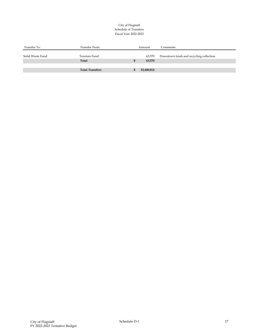## City of Flagstaff Schedule of Transfers Fiscal Year 2022-2023

| Transfer To:     | Transfer From:         | Amount     | Comments                                |
|------------------|------------------------|------------|-----------------------------------------|
|                  |                        |            |                                         |
| Solid Waste Fund | Tourism Fund           | 63,570     | Downtown trash and recycling collection |
|                  | Total                  | 63,570     |                                         |
|                  |                        |            |                                         |
|                  | <b>Total Transfers</b> | 52,400,814 |                                         |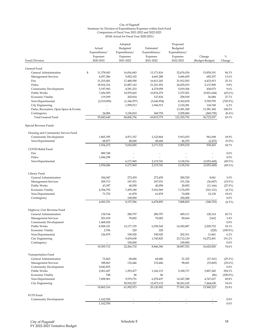|                                              |                  | Adopted                  |                          | Proposed                 |                 |               |
|----------------------------------------------|------------------|--------------------------|--------------------------|--------------------------|-----------------|---------------|
|                                              | Actual           | Budgeted                 | Estimated                | Budgeted                 |                 |               |
|                                              | Expenditures/    | Expenditures/            | Expenditures/            | Expenditures/            |                 |               |
|                                              | Expenses         | Expenses                 | Expenses                 | Expenses                 | Change          | $\%$          |
| Fund/Division                                | 2020-2021        | 2021-2022                | 2021-2022                | 2022-2023                | (Budget-Budget) | Change        |
| General Fund                                 |                  |                          |                          |                          |                 |               |
| General Administration                       | \$<br>11,378,043 | 16,816,843               | 13,171,816               | 32,676,034               | 15,859,191      | 94.3%         |
| Management Services                          | 4,057,286        | 5,002,102                | 4,665,288                | 5,684,459                | 682,357         | 13.6%         |
| Fire                                         | 11,215,001       | 17,488,590               | 16,813,243               | 21,912,503               | 4,423,913       | 25.3%         |
| Police                                       | 18,916,316       | 21,887,143               | 21,221,952               | 24,025,033               | 2,137,890       | 9.8%          |
|                                              | 5,197,943        |                          |                          |                          | 438,073         | 9.6%          |
| Community Development<br><b>Public Works</b> |                  | 4,581,233                | 4,279,058                | 5,019,306<br>5,157,021   |                 |               |
|                                              | 7,456,505        | 14,978,665               | 10,874,279               |                          | (9,821,644)     | $(65.6\%)$    |
| <b>Economic Vitality</b>                     | 119,599          | 202,834                  | 127,834                  | 258,918                  | 56,084          | 27.7%         |
| Non-Departmental                             | (2,519,050)      | (1,346,977)              | (3,646,954)              | 8,362,818                | 9,709,795       | $(720.9\%)$   |
| City Engineering                             |                  | 1,999,513                | 1,944,513                | 2,124,281                | 124,768         | 6.2%          |
| Parks, Recreation, Open Space & Events       |                  | $\overline{\phantom{a}}$ | $\frac{1}{2}$            | 13,381,360               | 13,381,360      | 100.0%        |
| Contingency                                  | 24,006           | 3,196,810                | 368,750                  | 2,928,060                | (268,750)       | $(8.4\%)$     |
| Total General Fund                           | 55,845,649       | 84,806,756               | 69,819,779               | 121,529,793              | 36,723,037      | 43.3%         |
| Special Revenue Funds                        |                  |                          |                          |                          |                 |               |
| Housing and Community Service Fund           |                  |                          |                          |                          |                 |               |
| Community Development                        | 1,865,395        | 4,971,337                | 2,122,864                | 5,913,035                | 941,698         | 18.9%         |
| Non-Departmental                             | 68,877           | 48,668                   | 48,668                   | 46,235                   | (2, 433)        | $(5.0\%)$     |
|                                              | 1,934,272        | 5,020,005                | 2,171,532                | 5,959,270                | 939,265         | 18.7%         |
| <b>COVID Relief Fund</b>                     |                  |                          |                          |                          |                 |               |
| Fire                                         | 889,748          |                          |                          |                          |                 | 0.0%          |
| Police                                       | 1,044,298        |                          |                          |                          |                 | 0.0%          |
| Non-Departmental                             |                  | 6,171,965                | 2,119,741                | 3,118,516                | (3,053,449)     | (49.5%)       |
|                                              | 1,934,046        | 6,171,965                | 2,119,741                | 3,118,516                | (3,053,449)     | (49.5%)       |
| Library Fund                                 |                  |                          |                          |                          |                 |               |
| General Administration                       | 184,047          | 272,459                  | 272,459                  | 280,520                  | 8,061           | 3.0%          |
| <b>Management Services</b>                   | 209,713          | 187,931                  | 187,931                  | 151,324                  | (36, 607)       | (19.5%)       |
| Public Works                                 | 43,397           | 40,058                   | 40,058                   | 28,892                   | (11, 166)       | (27.9%)       |
| <b>Economic Vitality</b>                     | 4,394,792        | 7,495,180                | 5,916,569                | 7,174,059                | (321, 121)      | $(4.3\%)$     |
| Non-Departmental                             | 71,752           | 61,878                   | 61,878                   | 74,008                   | 12,130          | 19.6%         |
| Contingency                                  |                  | 100,000                  |                          | 100,000                  |                 | 0.0%          |
|                                              | 4,903,701        | 8,157,506                | 6,478,895                | 7,808,803                | (348, 703)      | $(4.3\%)$     |
| Highway User Revenue Fund                    |                  |                          |                          |                          |                 |               |
| General Administration                       | 138,764          | 280,797                  | 280,797                  | 409,111                  | 128,314         | 45.7%         |
| Management Services                          | 201,018          | 78,002                   | 78,002                   | 80,664                   | 2,662           | 3.4%          |
| Community Development                        | 1,468,024        |                          |                          |                          | ٠               | 0.0%          |
| Public Works                                 | 8,568,321        | 12,177,155               | 6,550,542                | 14,382,887               | 2,205,732       | 18.1%         |
| Economic Vitality                            | 2,706            | 220                      | 220                      |                          | (220)           | $(100.0\%)$   |
|                                              | 126,879          | 190,920                  | 190,920                  | 202,761                  | 11,841          | 6.2%          |
| Non-Departmental                             |                  |                          |                          |                          |                 |               |
| City Engineering                             |                  | 9,439,638                | 1,745,825                | 23,712,129               | 14,272,491      | 151.2%        |
| Contingency                                  | 10,505,712       | 100,000<br>22,266,732    | 8,846,306                | 100,000<br>38,887,552    | 16,620,820      | 0.0%<br>74.6% |
|                                              |                  |                          |                          |                          |                 |               |
| Transportation Fund                          |                  |                          |                          |                          |                 |               |
| General Administration                       | 72,462           | 68,686                   | 68,686                   | 51,325                   | (17, 361)       | $(25.3\%)$    |
| Management Services                          | 188,863          | 132,446                  | 132,446                  | 98,601                   | (33, 845)       | $(25.6\%)$    |
| Community Development                        | 9,042,855        |                          |                          |                          | $\frac{1}{2}$   | $0.0\%$       |
| Public Works                                 | 2,061,427        | 1,293,477                | 1,166,115                | 5,100,717                | 3,807,240       | 294.3%        |
| Economic Vitality                            | 748              | 86                       | 86                       |                          | (86)            | $(100.0\%)$   |
| Non-Departmental                             | 7,498,961        | 9,579,751                | 6,278,437                | 14,347,388               | 4,767,637       | 49.8%         |
| City Engineering                             |                  | 50,918,527               | 12,475,132               | 58,363,165               | 7,444,638       | 14.6%         |
|                                              | 18,865,316       | 61,992,973               | 20,120,902               | 77,961,196               | 15,968,223      | 25.8%         |
| FUTS Fund                                    |                  |                          |                          |                          |                 |               |
| Community Development                        | 1,162,550        |                          |                          |                          |                 | 0.0%          |
|                                              | 1,162,550        | $\overline{\phantom{a}}$ | $\overline{\phantom{a}}$ | $\overline{\phantom{a}}$ |                 | $0.0\%$       |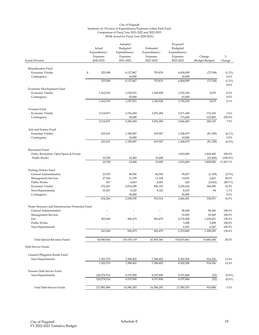|                                                   | Actual<br>Expenditures/<br>Expenses | Adopted<br>Budgeted<br>Expenditures/<br>Expenses | Estimated<br>Expenditures/<br>Expenses | Proposed<br>Budgeted<br>Expenditures/<br>Expenses | Change          | $\%$           |
|---------------------------------------------------|-------------------------------------|--------------------------------------------------|----------------------------------------|---------------------------------------------------|-----------------|----------------|
| Fund/Division                                     | 2020-2021                           | 2021-2022                                        | 2021-2022                              | 2022-2023                                         | (Budget-Budget) | Change         |
| <b>Beautification Fund</b>                        |                                     |                                                  |                                        |                                                   |                 |                |
| <b>Economic Vitality</b>                          | \$<br>525,508                       | 6,127,867                                        | 755,876                                | 6,054,099                                         | (73,768)        | (1.2%)         |
|                                                   |                                     | 10,000                                           |                                        | 10,000                                            |                 | 0.0%           |
| Contingency                                       | 525,508                             | 6,137,867                                        | 755,876                                | 6,064,099                                         | (73, 768)       |                |
|                                                   |                                     |                                                  |                                        |                                                   |                 | (1.2%)<br>0.0% |
|                                                   |                                     |                                                  |                                        |                                                   |                 |                |
| Economic Development Fund                         |                                     |                                                  |                                        |                                                   |                 |                |
| <b>Economic Vitality</b>                          | 1,162,765                           | 1,742,551                                        | 1,349,928                              | 1,745,230                                         | 2,679           | 0.2%           |
| Contingency                                       |                                     | 45,000                                           |                                        | 45,000                                            |                 | 0.0%           |
|                                                   | 1,162,765                           | 1,787,551                                        | 1,349,928                              | 1,790,230                                         | 2,679           | 0.1%           |
|                                                   |                                     |                                                  |                                        |                                                   |                 |                |
| Tourism Fund                                      |                                     |                                                  |                                        |                                                   |                 |                |
| <b>Economic Vitality</b>                          | 2,314,873                           | 3,156,284                                        | 3,076,284                              | 3,271,449                                         | 115,165         | 3.6%           |
| Contingency                                       |                                     | 50,000                                           |                                        | 175,000                                           | 125,000         | 250.0%         |
|                                                   | 2,314,873                           | 3,206,284                                        | 3,076,284                              | 3,446,449                                         | 240,165         | 7.5%           |
|                                                   |                                     |                                                  |                                        |                                                   |                 |                |
| Arts and Science Fund                             |                                     |                                                  |                                        |                                                   |                 |                |
| <b>Economic Vitality</b>                          | 623,631                             | 1,340,007                                        | 619,507                                | 1,258,679                                         | (81,328)        | $(6.1\%)$      |
| Contingency                                       |                                     | 10,000                                           |                                        | 10,000                                            |                 | 0.0%           |
|                                                   | 623,631                             | 1,350,007                                        | 619,507                                | 1,268,679                                         | (81, 328)       | $(6.0\%)$      |
|                                                   |                                     |                                                  |                                        |                                                   |                 |                |
| Recreation Fund                                   |                                     |                                                  |                                        |                                                   |                 |                |
| Parks, Recreation, Open Space & Events            |                                     | $\overline{a}$                                   |                                        | 1,810,400                                         | 1,810,400       | 100.0%         |
| Public Works                                      | 10,358                              | 10,400                                           | 10,400                                 |                                                   | (10, 400)       |                |
|                                                   |                                     |                                                  |                                        |                                                   |                 | $(100.0\%)$    |
|                                                   | 10,358                              | 10,400                                           | 10,400                                 | 1,810,400                                         | 1,800,000       | 17,307.7%      |
|                                                   |                                     |                                                  |                                        |                                                   |                 |                |
| Parking District Fund                             |                                     |                                                  |                                        |                                                   |                 |                |
| General Administration                            | 23,519                              | 40,596                                           | 40,596                                 | 39,437                                            | (1, 159)        | $(2.9\%)$      |
| Management Services                               | 27,366                              | 11,338                                           | 11,338                                 | 13,601                                            | 2,263           | 20.0%          |
| Public Works                                      | 567                                 | 4,063                                            | 4,063                                  | 420                                               | (3,643)         | (89.7%)        |
| <b>Economic Vitality</b>                          | 572,447                             | 2,014,028                                        | 846,192                                | 2,354,524                                         | 340,496         | 16.9%          |
| Non-Departmental                                  | 10,367                              | 8,325                                            | 8,325                                  | 8,419                                             | 94              | 1.1%           |
| Contingency                                       |                                     | 30,000                                           | L.                                     | 30,000                                            |                 | $0.0\%$        |
|                                                   | 634,266                             | 2,108,350                                        | 910,514                                | 2,446,401                                         | 338,051         | 16.0%          |
|                                                   |                                     |                                                  |                                        |                                                   |                 |                |
| Water Resource and Infrastructure Protection Fund |                                     |                                                  |                                        |                                                   |                 |                |
| General Administration                            |                                     |                                                  |                                        | 58,268                                            | 58,268          | 100.0%         |
| <b>Management Services</b>                        |                                     |                                                  |                                        | 10,945                                            | 10,945          | 100.0%         |
| Fire                                              | 363,568                             | 945,479                                          | 945.479                                | 2,174,900                                         | 1,229,421       | 130.0%         |
| Public Works                                      |                                     |                                                  | Ĭ.                                     | 3,208                                             | 3,208           | 100.0%         |
| Non-Departmental                                  | ٠                                   | ٠                                                | $\overline{\phantom{a}}$               | 6,547                                             | 6,547           | 100.0%         |
|                                                   | 363,568                             | 945,479                                          | 945,479                                | 2,253,868                                         | 1,308,389       | 138.4%         |
| Total Special Revenue Funds                       | 44,940,566                          | 119,155,119                                      | 47,405,364                             | 152,815,463                                       | 33,660,344      | 28.2%          |
|                                                   |                                     |                                                  |                                        |                                                   |                 |                |
| Debt Service Funds                                |                                     |                                                  |                                        |                                                   |                 |                |
| General Obligation Bonds Fund                     |                                     |                                                  |                                        |                                                   |                 |                |
| Non-Departmental                                  | 7,303,370                           | 7,388,402                                        | 7,388,402                              | 8,302,508                                         | 914,106         | 12.4%          |
|                                                   | 7,303,370                           | 7,388,402                                        | 7,388,402                              | 8,302,508                                         | 914,106         | 12.4%          |
|                                                   |                                     |                                                  |                                        |                                                   |                 |                |
| Pension Debt Service Fund                         |                                     |                                                  |                                        |                                                   |                 |                |
| Non-Departmental                                  | 120,578,514                         | 9,197,890                                        | 9,197,890                              | 9,197,868                                         | (22)            | $(0.0\%)$      |
|                                                   | 120,578,514                         | 9,197,890                                        | 9,197,890                              | 9,197,868                                         | (22)            | $(0.0\%)$      |
|                                                   |                                     |                                                  |                                        |                                                   |                 |                |
| Total Debt Service Funds                          | 127,881,884                         | 16,586,292                                       | 16,586,292                             | 17,500,376                                        | 914,084         | 5.5%           |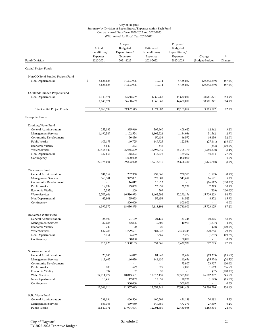|                                                      | Actual<br>Expenditures/             | Adopted<br>Budgeted<br>Expenditures/ | Estimated<br>Expenditures/             | Proposed<br>Budgeted<br>Expenditures/ | Change<br>(Budget-Budget)              |                       |
|------------------------------------------------------|-------------------------------------|--------------------------------------|----------------------------------------|---------------------------------------|----------------------------------------|-----------------------|
| Fund/Division                                        | Expenses<br>2020-2021               | Expenses<br>2021-2022                | Expenses<br>2021-2022                  | Expenses<br>2022-2023                 |                                        | $\%$<br>Change        |
| Capital Project Funds                                |                                     |                                      |                                        |                                       |                                        |                       |
| Non GO Bond Funded Projects Fund                     |                                     |                                      |                                        |                                       |                                        |                       |
| Non-Departmental                                     | \$<br>5,624,628                     | 34,303,906                           | 10,914                                 | 4,458,057                             | (29, 845, 849)                         | $(87.0\%)$            |
|                                                      | 5,624,628                           | 34,303,906                           | 10,914                                 | 4,458,057                             | (29, 845, 849)                         | $(87.0\%)$            |
| GO Bonds Funded Projects Fund                        |                                     |                                      |                                        |                                       |                                        |                       |
| Non-Departmental                                     | 1,143,971                           | 5,688,639                            | 1,060,968                              | 44,650,010                            | 38,961,371                             | 684.9%                |
|                                                      | 1,143,971                           | 5,688,639                            | 1,060,968                              | 44,650,010                            | 38,961,371                             | 684.9%                |
| Total Capital Project Funds                          | 6,768,599                           | 39,992,545                           | 1,071,882                              | 49,108,067                            | 9,115,522                              | 22.8%                 |
| <b>Enterprise Funds</b>                              |                                     |                                      |                                        |                                       |                                        |                       |
| Drinking Water Fund                                  |                                     |                                      |                                        |                                       |                                        |                       |
| General Administration                               | 253,035                             | 395,960                              | 395,960                                | 408,622                               | 12,662                                 | 3.2%                  |
| <b>Management Services</b><br>Community Development  | 1,190,547                           | 1,102,524<br>50,436                  | 1,102,524<br>50,436                    | 1,134,086<br>66,572                   | 31,562<br>16,136                       | 2.9%<br>32.0%         |
| Public Works                                         | 105,173                             | 149,725                              | 149,725                                | 122,584                               | (27, 141)                              | $(18.1\%)$            |
| <b>Economic Vitality</b>                             | 5,640                               | 543                                  | 543                                    |                                       | (543)                                  | $(100.0\%)$           |
| <b>Water Services</b>                                | 20,465,940                          | 36,955,509                           | 16,898,049                             | 35,705,179                            | (1,250,330)                            | $(3.4\%)$             |
| Non-Departmental                                     | 157,666                             | 148,373                              | 148,373                                | 189,267                               | 40,894                                 | 27.6%                 |
| Contingency                                          | 22,178,001                          | 1,000,000<br>39,803,070              | ٠<br>18,745,610                        | 1,000,000<br>38,626,310               | ٠<br>(1, 176, 760)                     | 0.0%<br>$(3.0\%)$     |
| Wastewater Fund                                      |                                     |                                      |                                        |                                       |                                        |                       |
| General Administration                               | 241,162                             | 232,368                              | 232,368                                | 230,375                               | (1,993)                                | $(0.9\%)$             |
| Management Services                                  | 360,381                             | 327,001                              | 327,001                                | 343,692                               | 16,691                                 | 5.1%                  |
| Community Development                                |                                     | 16,812                               | 16,812                                 |                                       | (16, 812)                              | $(100.0\%)$           |
| Public Works<br><b>Economic Vitality</b>             | 19,939<br>2,383                     | 23,859<br>209                        | 23,859<br>209                          | 31,232<br>$\overline{\phantom{a}}$    | 7,373<br>(209)                         | 30.9%                 |
| <b>Water Services</b>                                | 5,707,606                           | 16,580,973                           | 8,462,292                              | 32,290,176                            | 15,709,203                             | $(100.0\%)$<br>94.7%  |
| Non-Departmental                                     | 65,901                              | 55,653                               | 55,653                                 | 64,525                                | 8,872                                  | 15.9%                 |
| Contingency                                          |                                     | 800,000                              | ÷,                                     | 800,000                               | $\overline{\phantom{a}}$               | 0.0%                  |
|                                                      | 6,397,372                           | 18,036,875                           | 9,118,194                              | 33,760,000                            | 15,723,125                             | 87.2%                 |
| Reclaimed Water Fund                                 |                                     |                                      |                                        |                                       |                                        |                       |
| General Administration<br><b>Management Services</b> | 28,900<br>32,038                    | 21,139<br>42,806                     | 21,139<br>42,806                       | 31,345<br>40,969                      | 10,206<br>(1,837)                      | 48.3%<br>$(4.3\%)$    |
| Economic Vitality                                    | 240                                 | 20                                   | 20                                     |                                       | (20)                                   | $(100.0\%)$           |
| <b>Water Services</b>                                | 647,286                             | 1,779,601                            | 581,032                                | 2,300,344                             | 520,743                                | 29.3%                 |
| Non-Departmental                                     | 8,161                               | 6,569                                | 6,569                                  | 5,272                                 | (1, 297)                               | (19.7%)               |
| Contingency                                          | $\overline{\phantom{a}}$<br>716,625 | 50,000<br>1,900,135                  | $\overline{\phantom{a}}$<br>651,566    | 50,000<br>2,427,930                   | $\sim$<br>527,795                      | $0.0\%$<br>27.8%      |
| Stormwater Fund                                      |                                     |                                      |                                        |                                       |                                        |                       |
| General Administration                               | 23,285                              | 84,847                               | 84,847                                 | 71,614                                | (13, 233)                              | $(15.6\%)$            |
| <b>Management Services</b>                           | 119,602                             | 146,630                              | 146,630                                | 110,656                               | (35, 974)                              | $(24.5\%)$            |
| Community Development                                | $\overline{\phantom{a}}$            | $\overline{\phantom{a}}$             |                                        | 73,907                                | 73,907                                 | 100.0%                |
| Public Works<br><b>Economic Vitality</b>             | 108<br>397                          | 529<br>37                            | 529<br>37                              | 2,098                                 | 1,569<br>(37)                          | 296.6%<br>$(100.0\%)$ |
| <b>Water Services</b>                                | 17,211,272                          | 10,813,591                           | 12,313,139                             | 37,375,898                            | 26,562,307                             | 245.6%                |
| Non-Departmental                                     | 13,450                              | 12,059                               | 12,059                                 | 10,236                                | (1,823)                                | $(15.1\%)$            |
| Contingency                                          | 17,368,114                          | 300,000<br>11,357,693                | $\overline{\phantom{0}}$<br>12,557,241 | 300,000<br>37,944,409                 | $\overline{\phantom{a}}$<br>26,586,716 | $0.0\%$<br>234.1%     |
| Solid Waste Fund                                     |                                     |                                      |                                        |                                       |                                        |                       |
| General Administration                               | 238,034                             | 400,506                              | 400,506                                | 421,188                               | 20,682                                 | 5.2%                  |
| <b>Management Services</b>                           | 583,165                             | 449,680                              | 449,680                                | 477,379                               | 27,699                                 | 6.2%                  |
| Public Works                                         | 11,640,371                          | 17,994,694                           | 12,004,350                             | 22,480,088                            | 4,485,394                              | 24.9%                 |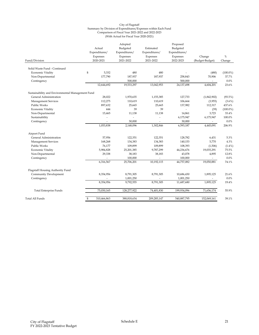| Fund/Division                                    |    | Actual<br>Expenditures/<br>Expenses<br>2020-2021 | Adopted<br>Budgeted<br>Expenditures/<br>Expenses<br>2021-2022 | Estimated<br>Expenditures/<br>Expenses<br>2021-2022 | Proposed<br>Budgeted<br>Expenditures/<br>Expenses<br>2022-2023 | Change<br>(Budget-Budget) | $\%$<br>Change |
|--------------------------------------------------|----|--------------------------------------------------|---------------------------------------------------------------|-----------------------------------------------------|----------------------------------------------------------------|---------------------------|----------------|
|                                                  |    |                                                  |                                                               |                                                     |                                                                |                           |                |
| Solid Waste Fund - Continued                     |    |                                                  |                                                               |                                                     |                                                                |                           |                |
| <b>Economic Vitality</b>                         | \$ | 5,332                                            | 480                                                           | 480                                                 |                                                                | (480)                     | $(100.0\%)$    |
| Non-Departmental                                 |    | 177,790                                          | 187,937                                                       | 187,937                                             | 258,843                                                        | 70,906                    | 37.7%          |
| Contingency                                      |    | $\overline{\phantom{a}}$                         | 500,000                                                       | $\overline{\phantom{a}}$                            | 500,000                                                        | $\sim$                    | 0.0%           |
|                                                  |    | 12,644,692                                       | 19,533,297                                                    | 13,042,953                                          | 24,137,498                                                     | 4,604,201                 | 23.6%          |
| Sustainability and Environmental Management Fund |    |                                                  |                                                               |                                                     |                                                                |                           |                |
| General Administration                           |    | 28,022                                           | 1,970,635                                                     | 1,155,385                                           | 127,733                                                        | (1,842,902)               | $(93.5\%)$     |
| Management Services                              |    | 112,275                                          | 110,619                                                       | 110,619                                             | 106,664                                                        | (3,955)                   | $(3.6\%)$      |
| Public Works                                     |    | 897,632                                          | 25,665                                                        | 25,665                                              | 137,982                                                        | 112,317                   | 437.6%         |
| Economic Vitality                                |    | 444                                              | 39                                                            | 39                                                  | ä,                                                             | (39)                      | $(100.0\%)$    |
| Non-Departmental                                 |    | 15,465                                           | 11,138                                                        | 11,138                                              | 14,861                                                         | 3,723                     | 33.4%          |
| Sustainability                                   |    | ÷,                                               | $\overline{\phantom{a}}$                                      |                                                     | 6,175,947                                                      | 6,175,947                 | 100.0%         |
| Contingency                                      |    |                                                  | 30.000                                                        |                                                     | 30,000                                                         | $\overline{\phantom{a}}$  | 0.0%           |
|                                                  |    | 1,053,838                                        | 2,148,096                                                     | 1,302,846                                           | 6,593,187                                                      | 4,445,091                 | 206.9%         |
| Airport Fund                                     |    |                                                  |                                                               |                                                     |                                                                |                           |                |
| General Administration                           |    | 57,956                                           | 122,351                                                       | 122,351                                             | 128,782                                                        | 6,431                     | 5.3%           |
| <b>Management Services</b>                       |    | 168,268                                          | 134,383                                                       | 134,383                                             | 140,153                                                        | 5,770                     | 4.3%           |
| <b>Public Works</b>                              |    | 76,177                                           | 109,899                                                       | 109,899                                             | 108,393                                                        | (1,506)                   | $(1.4\%)$      |
| Economic Vitality                                |    | 5,984,828                                        | 25,201,385                                                    | 9,787,299                                           | 44,236,676                                                     | 19,035,291                | 75.5%          |
| Non-Departmental                                 |    | 29,338                                           | 38,183                                                        | 38,183                                              | 43,078                                                         | 4,895                     | 12.8%          |
| Contingency                                      |    | $\overline{\phantom{a}}$                         | 100,000                                                       |                                                     | 100,000                                                        | $\overline{\phantom{a}}$  | 0.0%           |
|                                                  |    | 6,316,567                                        | 25,706,201                                                    | 10,192,115                                          | 44,757,082                                                     | 19,050,881                | 74.1%          |
| Flagstaff Housing Authority Fund                 |    |                                                  |                                                               |                                                     |                                                                |                           |                |
| Community Development                            |    | 8,354,956                                        | 8,791,305                                                     | 8,791,305                                           | 10,686,430                                                     | 1,895,125                 | 21.6%          |
| Contingency                                      |    |                                                  | 1,001,250                                                     | $\overline{\phantom{a}}$                            | 1,001,250                                                      |                           | 0.0%           |
|                                                  |    | 8,354,956                                        | 9,792,555                                                     | 8,791,305                                           | 11,687,680                                                     | 1,895,125                 | 19.4%          |
| <b>Total Enterprise Funds</b>                    |    | 75,030,165                                       | 128,277,922                                                   | 74,401,830                                          | 199,934,096                                                    | 71,656,174                | 55.9%          |
| Total All Funds                                  | \$ | 310,466,863                                      | 388,818,634                                                   | 209,285,147                                         | 540,887,795                                                    | 152,069,161               | 39.1%          |
|                                                  |    |                                                  |                                                               |                                                     |                                                                |                           |                |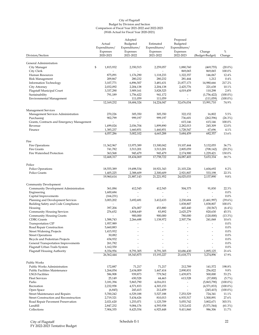#### City of Flagstaff Budget by Division and Section Comparison of Fiscal Year 2021-2022 and 2022-2023 (With Actual for Fiscal Year 2020-2021)

|                                                         | Actual<br>Expenditures/<br>Expenses | Adopted<br>Budgeted<br>Expenditures/<br>Expenses | Estimated<br>Expenditures/<br>Expenses | Proposed<br>Budgeted<br>Expenditures/<br>Expenses | Change                  | $\%$                |
|---------------------------------------------------------|-------------------------------------|--------------------------------------------------|----------------------------------------|---------------------------------------------------|-------------------------|---------------------|
| Division/Section                                        | 2020-2021                           | 2021-2022                                        | 2021-2022                              | 2022-2023                                         | (Budget-Budget)         | Change              |
| General Administration                                  |                                     |                                                  |                                        |                                                   |                         |                     |
| City Manager                                            | \$<br>1,815,932                     | 2,350,515                                        | 2,259,057                              | 1,880,760                                         | (469,755)               | $(20.0\%)$          |
| City Clerk                                              |                                     | $\sim$                                           |                                        | 869,065                                           | 869,065                 | 100.0%              |
| Human Resources<br>Risk Management                      | 875,091<br>209,867                  | 1,176,290<br>280,232                             | 1,118,233<br>280,232                   | 1,322,357<br>281,444                              | 146,067<br>1,212        | 12.4%<br>0.4%       |
| <b>Information Technology</b>                           | 3,107,771                           | 6,896,507                                        | 3,481,631                              | 21,877,173                                        | 14,980,666              | 217.2%              |
| City Attorney                                           | 2,032,092                           | 2,204,138                                        | 2,204,138                              | 2,425,776                                         | 221,638                 | 10.1%               |
| Flagstaff Municipal Court                               | 3,337,290                           | 3,909,161                                        | 3,828,525                              | 4,019,459                                         | 110,298                 | 2.8%                |
| Sustainability                                          | 791,189                             | 1,756,422                                        | 941,172                                | ÷                                                 | (1,756,422)             | $(100.0\%)$         |
| Environmental Management                                |                                     | 111,059                                          | 111,059                                |                                                   | (111,059)               | $(100.0\%)$         |
|                                                         | 12,169,232                          | 18,684,324                                       | 14,224,047                             | 32,676,034                                        | 13,991,710              | 74.9%               |
| <b>Management Services</b>                              |                                     |                                                  |                                        |                                                   |                         |                     |
| Management Services Administration                      | 270,226                             | 305,350                                          | 305,350                                | 322,152                                           | 16,802                  | 5.5%                |
| Purchasing                                              | 902,799                             | 999,197                                          | 999,197                                | 736,601                                           | (262, 596)              | (26.3%)             |
| Grants, Contracts and Emergency Management              |                                     | $\overline{\phantom{a}}$                         |                                        | 615,146                                           | 615,146                 | 100.0%              |
| Revenue                                                 | 1,499,024                           | 2,036,704                                        | 1,899,890                              | 2,282,013                                         | 245,309                 | 12.0%               |
| Finance                                                 | 1,385,237<br>4,057,286              | 1,660,851<br>5,002,102                           | 1,460,851<br>4,665,288                 | 1,728,547<br>5,684,459                            | 67,696<br>682,357       | 4.1%<br>13.6%       |
|                                                         |                                     |                                                  |                                        |                                                   |                         |                     |
| Fire                                                    |                                     |                                                  |                                        |                                                   |                         |                     |
| Fire Operations<br><b>Fire Grants</b>                   | 11,362,967<br>741,782               | 13,975,389<br>3,513,201                          | 13,300,042<br>3,513,201                | 19,107,444<br>2,805,059                           | 5,132,055<br>(708, 142) | 36.7%<br>$(20.2\%)$ |
| <b>Fire Watershed Protection</b>                        | 363,568                             | 945,479                                          | 945,479                                | 2,174,900                                         | 1,229,421               | 130.0%              |
|                                                         | 12,468,317                          | 18,434,069                                       | 17,758,722                             | 24,087,403                                        | 5,653,334               | 30.7%               |
| Police                                                  |                                     |                                                  |                                        |                                                   |                         |                     |
| <b>Police Operations</b>                                | 18,555,389                          | 19,498,534                                       | 18,921,343                             | 21,103,226                                        | 1,604,692               | 8.2%                |
| <b>Police Grants</b>                                    | 1,405,225                           | 2,388,609                                        | 2,300,609                              | 2,921,807                                         | 533,198                 | 22.3%               |
|                                                         | 19,960,614                          | 21,887,143                                       | 21,221,952                             | 24,025,033                                        | 2,137,890               | 9.8%                |
| Community Development                                   |                                     |                                                  |                                        |                                                   |                         |                     |
| Community Development Administration                    | 361,084                             | 412,545                                          | 412,545                                | 504,375                                           | 91,830                  | 22.3%               |
| Engineering                                             | 1,600,684                           | $\overline{a}$                                   |                                        | $\overline{\phantom{m}}$                          | $\frac{1}{2}$           | $0.0\%$             |
| Capital Improvements                                    | (164, 231)                          |                                                  |                                        |                                                   | ٠                       | $0.0\%$             |
| Planning and Development Services                       | 3,003,202                           | 3,692,681                                        | 3,412,633                              | 2,230,684                                         | (1,461,997)             | $(39.6\%)$          |
| Building Safety and Code Compliance                     |                                     |                                                  |                                        | 1,838,807                                         | 1,838,807               | 100.0%              |
| Housing                                                 | 397,204                             | 476,007                                          | 453,880                                | 445,440                                           | (30, 567)               | $(6.4\%)$           |
| <b>Community Housing Services</b>                       | 276,652                             | 1,804,649<br>900,000                             | 83,892                                 | 2,625,279                                         | 820,630                 | 45.5%               |
| <b>Community Housing Grants</b><br><b>CDBG</b> Grants   | ۰<br>1,588,743                      | 2,266,688                                        | 900,000<br>1,138,972                   | 780,000<br>2,507,756                              | (120,000)<br>241,068    | (13.3%)<br>10.6%    |
| Transportation CIP                                      | 1,957,989                           | $\overline{\phantom{a}}$                         | ä,                                     | $\overline{\phantom{m}}$                          | ٠                       | 0.0%                |
| Road Repair Construction                                | 5,660,883                           |                                                  |                                        |                                                   |                         | 0.0%                |
| <b>Street Widening Projects</b>                         | 1,415,932                           |                                                  |                                        |                                                   | ٠                       | $0.0\%$             |
| <b>Street Operations</b>                                | 30,082                              |                                                  |                                        |                                                   |                         | $0.0\%$             |
| Bicycle and Pedestrian Projects                         | 654,932                             |                                                  |                                        |                                                   |                         | $0.0\%$             |
| General Transportation Improvements                     | 261,782                             |                                                  |                                        |                                                   |                         | $0.0\%$             |
| Flagstaff Urban Trails System                           | 1,162,550                           |                                                  |                                        |                                                   |                         | $0.0\%$             |
| <b>Flagstaff Housing Authority</b>                      | 8,354,956<br>26,562,444             | 8,791,305<br>18,343,875                          | 8,791,305<br>15,193,227                | 10,686,430<br>21,618,771                          | 1,895,125<br>3,274,896  | 21.6%<br>17.9%      |
|                                                         |                                     |                                                  |                                        |                                                   |                         |                     |
| Public Works                                            |                                     |                                                  |                                        |                                                   |                         |                     |
| Public Works Administration                             | 172,887                             | 71,217                                           | 71,217                                 | 212,789                                           | 141,572                 | 198.8%              |
| Public Facilities Maintenance<br><b>USGS Facilities</b> | 1,264,054<br>586,908                | 2,634,009<br>939,873                             | 1,447,414<br>779,562                   | 2,890,831<br>1,439,873                            | 256,822<br>500,000      | 9.8%<br>53.2%       |
| <b>Fleet Services</b>                                   | 25,149                              | 650,528                                          | 44,463                                 | 613,528                                           | (37,000)                | (5.7%)              |
| Parks                                                   | 3,181,394                           | 5,865,790                                        | 4,016,011                              |                                                   | (5,865,790)             | $(100.0\%)$         |
| Recreation                                              | 2,232,958                           | 4,571,833                                        | 4,303,153                              |                                                   | (4,571,833)             | $(100.0\%)$         |
| Open Space                                              | (6,845)                             | 245,415                                          | 212,459                                |                                                   | (245, 415)              | $(100.0\%)$         |
| Street Maintenance and Repairs                          | 5,700,242                           | 6,529,188                                        | 5,527,188                              | 7,253,529                                         | 724,341                 | 11.1%               |
| Street Construction and Reconstruction                  | 2,719,321                           | 5,434,626                                        | 810,013                                | 6,935,517                                         | 1,500,891               | 27.6%               |
| Road Repair Pavement Preservation                       | 2,021,620                           | 1,253,071                                        | 1,125,709                              | 5,055,742                                         | 3,802,671               | 303.5%              |
| Landfill                                                | 2,847,232                           | 9,084,176                                        | 4,593,938                              | 3,512,632                                         | (5,571,544)             | (61.3%)             |
| Collections                                             | 7,904,355                           | 8,425,554                                        | 6,925,448                              | 9,411,860                                         | 986,306                 | 11.7%               |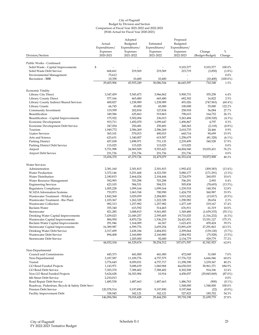#### City of Flagstaff Budget by Division and Section Comparison of Fiscal Year 2021-2022 and 2022-2023 (With Actual for Fiscal Year 2020-2021)

|                                                                          | Actual<br>Expenditures/<br>Expenses | Adopted<br>Budgeted<br>Expenditures/<br>Expenses | Estimated<br>Expenditures/<br>Expenses | Proposed<br>Budgeted<br>Expenditures/<br>Expenses | Change                 | %                   |
|--------------------------------------------------------------------------|-------------------------------------|--------------------------------------------------|----------------------------------------|---------------------------------------------------|------------------------|---------------------|
| Division/Section                                                         | 2020-2021                           | 2021-2022                                        | 2021-2022                              | 2022-2023                                         | (Budget-Budget)        | Change              |
| Public Works - Continued                                                 |                                     |                                                  |                                        |                                                   |                        |                     |
| Solid Waste - Capital Improvements                                       | \$                                  |                                                  |                                        | 9,103,577                                         | 9,103,577              | 100.0%              |
| Solid Waste Debt Service                                                 | 668,661                             | 219,569                                          | 219,569                                | 215,719                                           | (3,850)                | $(1.8\%)$           |
| <b>Environmental Management</b>                                          | 75,612                              | L,                                               |                                        | -                                                 |                        | $0.0\%$             |
| Recreation - BBB                                                         | 10,358                              | 10,400                                           | 10,400                                 | L.                                                | (10, 400)              | $(100.0\%)$         |
|                                                                          | 29,403,906                          | 45,935,249                                       | 30,086,544                             | 46,645,597                                        | 710,348                | 1.5%                |
| <b>Economic Vitality</b>                                                 |                                     |                                                  |                                        |                                                   |                        |                     |
| Library City Direct                                                      | 3,347,459                           | 5,545,473                                        | 3,966,862                              | 5,900,731                                         | 355,258                | 6.4%                |
| Library County Direct                                                    | 577,166                             | 665,480                                          | 665,480                                | 682,302                                           | 16,822                 | 2.5%                |
| Library County Indirect Shared Services                                  | 400,827                             | 1,238,989                                        | 1,238,989                              | 491,026                                           | (747, 963)             | $(60.4\%)$          |
| Library Grants                                                           | 66,745                              | 45,000                                           | 45,000                                 | 100,000                                           | 55,000                 | 122.2%              |
| Community Investment                                                     | 119,599                             | 202,834                                          | 127,834                                | 258,918                                           | 56,084                 | 27.7%               |
| Beautification                                                           | 349,586                             | 625,863                                          | 519,863                                | 790,615                                           | 164,752                | 26.3%               |
| Beautification - Capital Improvements                                    | 175,922                             | 5,502,004                                        | 236,013                                | 5,263,484                                         | (238, 520)             | $(4.3\%)$           |
| Economic Development                                                     | 915,711                             | 1,492,070                                        | 1,099,447                              | 1,496,867                                         | 4,797                  | 0.3%                |
| Economic Development Debt Service                                        | 247,054                             | 250,481                                          | 250,481                                | 248,363                                           | (2, 118)               | $(0.8\%)$           |
| Tourism                                                                  | 1,949,772                           | 2,586,269                                        | 2,586,269                              | 2,610,735                                         | 24,466                 | 0.9%                |
| <b>Visitor Services</b>                                                  | 365,101                             | 570,015                                          | 490,015                                | 660,714                                           | 90,699                 | 15.9%               |
| Arts and Science                                                         | 623,631                             | 1,340,007                                        | 619,507                                | 1,258,679                                         | (81, 328)              | $(6.1\%)$           |
| Parking District                                                         | 457,038                             | 1,898,971                                        | 731,135                                | 2,239,499                                         | 340,528                | 17.9%               |
| Parking District Debt Service                                            | 115,025                             | 115,025                                          | 115,025                                | 115,025                                           | ÷,                     | 0.0%                |
| Airport                                                                  | 5,751,998                           | 24,969,509                                       | 9,555,423                              | 44,004,940                                        | 19,035,431             | 76.2%               |
| <b>Airport Debt Service</b>                                              | 231,736                             | 231,736                                          | 231,736                                | 231,736                                           |                        | 0.0%                |
|                                                                          | 15,694,370                          | 47,279,726                                       | 22,479,079                             | 66,353,634                                        | 19,073,908             | 40.3%               |
| <b>Water Services</b>                                                    |                                     |                                                  |                                        |                                                   |                        |                     |
| Administration                                                           | 2,381,160                           | 2,301,815                                        | 2,301,815                              | 1,992,432                                         | (309, 383)             | $(13.4\%)$          |
| <b>Water Production</b>                                                  | 3,372,146                           | 5,251,468                                        | 4,323,550                              | 5,080,177                                         | (171,291)              | $(3.3\%)$           |
| Water Distribution                                                       | 2,180,815                           | 2,464,024                                        | 2,104,444                              | 2,724,079                                         | 260,055                | 10.6%               |
| Water Resource Management                                                | 592,993                             | 703,298                                          | 703,298                                | 706,291                                           | 2,993                  | 0.4%                |
| <b>Engineering Services</b>                                              | 423,103                             | 584,531                                          | 584,531                                | 505,838                                           | (78, 693)              | (13.5%)             |
| Regulatory Compliance                                                    | 1,005,228                           | 1,099,164                                        | 1,099,164                              | 1,239,518                                         | 140,354                | 12.8%               |
| <b>SCADA</b> Information Systems                                         | 753,973                             | 1,063,768                                        | 700,990                                | 1,424,755                                         | 360,987                | 33.9%               |
| Wastewater Treatment - Wildcat                                           | 1,842,568                           | 3,029,059                                        | 2,284,883                              | 3,015,242                                         | (13, 817)              | $(0.5\%)$           |
| Wastewater Treatment - Rio Plant                                         | 1,103,367                           | 1,262,328                                        | 1,222,328                              | 1,290,982                                         | 28,654                 | 2.3%                |
| Wastewater Collection                                                    | 982,313                             | 1,257,982                                        | 1,257,982                              | 1,477,149                                         | 219,167                | 17.4%               |
| Reclaim Water                                                            | 355,340                             | 615,592                                          | 514,465                                | 676,911                                           | 61,319                 | 10.0%               |
| Stormwater                                                               | 821,285                             | 3,008,815                                        | 9,561,885                              | 1,349,480                                         | (1,659,335)            | $(55.1\%)$          |
| Drinking Water Capital Improvements                                      | 7,439,023                           | 21,049,257                                       | 2,595,405                              | 19,733,025                                        | (1,316,232)            | $(6.3\%)$           |
| <b>Wastewater Capital Improvements</b>                                   | 884,950                             | 8,870,724                                        | 1,536,219                              | 24,421,851                                        | 15,551,127             | 175.3%              |
| Reclaim Water Capital Improvements                                       | 291,946                             | 1,164,009                                        | 66,567                                 | 1,623,433                                         | 459,424                | 39.5%               |
| Stormwater Capital Improvements                                          | 16,389,987                          | 6,599,776                                        | 2,659,254                              | 33,891,639                                        | 27,291,863             | 413.5%              |
| Drinking Water Debt Service                                              | 2,317,499                           | 2,438,184                                        | 2,484,852                              | 2,299,064                                         | (139, 120)             | (5.7%)              |
| <b>Wastewater Debt Service</b>                                           | 894,408                             | 2,160,880                                        | 2,160,880                              | 2,084,952                                         | (75, 928)              | (3.5%)              |
| Stormwater Debt Service                                                  | 44,032,104                          | 1,205,000<br>66,129,674                          | 92,000<br>38,254,512                   | 2,134,779<br>107,671,597                          | 929,779<br>41,541,923  | 77.2%<br>62.8%      |
|                                                                          |                                     |                                                  |                                        |                                                   |                        |                     |
| Non-Departmental<br>Council and Commissions                              | 445,373                             | 441,000                                          |                                        | 472,049                                           |                        |                     |
|                                                                          |                                     |                                                  | 441,000                                |                                                   | 31,049                 | 7.0%                |
| Non-Departmental<br>Transit                                              | 3,187,587                           | 11,109,776                                       | 4,757,575                              | 17,776,722                                        | 6,666,946<br>3,239,367 | 60.0%               |
|                                                                          | 3,776,645                           | 8,059,031                                        | 4,757,717                              | 11,298,398                                        |                        | 40.2%<br>684.9%     |
| GO Bond Funded Projects                                                  | 1,143,971                           | 5,688,639                                        | 1,060,968                              | 44,650,010                                        | 38,961,371             |                     |
| GO Bond Debt Service                                                     | 7,303,370<br>5,624,628              | 7,388,402                                        | 7,388,402                              | 8,302,508                                         | 914,106                | 12.4%               |
| Non GO Bond Funded Projects                                              |                                     | 34,303,906                                       | 10,914                                 | 4,458,057                                         | (29, 845, 849)         | $(87.0\%)$          |
| 4th Street Debt Service                                                  | 2,210,013<br>1,485,538              | 1,487,663                                        | 1,487,663                              | 1,486,763                                         | (900)                  | $0.0\%$             |
| Road Repair Debt Service                                                 |                                     |                                                  |                                        |                                                   | 1,548,000              | $(0.1\%)$<br>100.0% |
| Roadway, Pedestrian, Bicycle & Safety Debt Servi<br>Pension Debt Service | 120,578,514                         | 9,197,890                                        | 9,197,890                              | 1,548,000<br>9,197,868                            |                        | $(0.0\%)$           |
| Facility Improvement Debt                                                | 338,945                             | 342,121                                          | 342,121                                | 527,823                                           | (22)<br>185,702        | 54.3%               |
|                                                                          | 146,094,584                         | 78,018,428                                       | 29,444,250                             | 99,718,198                                        | 21,699,770             | 27.8%               |
|                                                                          |                                     |                                                  |                                        |                                                   |                        |                     |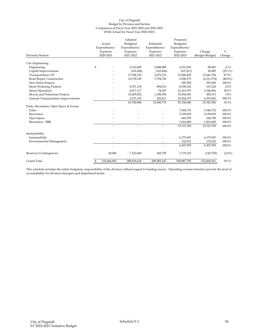#### City of Flagstaff Budget by Division and Section Comparison of Fiscal Year 2021-2022 and 2022-2023 (With Actual for Fiscal Year 2020-2021)

| Division/Section                       | Actual<br>Expenditures/<br>Expenses<br>2020-2021 | Adopted<br>Budgeted<br>Expenditures/<br>Expenses<br>2021-2022 | Estimated<br>Expenditures/<br>Expenses<br>2021-2022 | Proposed<br>Budgeted<br>Expenditures/<br>Expenses<br>2022-2023 | Change<br>(Budget-Budget) | $\%$<br>Change |
|----------------------------------------|--------------------------------------------------|---------------------------------------------------------------|-----------------------------------------------------|----------------------------------------------------------------|---------------------------|----------------|
| City Engineering                       |                                                  |                                                               |                                                     |                                                                |                           |                |
| \$<br>Engineering                      |                                                  | 2,143,009                                                     | 2,088,009                                           | 2,231,692                                                      | 88,683                    | 4.1%           |
| Capital Improvements                   |                                                  | (143, 496)                                                    | (143, 496)                                          | (107, 411)                                                     | 36,085                    | $(25.1\%)$     |
| Transportation CIP                     |                                                  | 17,558,725                                                    | 3,679,176                                           | 33,000,429                                                     | 15,441,704                | 87.9%          |
| Road Repair Construction               |                                                  | 12,718,149                                                    | 7,794,720                                           | 6,506,575                                                      | (6,211,574)               | $(48.8\%)$     |
| New Street Projects                    |                                                  |                                                               |                                                     | 295,500                                                        | 295,500                   | 100.0%         |
| <b>Street Widening Projects</b>        |                                                  | 8,371,118                                                     | 494,013                                             | 8,538,342                                                      | 167,224                   | 2.0%           |
| <b>Street Operations</b>               |                                                  | 8,817,117                                                     | 74,947                                              | 12,163,973                                                     | 3,346,856                 | 38.0%          |
| <b>Bicycle and Pedestrian Projects</b> |                                                  | 10,209,052                                                    | 1,398,596                                           | 10,594,565                                                     | 385,513                   | 3.8%           |
| General Transportation Improvements    |                                                  | 2,107,310                                                     | 202,811                                             | 10,504,375                                                     | 8,397,065                 | 398.5%         |
|                                        |                                                  | 61,780,984                                                    | 15,588,776                                          | 83,728,040                                                     | 21,947,056                | 35.5%          |
| Parks, Recreation, Open Space & Events |                                                  |                                                               |                                                     |                                                                |                           |                |
| Parks                                  |                                                  |                                                               |                                                     | 7,540,732                                                      | 7,540,732                 | 100.0%         |
| Recreation                             |                                                  |                                                               |                                                     | 5,199,839                                                      | 5,199,839                 | 100.0%         |
| Open Space                             |                                                  |                                                               |                                                     | 640,789                                                        | 640,789                   | 100.0%         |
| Recreation - BBB                       |                                                  |                                                               | $\tilde{\phantom{a}}$                               | 1,810,400                                                      | 1,810,400                 | 100.0%         |
|                                        | $\overline{\phantom{a}}$                         | $\overline{\phantom{a}}$                                      | $\overline{\phantom{a}}$                            | 15,191,760                                                     | 15,191,760                | 100.0%         |
| Sustainability                         |                                                  |                                                               |                                                     |                                                                |                           |                |
| Sustainability                         |                                                  |                                                               |                                                     | 6,175,947                                                      | 6,175,947                 | 100.0%         |
| <b>Environmental Management</b>        |                                                  | $\overline{\phantom{a}}$                                      |                                                     | 132,012                                                        | 132,012                   | 100.0%         |
|                                        |                                                  |                                                               |                                                     | 6,307,959                                                      | 6,307,959                 | 100.0%         |
| Reserves/Contingencies                 | 24,006                                           | 7,323,060                                                     | 368,750                                             | 7,179,310                                                      | (143,750)                 | $(2.0\%)$      |
| <b>Grand Total</b><br>\$               | 310,466,863                                      | 388,818,634                                                   | 209, 285, 147                                       | 540,887,795                                                    | 152,069,161               | 39.1%          |

This schedule includes the entire budgetary responsibility of the division without regard to funding source. Operating revenue transfers provide the level of accountability for division managers and department heads.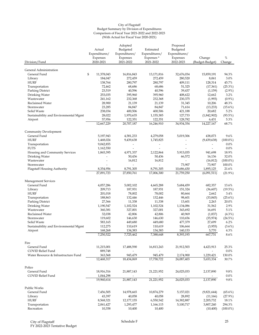#### City of Flagstaff Budget Summary by Division of Expenditures Comparison of Fiscal Year 2021-2022 and 2022-2023 (With Actual for Fiscal Year 2020-2021)

|                                       | Actual<br>Expenditures/<br>Expenses | Adopted<br>Budgeted<br>Expenditures/<br>Expenses | Estimated<br>Expenditures/<br>Expenses * | Proposed<br>Budgeted<br>Expenditures/<br>Expenses | Change                   | %               |
|---------------------------------------|-------------------------------------|--------------------------------------------------|------------------------------------------|---------------------------------------------------|--------------------------|-----------------|
| Division/Fund                         | 2020-2021                           | 2021-2022                                        | 2021-2022                                | 2022-2023                                         | (Budget-Budget)          | Change          |
| General Administration                |                                     |                                                  |                                          |                                                   |                          |                 |
| General Fund                          | \$<br>11,378,043                    | 16,816,843                                       | 13,171,816                               | 32,676,034                                        | 15,859,191               | 94.3%           |
| Library                               | 184,047                             | 272,459                                          | 272,459                                  | 280,520                                           | 8,061                    | 3.0%            |
| <b>HURF</b>                           | 138,764                             | 280,797                                          | 280,797                                  | 409,111                                           | 128,314                  | 45.7%           |
| Transportation                        | 72,462                              | 68,686                                           | 68,686                                   | 51,325                                            | (17, 361)                | $(25.3\%)$      |
| Parking District                      | 23,519                              | 40,596                                           | 40,596                                   | 39,437                                            | (1, 159)                 | $(2.9\%)$       |
| Drinking Water                        | 253,035                             | 395,960                                          | 395,960                                  | 408,622                                           | 12,662                   | 3.2%            |
| Wastewater                            | 241,162                             | 232,368                                          | 232,368                                  | 230,375                                           | (1,993)                  | $(0.9\%)$       |
| Reclaimed Water                       | 28,900                              | 21,139                                           | 21,139                                   | 31,345                                            | 10,206                   | 48.3%           |
| Stormwater                            | 23,285                              | 84,847                                           | 84,847                                   | 71,614                                            | (13, 233)                | $(15.6\%)$      |
| Solid Waste                           | 238,034                             | 400,506                                          | 400,506                                  | 421,188                                           | 20,682                   | 5.2%            |
| Sustainability and Environmental Mgmt | 28,022<br>57,956                    | 1,970,635<br>122,351                             | 1,155,385<br>122,351                     | 127,733<br>128,782                                | (1,842,902)              | (93.5%)<br>5.3% |
| Airport                               | 12,667,229                          | 20,707,187                                       | 16,246,910                               | 34,934,354                                        | 6,431<br>14,227,167      | 68.7%           |
|                                       |                                     |                                                  |                                          |                                                   |                          |                 |
| Community Development                 |                                     |                                                  |                                          |                                                   |                          |                 |
| General Fund                          | 5,197,943                           | 4,581,233                                        | 4,279,058                                | 5,019,306                                         | 438,073                  | 9.6%            |
| <b>HURF</b>                           | 1,468,024                           | 9,439,638                                        | 1,745,825                                |                                                   | (9,439,638)              | $(100.0\%)$     |
| Transportation                        | 9,042,855                           | $\overline{\phantom{a}}$                         | -                                        |                                                   | $\overline{\phantom{a}}$ | 0.0%            |
| <b>FUTS</b>                           | 1,162,550                           |                                                  |                                          |                                                   | $\overline{a}$           | 0.0%            |
| Housing and Community Services        | 1,865,395                           | 4,971,337                                        | 2,122,864                                | 5,913,035<br>66,572                               | 941,698<br>16,136        | 18.9%<br>32.0%  |
| Drinking Water<br>Wastewater          |                                     | 50,436<br>16,812                                 | 50,436<br>16,812                         |                                                   | (16, 812)                | $(100.0\%)$     |
| Stormwater                            |                                     |                                                  |                                          | 73,907                                            | 73,907                   | 100.0%          |
| <b>Flagstaff Housing Authority</b>    | 8,354,956                           | 8,791,305                                        | 8,791,305                                | 10,686,430                                        | 1,895,125                | 21.6%           |
|                                       | $\overline{27}$ ,091,723            | 27,850,761                                       | 17,006,300                               | 21,759,250                                        | (6,091,511)              | (21.9%)         |
| <b>Management Services</b>            |                                     |                                                  |                                          |                                                   |                          |                 |
| General Fund                          | 4,057,286                           | 5,002,102                                        | 4,665,288                                | 5,684,459                                         | 682,357                  | 13.6%           |
| Library                               | 209,713                             | 187,931                                          | 187,931                                  | 151,324                                           | (36,607)                 | $(19.5\%)$      |
| <b>HURF</b>                           | 201,018                             | 78,002                                           | 78,002                                   | 80,664                                            | 2,662                    | 3.4%            |
| Transportation                        | 188,863                             | 132,446                                          | 132,446                                  | 98,601                                            | (33, 845)                | $(25.6\%)$      |
| Parking District                      | 27,366                              | 11,338                                           | 11,338                                   | 13,601                                            | 2,263                    | 20.0%           |
| Drinking Water                        | 1,190,547                           | 1,102,524                                        | 1,102,524                                | 1,134,086                                         | 31,562                   | 2.9%            |
| Wastewater                            | 360,381                             | 327,001                                          | 327,001                                  | 343,692                                           | 16,691                   | 5.1%            |
| Reclaimed Water                       | 32,038                              | 42,806                                           | 42,806                                   | 40,969                                            | (1,837)                  | $(4.3\%)$       |
| Stormwater                            | 119,602                             | 146,630                                          | 146,630                                  | 110,656                                           | (35, 974)                | (24.5%)         |
| Solid Waste                           | 583,165                             | 449,680                                          | 449,680                                  | 477,379                                           | 27,699                   | 6.2%            |
| Sustainability and Environmental Mgmt | 112,275                             | 110,619                                          | 110,619                                  | 106,664                                           | (3,955)                  | $(3.6\%)$       |
| Airport                               | 168,268                             | 134,383                                          | 134,383                                  | 140,153                                           | 5,770                    | 4.3%            |
|                                       | 7,250,522                           | 7,725,462                                        | 7,388,648                                | 8,393,193                                         | 667,731                  | 8.6%            |
| Fire                                  |                                     |                                                  |                                          |                                                   |                          |                 |
| General Fund                          | 11,215,001                          | 17,488,590                                       | 16,813,243                               | 21,912,503                                        | 4,423,913                | 25.3%           |
| <b>COVID Relief Fund</b>              | 889,748                             |                                                  |                                          |                                                   |                          | 0.0%            |
| Water Resource & Infrastructure Fund  | 363,568                             | 945,479                                          | 945,479                                  | 2,174,900                                         | 1,229,421                | 130.0%          |
|                                       | 12,468,317                          | 18,434,069                                       | 17,758,722                               | 24,087,403                                        | 5,653,334                | 30.7%           |
| Police                                |                                     |                                                  |                                          |                                                   |                          |                 |
| General Fund                          | 18,916,316                          | 21,887,143                                       | 21,221,952                               | 24,025,033                                        | 2,137,890                | 9.8%            |
| <b>COVID Relief Fund</b>              | 1,044,298                           |                                                  |                                          |                                                   |                          | 0.0%            |
|                                       | 19,960,614                          | 21,887,143                                       | 21,221,952                               | 24,025,033                                        | 2,137,890                | 9.8%            |
| Public Works                          |                                     |                                                  |                                          |                                                   |                          |                 |
| General Fund                          | 7,456,505                           | 14,978,665                                       | 10,874,279                               | 5,157,021                                         | (9,821,644)              | $(65.6\%)$      |
| Library                               | 43,397                              | 40,058                                           | 40,058                                   | 28,892                                            | (11, 166)                | (27.9%)         |
| <b>HURF</b>                           | 8,568,321                           | 12,177,155                                       | 6,550,542                                | 14,382,887                                        | 2,205,732                | 18.1%           |
| Transportation                        | 2,061,427                           | 1,293,477                                        | 1,166,115                                | 5,100,717                                         | 3,807,240                | 294.3%          |
| Recreation                            | 10,358                              | 10,400                                           | 10,400                                   |                                                   | (10, 400)                | $(100.0\%)$     |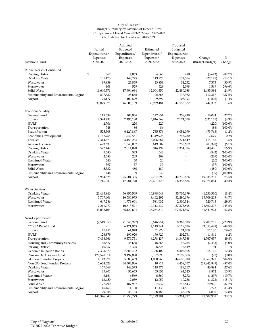#### City of Flagstaff Budget Summary by Division of Expenditures Comparison of Fiscal Year 2021-2022 and 2022-2023 (With Actual for Fiscal Year 2020-2021)

| Division/Fund                            | Actual<br>Expenditures/<br>Expenses<br>2020-2021 | Adopted<br>Budgeted<br>Expenditures/<br>Expenses<br>2021-2022 | Estimated<br>Expenditures/<br>Expenses*<br>2021-2022 | Proposed<br>Budgeted<br>Expenditures/<br>Expenses<br>2022-2023 | Change<br>(Budget-Budget) | %<br>Change      |
|------------------------------------------|--------------------------------------------------|---------------------------------------------------------------|------------------------------------------------------|----------------------------------------------------------------|---------------------------|------------------|
| Public Works - Continued                 |                                                  |                                                               |                                                      |                                                                |                           |                  |
| Parking District                         | \$<br>567                                        | 4,063                                                         | 4,063                                                | 420                                                            | (3,643)                   | (89.7%)          |
| Drinking Water                           | 105,173                                          | 149,725                                                       | 149,725                                              | 122,584                                                        | (27, 141)                 | $(18.1\%)$       |
| Wastewater                               | 19,939                                           | 23,859                                                        | 23,859                                               | 31,232                                                         | 7,373                     | 30.9%            |
| Stormwater                               | 108                                              | 529                                                           | 529                                                  | 2,098                                                          | 1,569                     | 296.6%           |
| Solid Waste                              | 11,640,371                                       | 17,994,694                                                    | 12,004,350                                           | 22,480,088                                                     | 4,485,394                 | 24.9%            |
| Sustainability and Environmental Mgmt    | 897,632                                          | 25,665                                                        | 25,665                                               | 137,982                                                        | 112,317                   | 437.6%           |
| Airport                                  | 76,177                                           | 109,899                                                       | 109,899                                              | 108,393                                                        | (1,506)                   | $(1.4\%)$        |
|                                          | 30,879,975                                       | 46,808,189                                                    | 30,959,484                                           | 47,555,522                                                     | 747,333                   | 1.6%             |
| <b>Economic Vitality</b>                 |                                                  |                                                               |                                                      |                                                                |                           |                  |
| General Fund                             | 119,599                                          | 202,834                                                       | 127,834                                              | 258,918                                                        | 56,084                    | 27.7%            |
| Library                                  | 4,394,792                                        | 7,495,180                                                     | 5,916,569                                            | 7,174,059                                                      | (321, 121)                | $(4.3\%)$        |
| <b>HURF</b>                              | 2,706                                            | 220                                                           | 220                                                  |                                                                | (220)                     | $(100.0\%)$      |
| Transportation                           | 748                                              | 86                                                            | 86                                                   |                                                                | (86)                      | $(100.0\%)$      |
| Beautification                           | 525,508                                          | 6,127,867                                                     | 755,876                                              | 6,054,099                                                      | (73, 768)                 | $(1.2\%)$        |
| Economic Development                     | 1,162,765                                        | 1,742,551                                                     | 1,349,928                                            | 1,745,230                                                      | 2,679                     | 0.2%             |
| Tourism                                  | 2,314,873                                        | 3,156,284                                                     | 3,076,284                                            | 3,271,449                                                      | 115,165                   | 3.6%             |
| Arts and Science                         | 623,631                                          | 1,340,007                                                     | 619,507                                              | 1,258,679                                                      | (81, 328)                 | $(6.1\%)$        |
| Parking District                         | 572,447                                          | 2,014,028                                                     | 846,192                                              | 2,354,524                                                      | 340,496                   | 16.9%            |
| Drinking Water                           | 5,640                                            | 543                                                           | 543                                                  |                                                                | (543)                     | $(100.0\%)$      |
| Wastewater                               | 2,383                                            | 209                                                           | 209                                                  |                                                                | (209)                     | $(100.0\%)$      |
| Reclaimed Water                          | 240                                              | 20                                                            | 20                                                   |                                                                | (20)                      | $(100.0\%)$      |
| Stormwater                               | 397                                              | 37                                                            | 37                                                   |                                                                | (37)                      | $(100.0\%)$      |
| Solid Waste                              | 5,332                                            | 480                                                           | 480                                                  |                                                                | (480)                     | $(100.0\%)$      |
| Sustainability and Environmental Mgmt    | 444                                              | 39                                                            | 39                                                   |                                                                | (39)                      | $(100.0\%)$      |
| Airport                                  | 5,984,828<br>15,716,333                          | 25,201,385<br>47,281,770                                      | 9,787,299<br>22,481,123                              | 44,236,676<br>66,353,634                                       | 19,035,291<br>19,071,864  | 75.5%<br>40.3%   |
|                                          |                                                  |                                                               |                                                      |                                                                |                           |                  |
| <b>Water Services</b>                    |                                                  |                                                               |                                                      |                                                                |                           |                  |
| Drinking Water                           | 20,465,940                                       | 36,955,509                                                    | 16,898,049                                           | 35,705,179                                                     | (1,250,330)               | $(3.4\%)$        |
| Wastewater                               | 5,707,606                                        | 16,580,973                                                    | 8,462,292                                            | 32,290,176                                                     | 15,709,203                | 94.7%            |
| Reclaimed Water                          | 647,286                                          | 1,779,601                                                     | 581,032                                              | 2,300,344                                                      | 520,743                   | 29.3%            |
| Stormwater                               | 17,211,272                                       | 10,813,591                                                    | 12,313,139                                           | 37, 375, 898                                                   | 26,562,307                | 245.6%           |
|                                          | 44,032,104                                       | 66,129,674                                                    | 38,254,512                                           | 107,671,597                                                    | 41,541,923                | 62.8%            |
| Non-Departmental                         |                                                  |                                                               |                                                      |                                                                |                           |                  |
| General Fund<br><b>COVID Relief Fund</b> | (2,519,050)                                      | (1,346,977)                                                   | (3,646,954)                                          | 8,362,818                                                      | 9,709,795                 | $(720.9\%)$      |
|                                          | 71,752                                           | 6,171,965<br>61,878                                           | 2,119,741<br>61,878                                  | 3,118,516<br>74,008                                            | (3,053,449)               | (49.5%)<br>19.6% |
| Library<br><b>HURF</b>                   | 126,879                                          | 190,920                                                       | 190,920                                              | 202,761                                                        | 12,130<br>11,841          | 6.2%             |
| Transportation                           | 7,498,961                                        | 9,579,751                                                     | 6,278,437                                            | 14,347,388                                                     | 4,767,637                 | 49.8%            |
| Housing and Community Services           | 68,877                                           | 48,668                                                        | 48,668                                               | 46,235                                                         | (2, 433)                  | $(5.0\%)$        |
| Parking District                         | 10,367                                           | 8,325                                                         | 8,325                                                | 8,419                                                          | 94                        | 1.1%             |
| General Obligation Bonds                 | 7,303,370                                        | 7,388,402                                                     | 7,388,402                                            | 8,302,508                                                      | 914,106                   | 12.4%            |
| Pension Debt Service Fund                | 120,578,514                                      | 9,197,890                                                     | 9,197,890                                            | 9,197,868                                                      | (22)                      | $(0.0\%)$        |
| GO Bond Funded Projects                  | 1,143,971                                        | 5,688,639                                                     | 1,060,968                                            | 44,650,010                                                     | 38,961,371                | 684.9%           |
| Non GO Bond Funded Projects              | 5,624,628                                        | 34,303,906                                                    | 10,914                                               | 4,458,057                                                      | (29, 845, 849)            | $(87.0\%)$       |
| Drinking Water                           | 157,666                                          | 148,373                                                       | 148,373                                              | 189,267                                                        | 40,894                    | 27.6%            |
| Wastewater                               | 65,901                                           | 55,653                                                        | 55,653                                               | 64,525                                                         | 8,872                     | 15.9%            |
| Reclaimed Water                          | 8,161                                            | 6,569                                                         | 6,569                                                | 5,272                                                          | (1,297)                   | (19.7%)          |
| Stormwater                               | 13,450                                           | 12,059                                                        | 12,059                                               | 10,236                                                         | (1,823)                   | $(15.1\%)$       |
| Solid Waste                              | 177,790                                          | 187,937                                                       | 187,937                                              | 258,843                                                        | 70,906                    | 37.7%            |
| Sustainability and Environmental Mgmt    | 15,465                                           | 11,138                                                        | 11,138                                               | 14,861                                                         | 3,723                     | 33.4%            |
| Airport                                  | 29,338                                           | 38,183                                                        | 38,183                                               | 43,078                                                         | 4,895                     | 12.8%            |
|                                          | 140,376,040                                      | 71,753,279                                                    | 23,179,101                                           | 93,361,217                                                     | 21,607,938                | 30.1%            |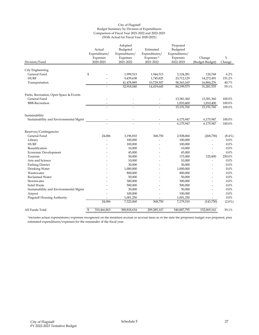#### City of Flagstaff Budget Summary by Division of Expenditures Comparison of Fiscal Year 2021-2022 and 2022-2023 (With Actual for Fiscal Year 2020-2021)

|                                        | Actual<br>Expenditures/ | Adopted<br>Budgeted<br>Expenditures/ | Estimated<br>Expenditures/ | Proposed<br>Budgeted<br>Expenditures/ |                          |           |
|----------------------------------------|-------------------------|--------------------------------------|----------------------------|---------------------------------------|--------------------------|-----------|
|                                        | Expenses                | Expenses                             | Expenses*                  | Expenses                              | Change                   | $\%$      |
| Division/Fund                          | 2020-2021               | 2021-2022                            | 2021-2022                  | 2022-2023                             | (Budget-Budget)          | Change    |
| City Engineering                       |                         |                                      |                            |                                       |                          |           |
| General Fund                           | \$                      | 1,999,513                            | 1,944,513                  | 2,124,281                             | 124,768                  | 6.2%      |
| <b>HURF</b>                            |                         | 9,439,638                            | 1,745,825                  | 23,712,129                            | 14,272,491               | 151.2%    |
| Transportation                         |                         | 41,478,889                           | 10,729,307                 | 58,363,165                            | 16,884,276               | 40.7%     |
|                                        |                         | 52,918,040                           | 14,419,645                 | 84,199,575                            | 31,281,535               | 59.1%     |
| Parks, Recreation, Open Space & Events |                         |                                      |                            |                                       |                          |           |
| General Fund                           |                         |                                      |                            | 13,381,360                            | 13,381,360               | 100.0%    |
| <b>BBB-Recreation</b>                  |                         |                                      |                            | 1,810,400                             | 1,810,400                | 100.0%    |
|                                        |                         |                                      | $\overline{a}$             | 15,191,760                            | 15,191,760               | 100.0%    |
| Sustainability                         |                         |                                      |                            |                                       |                          |           |
| Sustainability and Environmental Mgmt  |                         |                                      |                            | 6,175,947                             | 6,175,947                | 100.0%    |
|                                        |                         |                                      |                            | 6,175,947                             | 6,175,947                | 100.0%    |
| Reserves/Contingencies                 |                         |                                      |                            |                                       |                          |           |
| General Fund                           | 24,006                  | 3,196,810                            | 368,750                    | 2,928,060                             | (268,750)                | $(8.4\%)$ |
| Library                                |                         | 100,000                              |                            | 100,000                               | $\overline{a}$           | $0.0\%$   |
| <b>HURF</b>                            |                         | 100,000                              |                            | 100,000                               | $\overline{a}$           | 0.0%      |
| Beautification                         |                         | 10,000                               |                            | 10,000                                | $\overline{a}$           | 0.0%      |
| Economic Development                   |                         | 45,000                               |                            | 45,000                                | $\overline{\phantom{a}}$ | 0.0%      |
| Tourism                                |                         | 50,000                               |                            | 175,000                               | 125,000                  | 250.0%    |
| Arts and Science                       |                         | 10,000                               |                            | 10,000                                | $\overline{a}$           | 0.0%      |
| Parking District                       |                         | 30,000                               |                            | 30,000                                | $\overline{a}$           | 0.0%      |
| Drinking Water                         |                         | 1,000,000                            |                            | 1,000,000                             | $\overline{a}$           | 0.0%      |
| Wastewater                             |                         | 800,000                              |                            | 800,000                               | $\overline{a}$           | 0.0%      |
| Reclaimed Water                        |                         | 50,000                               |                            | 50,000                                | $\overline{a}$           | 0.0%      |
| Stormwater                             |                         | 300,000                              |                            | 300,000                               |                          | 0.0%      |
| Solid Waste                            |                         | 500,000                              |                            | 500,000                               |                          | 0.0%      |
| Sustainability and Environmental Mgmt  |                         | 30,000                               |                            | 30,000                                |                          | 0.0%      |
| Airport                                |                         | 100,000                              |                            | 100,000                               | $\overline{a}$           | 0.0%      |
| <b>Flagstaff Housing Authority</b>     |                         | 1,001,250                            | $\overline{a}$             | 1,001,250                             | $\overline{a}$           | 0.0%      |
|                                        | 24,006                  | 7,323,060                            | 368,750                    | 7,179,310                             | (143,750)                | $(2.0\%)$ |
| All Funds Total                        | \$<br>310,466,863       | 388,818,634                          | 209,285,147                | 540,887,795                           | 152,069,161              | 39.1%     |

\*Includes actual expenditures/expenses recognized on the modified accrual or accrual basis as of the date the proposed budget was prepared, plus estimated expenditures/expenses for the remainder of the fiscal year.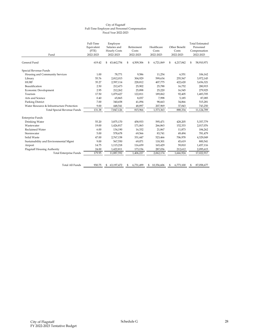#### City of Flagstaff Full-Time Employee and Personnel Compensation Fiscal Year 2022-2023

| Fund                                       | Full-Time<br>Equivalent<br>(FTE)<br>2022-2023 | Employee<br>Salaries and<br><b>Hourly Costs</b><br>2022-2023 | Retirement<br>Costs<br>2022-2023 | Healthcare<br>Costs<br>2022-2023 | Other Benefit<br>Costs<br>2022-2023 | <b>Total Estimated</b><br>Personnel<br>Compensation<br>2022-2023 |
|--------------------------------------------|-----------------------------------------------|--------------------------------------------------------------|----------------------------------|----------------------------------|-------------------------------------|------------------------------------------------------------------|
| General Fund                               | 619.42                                        | \$<br>43,462,754                                             | 4,509,306<br>\$                  | \$<br>6,721,069                  | \$<br>4,217,842                     | \$<br>58,910,971                                                 |
| Special Revenue Funds                      |                                               |                                                              |                                  |                                  |                                     |                                                                  |
| Housing and Community Services             | 1.00                                          | 78,771                                                       | 9,586                            | 11,254                           | 6,551                               | 106,162                                                          |
| Library                                    | 55.76                                         | 2,812,015                                                    | 304,929                          | 599,634                          | 255,567                             | 3,972,145                                                        |
| <b>HURF</b>                                | 35.27                                         | 2,597,114                                                    | 228,812                          | 407,775                          | 422,620                             | 3,656,321                                                        |
| Beautification                             | 2.50                                          | 212,473                                                      | 25,902                           | 25,788                           | 16,752                              | 280,915                                                          |
| Economic Development                       | 2.95                                          | 212,262                                                      | 25,898                           | 25,220                           | 16,545                              | 279,925                                                          |
| Tourism                                    | 17.50                                         | 1,079,427                                                    | 122,811                          | 189,062                          | 92,405                              | 1,483,705                                                        |
| Arts and Science                           | 0.40                                          | 65,865                                                       | 8,037                            | 7,998                            | 5,185                               | 87,085                                                           |
| Parking District                           | 7.00                                          | 340,658                                                      | 41,094                           | 98,663                           | 34,866                              | 515,281                                                          |
| Water Resource & Infrastructure Protection | 9.00                                          | 448,541                                                      | 48,897                           | 207,969                          | 37,843                              | 743,250                                                          |
| <b>Total Special Revenue Funds</b>         | 131.38                                        | 7,847,126                                                    | 815,966                          | 1,573,363                        | 888,334                             | 11,124,789                                                       |
| <b>Enterprise Funds</b>                    |                                               |                                                              |                                  |                                  |                                     |                                                                  |
| Drinking Water                             | 55.20                                         | 3,875,170                                                    | 458,933                          | 595,471                          | 428,205                             | 5,357,779                                                        |
| Wastewater                                 | 19.00                                         | 1,426,817                                                    | 171,063                          | 266,863                          | 152,333                             | 2,017,076                                                        |
| <b>Reclaimed Water</b>                     | 6.00                                          | 134,190                                                      | 16,332                           | 21,867                           | 11,873                              | 184,262                                                          |
| Stormwater                                 | 5.00                                          | 578,678                                                      | 69,566                           | 83,741                           | 49,494                              | 781,479                                                          |
| Solid Waste                                | 47.00                                         | 2,767,158                                                    | 331,447                          | 523,466                          | 706,978                             | 4,329,049                                                        |
| Sustainability and Environmental Mgmt      | 9.00                                          | 567,550                                                      | 69,071                           | 118,301                          | 45,619                              | 800,541                                                          |
| Airport                                    | 14.75                                         | 1,115,218                                                    | 116,659                          | 165,429                          | 59,810                              | 1,457,116                                                        |
| <b>Flagstaff Housing Authority</b>         | 24.00                                         | 1,422,811                                                    | 173,156                          | 287,036                          | 212,612                             | 2,095,615                                                        |
| <b>Total Enterprise Funds</b>              | 179.95                                        | 11,887,592                                                   | 1,406,227                        | 2,062,174                        | 1,666,924                           | 17,022,917                                                       |
| <b>Total All Funds</b>                     | 930.75                                        | 63,197,472<br>\$                                             | 6,731,499<br>\$                  | \$<br>10,356,606                 | 6,773,100<br>\$                     | 87,058,677<br>\$                                                 |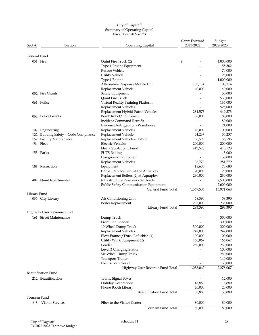## City of Flagstaff Summary of Operating Capital Fiscal Year 2022-2023

| Sect #       | Section                               | <b>Operating Capital</b>              | Carry Forward<br>2021-2022   | Budget<br>2022-2023 |
|--------------|---------------------------------------|---------------------------------------|------------------------------|---------------------|
| General Fund |                                       |                                       |                              |                     |
|              | 051 Fire                              | Quint Fire Truck (2)                  | \$                           | 4,000,000           |
|              |                                       | Type 1 Engine Equipment               |                              | 155,562             |
|              |                                       | Rescue Vehicle                        |                              | 74,000              |
|              |                                       | <b>Utility Vehicle</b>                |                              | 25,000              |
|              |                                       | Type 1 Engine                         |                              | 1,000,000           |
|              |                                       | Alternative Response Mobile Unit      | 103,114                      | 103,114             |
|              |                                       | Replacement Vehicle                   | 40,000                       | 40,000              |
|              | 052 Fire Grants                       | Safety Equipment                      |                              | 50,000              |
|              |                                       | Quint Fire Truck                      | $\overline{a}$               | 550,000             |
|              | 061 Police                            | Virtual Reality Training Platform     |                              | 135,000             |
|              |                                       | Replacement Vehicles                  |                              | 525,000             |
|              |                                       | Replacement Hybrid Patrol Vehicles    | 281,573                      | 449,573             |
|              | 062 Police Grants                     | Bomb Robot/Equipment                  | 88,000                       | 88,000              |
|              |                                       | <b>Incident Command Retrofit</b>      | $\qquad \qquad \blacksquare$ | 80,000              |
|              |                                       | Evidence Refrigerator - Warehouse     |                              | 21,000              |
|              | 102 Engineering                       | Replacement Vehicles                  | 47,000                       | 100,000             |
|              | 122 Building Safety - Code Compliance | Replacement Vehicle                   | 54,237                       | 54,237              |
|              | 152 Facility Maintenance              | Replacement Vehicle - Hybrid          | 36,595                       | 36,595              |
|              | 154 Fleet                             | <b>Electric Vehicles</b>              | 200,000                      | 200,000             |
|              |                                       | Fleet Catastrophic Fund               | 413,528                      | 413,528             |
|              | 155 Parks                             | <b>FUTS Railing</b>                   |                              | 15,000              |
|              |                                       | Playground Equipment                  |                              | 150,000             |
|              |                                       | Replacement Vehicles                  | 36,779                       | 281,779             |
|              | 156 Recreation                        | Equipment                             | 18,680                       | 73,680              |
|              |                                       | Carpet Replacement at the Aquaplex    | 20,000                       | 20,000              |
|              |                                       | Replacement Boilers (2) at Aquaplex   | 230,000                      | 230,000             |
|              | 402 Non-Departmental                  | Infrastructure Reserves - Set Aside   | $\overline{\phantom{a}}$     | 2,500,000           |
|              |                                       | Public Safety Communication Equipment | $\qquad \qquad \blacksquare$ | 2,600,000           |
|              |                                       | General Fund Total                    | 1,569,506                    | 13,971,068          |
| Library Fund |                                       |                                       |                              |                     |
|              | 035 City Library                      | Air Conditioning Unit                 | 58,390                       | 58,390              |
|              |                                       | <b>Boiler Replacement</b>             | 235,000                      | 235,000             |
|              | Highway User Revenue Fund             | Library Fund Total                    | 293,390                      | 293,390             |
|              |                                       |                                       |                              |                     |
|              | 161 Street Maintenance                | Dump Truck<br>Front End Loader        |                              | 300,000<br>300,000  |
|              |                                       | 10 Wheel Dump Truck                   | 300,000                      | 300,000             |
|              |                                       | Replacement Vehicles                  | 242,000                      | 242,000             |
|              |                                       | Plow Frames/Truck Refurbish (4)       | 100,000                      | 100,000             |
|              |                                       | Utility Work Equipment (2)            | 166,067                      | 166,067             |
|              |                                       | Loader                                | 250,000                      | 250,000             |
|              |                                       | Level 3 Charging Station              |                              | 100,000             |
|              |                                       | Six Wheel Dump Truck                  |                              | 250,000             |
|              |                                       | <b>Transport Trailer</b>              |                              | 140,000             |
|              |                                       | Electric Vehicles (2)                 |                              | 130,000             |
|              |                                       | Highway User Revenue Fund Total       | 1,058,067                    | 2,278,067           |
|              | <b>Beautification Fund</b>            |                                       |                              |                     |
|              | 212 Beautification                    | <b>Traffic Signal Boxes</b>           | $\overline{a}$               | 12,000              |
|              |                                       | <b>Holiday Decorations</b>            | 18,880                       | 18,880              |
|              |                                       | Phone Booth Library                   | 20,000                       | 20,000              |
|              |                                       | Beautification Fund Total             | 38,880                       | 50,880              |
| Tourism Fund |                                       |                                       |                              |                     |
| 215          | <b>Visitor Services</b>               | Fiber to the Visitor Center           | 80,000                       | 80,000              |
|              |                                       |                                       |                              |                     |
|              |                                       | Tourism Fund Total                    | 80,000                       | 80,000              |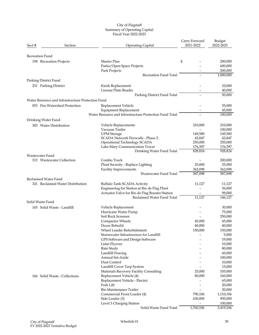## City of Flagstaff Summary of Operating Capital Fiscal Year 2022-2023

|        |                                                   |                                                           | Carry Forward | Budget             |  |
|--------|---------------------------------------------------|-----------------------------------------------------------|---------------|--------------------|--|
| Sect # | Section                                           | <b>Operating Capital</b>                                  | 2021-2022     | 2022-2023          |  |
|        |                                                   |                                                           |               |                    |  |
|        | Recreation Fund                                   |                                                           |               |                    |  |
|        | 158 Recreation Projects                           | Master Plan                                               | \$            | 200,000            |  |
|        |                                                   | Parks/Open Space Projects                                 |               | 600,000<br>200,000 |  |
|        |                                                   | Park Projects<br>Recreation Fund Total                    |               | 1,000,000          |  |
|        | Parking District Fund                             |                                                           |               |                    |  |
|        |                                                   |                                                           |               | 10,000             |  |
|        | 231 Parking District                              | Kiosk Replacement<br>License Plate Reader                 |               | 40,000             |  |
|        |                                                   | Parking District Fund Total                               |               | 50,000             |  |
|        | Water Resource and Infrastructure Protection Fund |                                                           |               |                    |  |
|        | 053 Fire Watershed Protection                     | Replacement Vehicle                                       |               | 55,000             |  |
|        |                                                   | <b>Equipment Replacement</b>                              |               | 45,000             |  |
|        |                                                   | Water Resource and Infrastructure Protection Fund Total   |               | 100,000            |  |
|        | Drinking Water Fund                               |                                                           |               |                    |  |
|        | 303 Water Distribution                            | Vehicle Replacements                                      | 210,000       | 210,000            |  |
|        |                                                   | Vacuum Trailer                                            |               | 100,000            |  |
|        |                                                   | <b>UPM</b> Storage                                        | 149,580       | 149,580            |  |
|        |                                                   | SCADA Network Firewalls - Phase 2                         | 42,847        | 42,847             |  |
|        |                                                   | Operational Technology SCADA                              | 250,000       | 250,000            |  |
|        |                                                   | Lake Mary Communication Tower                             | 176,397       | 176,397            |  |
|        | Wastewater Fund                                   | Drinking Water Fund Total                                 | 828,824       | 928,824            |  |
|        | 313 Wastewater Collection                         | Combo Truck                                               |               | 200,000            |  |
|        |                                                   | Plant Security - Replace Lighting                         | 25,000        | 25,000             |  |
|        |                                                   | Facility Improvements                                     | 362,098       | 362,098            |  |
|        |                                                   | Wastewater Fund Total                                     | 387,098       | 587,098            |  |
|        | Reclaimed Water Fund                              |                                                           |               |                    |  |
|        | 321 Reclaimed Water Distribution                  | Buffalo Tank SCADA Activity                               | 11,127        | 11,127             |  |
|        |                                                   | Engineering for Station at Rio de Flag Plant              |               | 36,000             |  |
|        |                                                   | Actuator Valve for Rio de Flag Booster Station            |               | 99,000             |  |
|        |                                                   | Reclaimed Water Fund Total                                | 11,127        | 146,127            |  |
|        | Solid Waste Fund                                  |                                                           |               |                    |  |
|        | 165 Solid Waste - Landfill                        | Vehicle Replacement                                       |               | 30,000             |  |
|        |                                                   | Hurricane Water Pump<br>Soil Rock Screener                |               | 75,000             |  |
|        |                                                   | Compactor Wheels                                          | 45,000        | 250,000<br>45,000  |  |
|        |                                                   | Dozer Rebuild                                             | 40,000        | 40,000             |  |
|        |                                                   | Wheel Loader Refurbishment                                | 150,000       | 150,000            |  |
|        |                                                   | Stormwater Infrastructure for Landfill                    |               | 5,000              |  |
|        |                                                   | GPS Software and Design Software                          |               | 19,000             |  |
|        |                                                   | Lidar Flyover                                             |               | 10,000             |  |
|        |                                                   | Rate Study                                                |               | 80,000             |  |
|        |                                                   | Landfill Fencing                                          |               | 60,000             |  |
|        |                                                   | Annual Set-Aside                                          |               | 100,000            |  |
|        |                                                   | Dust Control                                              |               | 10,000             |  |
|        |                                                   | Landfill Cover Tarp System                                |               | 15,000             |  |
|        | 166 Solid Waste - Collections                     | Materials Recovery Facility Consulting                    | 25,000        | 105,000            |  |
|        |                                                   | Replacement Vehicle (4)<br>Replacement Vehicle - Electric | 80,000        | 160,000<br>65,000  |  |
|        |                                                   | Fork Lift                                                 |               | 20,000             |  |
|        |                                                   | <b>Bin Maintenance Trailer</b>                            |               | 20,000             |  |
|        |                                                   | Commercial Front Loader (4)                               | 790,106       | 1,110,106          |  |
|        |                                                   | Side Loader (3)                                           | 630,000       | 950,000            |  |
|        |                                                   | Level 3 Charging Station                                  |               | 100,000            |  |
|        |                                                   | Solid Waste Fund Total                                    | 1,760,106     | 3,419,106          |  |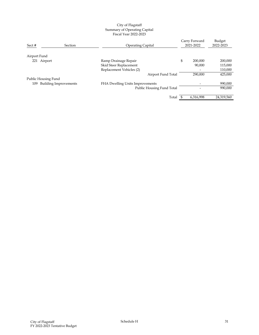## City of Flagstaff Summary of Operating Capital Fiscal Year 2022-2023

| Sect #              | <b>Section</b>               | <b>Operating Capital</b>        | Carry Forward<br>2021-2022 |           | Budget<br>2022-2023 |
|---------------------|------------------------------|---------------------------------|----------------------------|-----------|---------------------|
| Airport Fund        |                              |                                 |                            |           |                     |
| 221 Airport         |                              | Ramp Drainage Repair            | \$                         | 200,000   | 200,000             |
|                     |                              | Skid Steer Replacement          |                            | 90,000    | 115,000             |
|                     |                              | Replacement Vehicles (2)        |                            |           | 110,000             |
|                     |                              | Airport Fund Total              |                            | 290,000   | 425,000             |
| Public Housing Fund |                              |                                 |                            |           |                     |
| 109                 | <b>Building Improvements</b> | FHA Dwelling Units Improvements |                            |           | 990,000             |
|                     |                              | Public Housing Fund Total       |                            |           | 990,000             |
|                     |                              |                                 |                            |           |                     |
|                     |                              | Total                           |                            | 6.316.998 | 24,319,560          |
|                     |                              |                                 |                            |           |                     |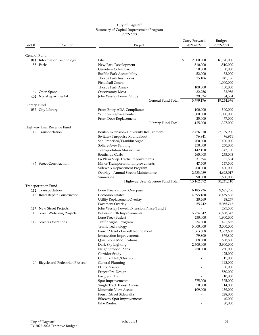|              |                                     |                                            |                 | Budget     |  |
|--------------|-------------------------------------|--------------------------------------------|-----------------|------------|--|
| Sect #       | Section<br>Project                  |                                            | 2021-2022       | 2022-2023  |  |
|              |                                     |                                            |                 |            |  |
| General Fund |                                     |                                            |                 |            |  |
|              | 014 Information Technology          | Fiber                                      | \$<br>2,000,000 | 16,170,000 |  |
|              | 155 Parks                           | New Park Development                       | 1,510,000       | 1,510,000  |  |
|              |                                     | Cemetery Columbarium                       | 50,000          | 50,000     |  |
|              |                                     | <b>Buffalo Park Accessibility</b>          | 52,000          | 52,000     |  |
|              |                                     | Thorpe Park Restrooms                      | 15,186          | 245,186    |  |
|              |                                     | Pickleball Courts                          |                 | 1,000,000  |  |
|              |                                     | Thorpe Park Annex                          | 100,000         | 100,000    |  |
|              | 159 Open Space                      | <b>Observatory Mesa</b>                    | 32,956          | 32,956     |  |
|              | 402 Non-Departmental                | John Wesley Powell Study                   | 39,034          | 84,534     |  |
|              |                                     | General Fund Total                         | 3,799,176       | 19,244,676 |  |
| Library Fund |                                     |                                            |                 |            |  |
|              | 035 City Library                    | Front Entry ADA Compliance                 | 100,000         | 300,000    |  |
|              |                                     | Window Replacements                        | 1,000,000       | 1,000,000  |  |
|              |                                     | Front Door Replacement                     | 25,000          | 77,000     |  |
|              |                                     | Library Fund Total                         | 1,125,000       | 1,377,000  |  |
|              | Highway User Revenue Fund           |                                            |                 |            |  |
|              | 112 Transportation                  | Beulah Extension/University Realignment    | 7,476,310       | 22,139,900 |  |
|              |                                     | Switzer/Turquoise Roundabout               | 76,941          | 76,941     |  |
|              |                                     | San Francisco/Franklin Signal              | 400,000         | 400,000    |  |
|              |                                     | Soliere Ave/Fanning                        | 250,000         | 250,000    |  |
|              |                                     | <b>Transportation Master Plan</b>          | 142,150         | 142,150    |  |
|              |                                     | Southside Curbs                            | 265,008         | 265,008    |  |
|              |                                     | La Plaza Vieja Traffic Improvements        | 31,594          | 31,594     |  |
|              | 162 Street Construction             | Minor Transportation Improvements          | 47,500          | 147,500    |  |
|              |                                     | Sidewalk Replacement Program               | 200,000         | 400,000    |  |
|              |                                     | Overlay - Annual Streets Maintenance       | 2,583,089       | 4,698,017  |  |
|              |                                     | Sunnyside                                  | 1,690,000       | 1,690,000  |  |
|              |                                     | Highway User Revenue Fund Total            | 13,162,592      | 30,241,110 |  |
|              | Transportation Fund                 |                                            |                 |            |  |
|              | 112 Transportation                  | Lone Tree Railroad Overpass                | 6,185,736       | 9,685,736  |  |
|              | 116 Road Repair Construction        | Coconino Estates                           | 4,895,160       | 6,459,506  |  |
|              |                                     | Utility Replacement Overlay                | 28,269          | 28,269     |  |
|              |                                     | Pavement Overlay                           | 55,742          | 5,055,742  |  |
|              | 117 New Street Projects             | John Wesley Powell Extension Phase 1 and 2 |                 | 295,500    |  |
|              | 118 Street Widening Projects        | Butler-Fourth Improvements                 | 5,274,342       | 6,638,342  |  |
|              |                                     | Lone Tree (Butler)                         | 250,000         | 1,900,000  |  |
|              | 119 Streets Operations              | Traffic Signal Program                     | 334,000         | 421,685    |  |
|              |                                     | <b>Traffic Technology</b>                  | 3,000,000       | 3,000,000  |  |
|              |                                     | Fourth Street - Lockett Roundabout         | 1,863,608       | 3,363,608  |  |
|              |                                     | Intersection Improvements                  | 79,800          | 379,800    |  |
|              |                                     | Quiet Zone Modifications                   | 608,880         | 608,880    |  |
|              |                                     | Dark Sky Lighting                          | 2,600,000       | 3,900,000  |  |
|              |                                     | Neighborhood Plans                         | 250,000         | 250,000    |  |
|              |                                     | Corridor Study                             |                 | 125,000    |  |
|              |                                     | Country Club/Oakmont                       |                 | 115,000    |  |
|              | 120 Bicycle and Pedestrian Projects | General Planning                           |                 | 143,000    |  |
|              |                                     | <b>FUTS Reserve</b>                        |                 | 50,000     |  |
|              |                                     | Project Pre-Design                         |                 | 550,000    |  |
|              |                                     | Foxglenn Trail                             |                 | 10,000     |  |
|              |                                     | Spot Improvements                          | 375,000         | 375,000    |  |
|              |                                     | <b>Single Track Forest Access</b>          | 50,000          | 114,000    |  |
|              |                                     | <b>Mountain View Access</b>                | 109,000         | 139,000    |  |
|              |                                     | Fourth Street Sidewalks                    |                 | 228,000    |  |
|              |                                     | <b>Bikeway Spot Improvements</b>           |                 | 40,000     |  |
|              |                                     | <b>Bike Routes</b>                         |                 | 80,000     |  |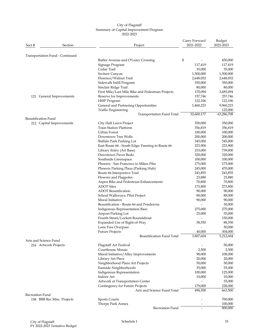| Sect #                     | Section                         | Project                                                        | Carry Forward<br>2021-2022 | Budget<br>2022-2023 |
|----------------------------|---------------------------------|----------------------------------------------------------------|----------------------------|---------------------|
|                            |                                 |                                                                |                            |                     |
|                            | Transportation Fund - Continued |                                                                |                            |                     |
|                            |                                 | Butler Avenue and O'Leary Crossing                             | \$                         | 450,000             |
|                            |                                 | Signage Program                                                | 117,419                    | 117,419             |
|                            |                                 | Cedar Trail                                                    | 35,000                     | 35,000              |
|                            |                                 | Switzer Canyon                                                 | 1,500,000                  | 1,500,000           |
|                            |                                 | Florence/Walnut Trail                                          | 2,648,052                  | 2,648,052           |
|                            |                                 | Sidewalk Infill Program                                        | 350,000                    | 350,000             |
|                            |                                 | Sinclair Ridge Trail                                           | 80,000                     | 80,000              |
|                            |                                 | First Mile/Last Mile Bike and Pedestrian Projects              | 170,094                    | 3,685,094           |
|                            | 121 General Improvements        | Reserve for Improvements                                       | 157,746                    | 257,746             |
|                            |                                 | HSIP Program                                                   | 122,106                    | 122,106             |
|                            |                                 | General and Partnering Opportunities                           | 1,460,223                  | 9,960,223           |
|                            |                                 | <b>Traffic Engineering</b>                                     |                            | 125,000             |
|                            |                                 | Transportation Fund Total                                      | 32,600,177                 | 63,286,708          |
| <b>Beautification Fund</b> |                                 |                                                                |                            |                     |
|                            | 212 Capital Improvements        | City Hall Lawn Project                                         | 350,000                    | 350,000             |
|                            |                                 | Train Station Platform                                         | 356,819                    | 356,819             |
|                            |                                 | Urban Forest                                                   | 100,000                    | 100,000             |
|                            |                                 | Downtown Tree Wells                                            | 200,000                    | 200,000             |
|                            |                                 | Buffalo Park Parking Lot                                       | 345,000                    | 345,000             |
|                            |                                 | East Route 66 - South Edge: Fanning to Route 66                | 223,900                    | 223,900             |
|                            |                                 | Library Entry (Art Base)                                       | 233,000                    | 739,000             |
|                            |                                 | Downtown Paver Redo                                            | 320,000                    | 320,000             |
|                            |                                 | Southside Greenspace                                           | 100,000                    | 100,000             |
|                            |                                 | Phoenix - San Francisco to Mikes Pike                          | 175,000                    | 175,000             |
|                            |                                 | Phoenix Parking Plaza (Parking Hub)                            | 245,000                    | 470,000             |
|                            |                                 | Route 66 Interpretive Trail                                    | 243,855                    | 243,855             |
|                            |                                 | Flowers and Flagpoles                                          | 23,880                     | 23,880              |
|                            |                                 | Aspen Bike and Pedestrian Enhancements                         | 70,800                     | 70,800              |
|                            |                                 | <b>ADOT</b> Sites                                              | 173,800                    | 273,800             |
|                            |                                 | <b>ADOT</b> Beautification                                     | 90,000                     | 90,000              |
|                            |                                 | School Walkways; Pilot Project                                 | 88,000                     | 88,000              |
|                            |                                 | Mural Initiative                                               | 90,000                     | 90,000              |
|                            |                                 | Beautification - Route 66 and Ponderosa                        | $\overline{a}$             | 30,000              |
|                            |                                 | Indigenous Representation Base                                 | 275,000                    | 275,000             |
|                            |                                 | Airport Parking Lot                                            | 25,000                     | 55,000              |
|                            |                                 | Fourth Street/Lockett Roundabout                               |                            | 150,000             |
|                            |                                 | Expanded Use of Right-of-Way                                   | 38,550                     | 88,550              |
|                            |                                 | Lone Tree Overpass                                             |                            | 50,000              |
|                            |                                 |                                                                | 40,000                     | 304,000             |
|                            |                                 | <b>Future Projects</b><br>Beautification Fund Total            | 3,807,604                  | 5,212,604           |
| Arts and Science Fund      |                                 |                                                                |                            |                     |
|                            | 216 Artwork Projects            | Flagstaff Art Festival                                         |                            | 50,000              |
|                            |                                 | Courthouse Mosaic                                              | 2,500                      | 2,500               |
|                            |                                 | Mural Initiative/Alley Improvements                            | 98,000                     | 108,000             |
|                            |                                 | Library Art Piece                                              | 20,000                     | 20,000              |
|                            |                                 | Neighborhood Plans Art Projects                                | 50,000                     | 50,000              |
|                            |                                 | Eastside Neighborhoods                                         | 35,000                     | 35,000              |
|                            |                                 | Indigenous Representation                                      | 100,000                    | 125,000             |
|                            |                                 | Indoor Art                                                     | 10,000                     | 10,000              |
|                            |                                 | Artwork at Transportation Center                               |                            | 35,000              |
|                            |                                 |                                                                | 179,000                    | 228,000             |
|                            |                                 | Contingency for Future Projects<br>Arts and Science Fund Total | 494,500                    | 663,500             |
| Recreation Fund            |                                 |                                                                |                            |                     |
|                            | 158 BBB Rec Misc. Projects      | <b>Sports Courts</b>                                           |                            | 700,000             |
|                            |                                 | Thorpe Park Annex                                              |                            | 100,000             |
|                            |                                 | Recreation Fund                                                |                            | 800,000             |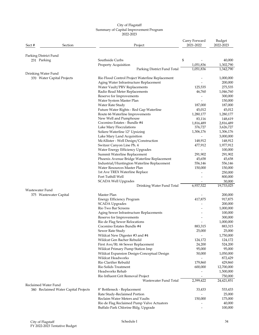|        |                                      |                                                                                | Carry Forward     | Budget               |
|--------|--------------------------------------|--------------------------------------------------------------------------------|-------------------|----------------------|
| Sect # | Section                              | Project                                                                        | 2021-2022         | 2022-2023            |
|        |                                      |                                                                                |                   |                      |
|        | Parking District Fund                |                                                                                |                   |                      |
|        | 231 Parking                          | Southside Curbs<br>Property Acquisition                                        | \$<br>1,051,836   | 40,000<br>1,302,790  |
|        |                                      | Parking District Fund Total                                                    | 1,051,836         | 1,342,790            |
|        | Drinking Water Fund                  |                                                                                |                   |                      |
|        | 370 Water Capital Projects           | Rio Flood Control Project Waterline Replacement                                |                   | 1,000,000            |
|        |                                      | Aging Water Infrastructure Replacement                                         |                   | 200,000              |
|        |                                      | Water Vault/PRV Replacements                                                   | 125,535           | 275,535              |
|        |                                      | Radio Read Meter Replacements                                                  | 46,760            | 1,046,760            |
|        |                                      | Reserve for Improvements                                                       |                   | 300,000              |
|        |                                      | Water System Master Plan                                                       |                   | 150,000              |
|        |                                      | Water Rate Study                                                               | 187,000           | 187,000              |
|        |                                      | Future Water Rights - Red Gap Waterline                                        | 45,012            | 45,012               |
|        |                                      | Route 66 Waterline Improvements                                                | 1,280,177         | 1,280,177            |
|        |                                      | New Well and Pumphouse                                                         | 83,116            | 148,619              |
|        |                                      | Coconino Estates - Bundle #4                                                   | 1,816,489         | 2,816,489            |
|        |                                      | Lake Mary Flocculations                                                        | 376,727           | 3,626,727            |
|        |                                      | Soliere Waterline 12" Upsizing                                                 | 1,306,176         | 1,306,176            |
|        |                                      | Lake Mary Land Acquisition                                                     |                   | 3,000,000            |
|        |                                      | McAllister - Well Design/Construction                                          | 148,912           | 148,912              |
|        |                                      | Switzer Canyon Line Ph. 4                                                      | 477,912           | 1,977,912<br>100,000 |
|        |                                      | Water Energy Efficiency Upgrades                                               | 291,902           | 291,902              |
|        |                                      | Summit Waterline Replacement<br>Phoenix Avenue Bridge Waterline Replacement    | 45,658            | 45,658               |
|        |                                      | Industrial/Huntington Waterline Replacement                                    | 556,146           | 556,146              |
|        |                                      | Water Resources Master Plan                                                    | 150,000           | 150,000              |
|        |                                      | 1st Ave TREX Waterline Replace                                                 |                   | 250,000              |
|        |                                      | Fort Tuthill Well                                                              |                   | 800,000              |
|        |                                      | SCADA Well Upgrades                                                            |                   | 30,000               |
|        |                                      | Drinking Water Fund Total                                                      | 6,937,522         | 19,733,025           |
|        | Wastewater Fund                      |                                                                                |                   |                      |
|        | 375 Wastewater Capital               | Master Plan                                                                    |                   | 200,000              |
|        |                                      | <b>Energy Efficiency Program</b>                                               | 417,875           | 917,875              |
|        |                                      | <b>SCADA Upgrades</b>                                                          |                   | 200,000              |
|        |                                      | Rio Two Bar Screens                                                            |                   | 1,000,000            |
|        |                                      | Aging Sewer Infrastructure Replacements                                        |                   | 100,000              |
|        |                                      | Reserve for Improvements                                                       |                   | 300,000              |
|        |                                      | Rio de Flag Sewer Relocations                                                  |                   | 1,000,000            |
|        |                                      | Coconino Estates Bundle #4                                                     | 883,315           | 883,315              |
|        |                                      | Sewer Rate Study                                                               | 25,000            | 25,000               |
|        |                                      | Wildcat New Digester #3 and #4<br>Wildcat Gen Bacher Rebuild                   |                   | 1,750,000            |
|        |                                      |                                                                                | 124,172<br>24,200 | 124,172<br>524,200   |
|        |                                      | First Ave/Rt. 66 Sewer Replacement                                             | 95,000            | 95,000               |
|        |                                      | Wildcat Primary Pump Station Imp<br>Wildcat Expansion Design-Conceptual Design | 50,000            | 1,050,000            |
|        |                                      | Wildcat Headworks                                                              |                   | 872,429              |
|        |                                      | Rio Clarifier Rebuild                                                          | 179,860           | 429,860              |
|        |                                      | Rio Solids Treatment                                                           | 600,000           | 12,700,000           |
|        |                                      | Headworks Rehab                                                                |                   | 1,500,000            |
|        |                                      | Rio Influent Grit Removal Project                                              |                   | 750,000              |
|        |                                      | Wastewater Fund Total                                                          | 2,399,422         | 24,421,851           |
|        | Reclaimed Water Fund                 |                                                                                |                   |                      |
|        | 380 Reclaimed Water Capital Projects | 8" Bottleneck - Replacement                                                    | 33,433            | 533,433              |
|        |                                      | Rate Study-Reclaimed Portion                                                   |                   | 25,000               |
|        |                                      | Reclaim Water Meters and Vaults                                                | 150,000           | 175,000              |
|        |                                      | Rio de Flag Reclaimed Pump Valve Actuators                                     |                   | 40,000               |
|        |                                      | Buffalo Park Chlorine Bldg. Upgrade                                            |                   | 100,000              |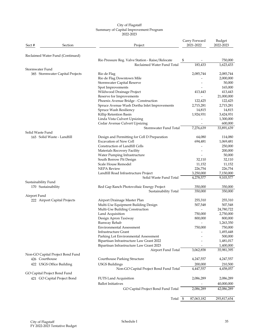| Reclaimed Water Fund (Continued)<br>750,000<br>Rio Pressure Reg. Valve Station - Raise/Relocate<br>\$<br>Reclaimed Water Fund Total<br>183,433<br>1,623,433<br>Stormwater Fund<br>2,085,744<br>2,085,744<br>385 Stormwater Capital Projects<br>Rio de Flag<br>Rio de Flag Downtown Mile<br>2,000,000<br>Stormwater Capital Reserve<br>50,000<br>165,000<br>Spot Improvements<br>Wildwood Drainage Project<br>413,443<br>413,443<br>Reserve for Improvements<br>21,000,000<br>Phoenix Avenue Bridge - Construction<br>122,425<br>122,425<br>Spruce Avenue Wash Dortha Inlet Improvements<br>2,715,281<br>2,715,281<br>14,815<br>Spruce Wash Resiliency<br>14,815<br>Killip Retention Basin<br>1,924,931<br>3,424,931<br>Linda Vista Culvert Upsizing<br>1,300,000<br>Cedar Avenue Culvert Upsizing<br>600,000<br>7,276,639<br>33,891,639<br>Stormwater Fund Total<br>Solid Waste Fund<br>165 Solid Waste - Landfill<br>Design and Permitting for Cell D Preparation<br>64,080<br>114,080<br><b>Excavation of New Cell</b><br>694,481<br>1,069,481<br>Construction of Landfill Cells<br>250,000<br>200,000<br>Materials Recovery Facility<br>50,000<br>Water Pumping Infrastructure<br>South Borrow Pit Design<br>32,110<br>32,110<br>Scale House Remodel<br>11,152<br>11,152<br><b>NEPA Review</b><br>226,754<br>226,754<br>3,250,000<br>Landfill Road Infrastructure Project<br>7,150,000<br>4,278,577<br>9,103,577<br>Solid Waste Fund Total<br>Sustainability Fund<br>170 Sustainability<br>Red Gap Ranch Photovoltaic Energy Project<br>350,000<br>350,000<br>350,000<br>Sustainability Total<br>350,000<br>Airport Fund<br>Airport Drainage Master Plan<br>255,310<br>255,310<br>222 Airport Capital Projects<br>Multi-Use Equipment Building Design<br>507,548<br>507,548<br>Multi-Use Building Construction<br>24,780,722<br>$\overline{\phantom{a}}$<br>Land Acquisition<br>750,000<br>2,750,000<br>Design Apron Taxiway<br>800,000<br>800,000<br>Runway Rehab<br>1,263,350<br><b>Environmental Assessment</b><br>750,000<br>750,000<br>1,493,448<br>Infrastructure Grant<br>500,000<br>Parking Lot Environmental Assessment<br>Bipartisan Infrastructure Law Grant 2022<br>1,481,017<br>Bipartisan Infrastructure Law Grant 2023<br>1,400,000<br>3,062,858<br>Airport Fund Total<br>35,981,395<br>Non-GO Capital Project Bond Fund<br>426 Courthouse<br>4,247,557<br>4,247,557<br>Courthouse Parking Structure<br><b>USGS Buildings</b><br>422 USGS Office Building<br>200,000<br>210,500<br>4,447,557<br>4,458,057<br>Non-GO Capital Project Bond Fund Total<br>GO Capital Project Bond Fund<br>421 GO Capital Project Bond<br>FUTS Land Acquisition<br>2,086,289<br>2,086,289<br><b>Ballot Initiatives</b><br>40,000,000<br>42,086,289<br>GO Capital Project Bond Fund Total<br>2,086,289<br>Total \$<br>87,063,182<br>293,817,654 | Sect # | Section | Project | Carry Forward<br>2021-2022 | Budget<br>2022-2023 |
|----------------------------------------------------------------------------------------------------------------------------------------------------------------------------------------------------------------------------------------------------------------------------------------------------------------------------------------------------------------------------------------------------------------------------------------------------------------------------------------------------------------------------------------------------------------------------------------------------------------------------------------------------------------------------------------------------------------------------------------------------------------------------------------------------------------------------------------------------------------------------------------------------------------------------------------------------------------------------------------------------------------------------------------------------------------------------------------------------------------------------------------------------------------------------------------------------------------------------------------------------------------------------------------------------------------------------------------------------------------------------------------------------------------------------------------------------------------------------------------------------------------------------------------------------------------------------------------------------------------------------------------------------------------------------------------------------------------------------------------------------------------------------------------------------------------------------------------------------------------------------------------------------------------------------------------------------------------------------------------------------------------------------------------------------------------------------------------------------------------------------------------------------------------------------------------------------------------------------------------------------------------------------------------------------------------------------------------------------------------------------------------------------------------------------------------------------------------------------------------------------------------------------------------------------------------------------------------------------------------------------------------------------------------------------------------------------------------------------------------------------------------------------------------------------------------------------------------------|--------|---------|---------|----------------------------|---------------------|
|                                                                                                                                                                                                                                                                                                                                                                                                                                                                                                                                                                                                                                                                                                                                                                                                                                                                                                                                                                                                                                                                                                                                                                                                                                                                                                                                                                                                                                                                                                                                                                                                                                                                                                                                                                                                                                                                                                                                                                                                                                                                                                                                                                                                                                                                                                                                                                                                                                                                                                                                                                                                                                                                                                                                                                                                                                              |        |         |         |                            |                     |
|                                                                                                                                                                                                                                                                                                                                                                                                                                                                                                                                                                                                                                                                                                                                                                                                                                                                                                                                                                                                                                                                                                                                                                                                                                                                                                                                                                                                                                                                                                                                                                                                                                                                                                                                                                                                                                                                                                                                                                                                                                                                                                                                                                                                                                                                                                                                                                                                                                                                                                                                                                                                                                                                                                                                                                                                                                              |        |         |         |                            |                     |
|                                                                                                                                                                                                                                                                                                                                                                                                                                                                                                                                                                                                                                                                                                                                                                                                                                                                                                                                                                                                                                                                                                                                                                                                                                                                                                                                                                                                                                                                                                                                                                                                                                                                                                                                                                                                                                                                                                                                                                                                                                                                                                                                                                                                                                                                                                                                                                                                                                                                                                                                                                                                                                                                                                                                                                                                                                              |        |         |         |                            |                     |
|                                                                                                                                                                                                                                                                                                                                                                                                                                                                                                                                                                                                                                                                                                                                                                                                                                                                                                                                                                                                                                                                                                                                                                                                                                                                                                                                                                                                                                                                                                                                                                                                                                                                                                                                                                                                                                                                                                                                                                                                                                                                                                                                                                                                                                                                                                                                                                                                                                                                                                                                                                                                                                                                                                                                                                                                                                              |        |         |         |                            |                     |
|                                                                                                                                                                                                                                                                                                                                                                                                                                                                                                                                                                                                                                                                                                                                                                                                                                                                                                                                                                                                                                                                                                                                                                                                                                                                                                                                                                                                                                                                                                                                                                                                                                                                                                                                                                                                                                                                                                                                                                                                                                                                                                                                                                                                                                                                                                                                                                                                                                                                                                                                                                                                                                                                                                                                                                                                                                              |        |         |         |                            |                     |
|                                                                                                                                                                                                                                                                                                                                                                                                                                                                                                                                                                                                                                                                                                                                                                                                                                                                                                                                                                                                                                                                                                                                                                                                                                                                                                                                                                                                                                                                                                                                                                                                                                                                                                                                                                                                                                                                                                                                                                                                                                                                                                                                                                                                                                                                                                                                                                                                                                                                                                                                                                                                                                                                                                                                                                                                                                              |        |         |         |                            |                     |
|                                                                                                                                                                                                                                                                                                                                                                                                                                                                                                                                                                                                                                                                                                                                                                                                                                                                                                                                                                                                                                                                                                                                                                                                                                                                                                                                                                                                                                                                                                                                                                                                                                                                                                                                                                                                                                                                                                                                                                                                                                                                                                                                                                                                                                                                                                                                                                                                                                                                                                                                                                                                                                                                                                                                                                                                                                              |        |         |         |                            |                     |
|                                                                                                                                                                                                                                                                                                                                                                                                                                                                                                                                                                                                                                                                                                                                                                                                                                                                                                                                                                                                                                                                                                                                                                                                                                                                                                                                                                                                                                                                                                                                                                                                                                                                                                                                                                                                                                                                                                                                                                                                                                                                                                                                                                                                                                                                                                                                                                                                                                                                                                                                                                                                                                                                                                                                                                                                                                              |        |         |         |                            |                     |
|                                                                                                                                                                                                                                                                                                                                                                                                                                                                                                                                                                                                                                                                                                                                                                                                                                                                                                                                                                                                                                                                                                                                                                                                                                                                                                                                                                                                                                                                                                                                                                                                                                                                                                                                                                                                                                                                                                                                                                                                                                                                                                                                                                                                                                                                                                                                                                                                                                                                                                                                                                                                                                                                                                                                                                                                                                              |        |         |         |                            |                     |
|                                                                                                                                                                                                                                                                                                                                                                                                                                                                                                                                                                                                                                                                                                                                                                                                                                                                                                                                                                                                                                                                                                                                                                                                                                                                                                                                                                                                                                                                                                                                                                                                                                                                                                                                                                                                                                                                                                                                                                                                                                                                                                                                                                                                                                                                                                                                                                                                                                                                                                                                                                                                                                                                                                                                                                                                                                              |        |         |         |                            |                     |
|                                                                                                                                                                                                                                                                                                                                                                                                                                                                                                                                                                                                                                                                                                                                                                                                                                                                                                                                                                                                                                                                                                                                                                                                                                                                                                                                                                                                                                                                                                                                                                                                                                                                                                                                                                                                                                                                                                                                                                                                                                                                                                                                                                                                                                                                                                                                                                                                                                                                                                                                                                                                                                                                                                                                                                                                                                              |        |         |         |                            |                     |
|                                                                                                                                                                                                                                                                                                                                                                                                                                                                                                                                                                                                                                                                                                                                                                                                                                                                                                                                                                                                                                                                                                                                                                                                                                                                                                                                                                                                                                                                                                                                                                                                                                                                                                                                                                                                                                                                                                                                                                                                                                                                                                                                                                                                                                                                                                                                                                                                                                                                                                                                                                                                                                                                                                                                                                                                                                              |        |         |         |                            |                     |
|                                                                                                                                                                                                                                                                                                                                                                                                                                                                                                                                                                                                                                                                                                                                                                                                                                                                                                                                                                                                                                                                                                                                                                                                                                                                                                                                                                                                                                                                                                                                                                                                                                                                                                                                                                                                                                                                                                                                                                                                                                                                                                                                                                                                                                                                                                                                                                                                                                                                                                                                                                                                                                                                                                                                                                                                                                              |        |         |         |                            |                     |
|                                                                                                                                                                                                                                                                                                                                                                                                                                                                                                                                                                                                                                                                                                                                                                                                                                                                                                                                                                                                                                                                                                                                                                                                                                                                                                                                                                                                                                                                                                                                                                                                                                                                                                                                                                                                                                                                                                                                                                                                                                                                                                                                                                                                                                                                                                                                                                                                                                                                                                                                                                                                                                                                                                                                                                                                                                              |        |         |         |                            |                     |
|                                                                                                                                                                                                                                                                                                                                                                                                                                                                                                                                                                                                                                                                                                                                                                                                                                                                                                                                                                                                                                                                                                                                                                                                                                                                                                                                                                                                                                                                                                                                                                                                                                                                                                                                                                                                                                                                                                                                                                                                                                                                                                                                                                                                                                                                                                                                                                                                                                                                                                                                                                                                                                                                                                                                                                                                                                              |        |         |         |                            |                     |
|                                                                                                                                                                                                                                                                                                                                                                                                                                                                                                                                                                                                                                                                                                                                                                                                                                                                                                                                                                                                                                                                                                                                                                                                                                                                                                                                                                                                                                                                                                                                                                                                                                                                                                                                                                                                                                                                                                                                                                                                                                                                                                                                                                                                                                                                                                                                                                                                                                                                                                                                                                                                                                                                                                                                                                                                                                              |        |         |         |                            |                     |
|                                                                                                                                                                                                                                                                                                                                                                                                                                                                                                                                                                                                                                                                                                                                                                                                                                                                                                                                                                                                                                                                                                                                                                                                                                                                                                                                                                                                                                                                                                                                                                                                                                                                                                                                                                                                                                                                                                                                                                                                                                                                                                                                                                                                                                                                                                                                                                                                                                                                                                                                                                                                                                                                                                                                                                                                                                              |        |         |         |                            |                     |
|                                                                                                                                                                                                                                                                                                                                                                                                                                                                                                                                                                                                                                                                                                                                                                                                                                                                                                                                                                                                                                                                                                                                                                                                                                                                                                                                                                                                                                                                                                                                                                                                                                                                                                                                                                                                                                                                                                                                                                                                                                                                                                                                                                                                                                                                                                                                                                                                                                                                                                                                                                                                                                                                                                                                                                                                                                              |        |         |         |                            |                     |
|                                                                                                                                                                                                                                                                                                                                                                                                                                                                                                                                                                                                                                                                                                                                                                                                                                                                                                                                                                                                                                                                                                                                                                                                                                                                                                                                                                                                                                                                                                                                                                                                                                                                                                                                                                                                                                                                                                                                                                                                                                                                                                                                                                                                                                                                                                                                                                                                                                                                                                                                                                                                                                                                                                                                                                                                                                              |        |         |         |                            |                     |
|                                                                                                                                                                                                                                                                                                                                                                                                                                                                                                                                                                                                                                                                                                                                                                                                                                                                                                                                                                                                                                                                                                                                                                                                                                                                                                                                                                                                                                                                                                                                                                                                                                                                                                                                                                                                                                                                                                                                                                                                                                                                                                                                                                                                                                                                                                                                                                                                                                                                                                                                                                                                                                                                                                                                                                                                                                              |        |         |         |                            |                     |
|                                                                                                                                                                                                                                                                                                                                                                                                                                                                                                                                                                                                                                                                                                                                                                                                                                                                                                                                                                                                                                                                                                                                                                                                                                                                                                                                                                                                                                                                                                                                                                                                                                                                                                                                                                                                                                                                                                                                                                                                                                                                                                                                                                                                                                                                                                                                                                                                                                                                                                                                                                                                                                                                                                                                                                                                                                              |        |         |         |                            |                     |
|                                                                                                                                                                                                                                                                                                                                                                                                                                                                                                                                                                                                                                                                                                                                                                                                                                                                                                                                                                                                                                                                                                                                                                                                                                                                                                                                                                                                                                                                                                                                                                                                                                                                                                                                                                                                                                                                                                                                                                                                                                                                                                                                                                                                                                                                                                                                                                                                                                                                                                                                                                                                                                                                                                                                                                                                                                              |        |         |         |                            |                     |
|                                                                                                                                                                                                                                                                                                                                                                                                                                                                                                                                                                                                                                                                                                                                                                                                                                                                                                                                                                                                                                                                                                                                                                                                                                                                                                                                                                                                                                                                                                                                                                                                                                                                                                                                                                                                                                                                                                                                                                                                                                                                                                                                                                                                                                                                                                                                                                                                                                                                                                                                                                                                                                                                                                                                                                                                                                              |        |         |         |                            |                     |
|                                                                                                                                                                                                                                                                                                                                                                                                                                                                                                                                                                                                                                                                                                                                                                                                                                                                                                                                                                                                                                                                                                                                                                                                                                                                                                                                                                                                                                                                                                                                                                                                                                                                                                                                                                                                                                                                                                                                                                                                                                                                                                                                                                                                                                                                                                                                                                                                                                                                                                                                                                                                                                                                                                                                                                                                                                              |        |         |         |                            |                     |
|                                                                                                                                                                                                                                                                                                                                                                                                                                                                                                                                                                                                                                                                                                                                                                                                                                                                                                                                                                                                                                                                                                                                                                                                                                                                                                                                                                                                                                                                                                                                                                                                                                                                                                                                                                                                                                                                                                                                                                                                                                                                                                                                                                                                                                                                                                                                                                                                                                                                                                                                                                                                                                                                                                                                                                                                                                              |        |         |         |                            |                     |
|                                                                                                                                                                                                                                                                                                                                                                                                                                                                                                                                                                                                                                                                                                                                                                                                                                                                                                                                                                                                                                                                                                                                                                                                                                                                                                                                                                                                                                                                                                                                                                                                                                                                                                                                                                                                                                                                                                                                                                                                                                                                                                                                                                                                                                                                                                                                                                                                                                                                                                                                                                                                                                                                                                                                                                                                                                              |        |         |         |                            |                     |
|                                                                                                                                                                                                                                                                                                                                                                                                                                                                                                                                                                                                                                                                                                                                                                                                                                                                                                                                                                                                                                                                                                                                                                                                                                                                                                                                                                                                                                                                                                                                                                                                                                                                                                                                                                                                                                                                                                                                                                                                                                                                                                                                                                                                                                                                                                                                                                                                                                                                                                                                                                                                                                                                                                                                                                                                                                              |        |         |         |                            |                     |
|                                                                                                                                                                                                                                                                                                                                                                                                                                                                                                                                                                                                                                                                                                                                                                                                                                                                                                                                                                                                                                                                                                                                                                                                                                                                                                                                                                                                                                                                                                                                                                                                                                                                                                                                                                                                                                                                                                                                                                                                                                                                                                                                                                                                                                                                                                                                                                                                                                                                                                                                                                                                                                                                                                                                                                                                                                              |        |         |         |                            |                     |
|                                                                                                                                                                                                                                                                                                                                                                                                                                                                                                                                                                                                                                                                                                                                                                                                                                                                                                                                                                                                                                                                                                                                                                                                                                                                                                                                                                                                                                                                                                                                                                                                                                                                                                                                                                                                                                                                                                                                                                                                                                                                                                                                                                                                                                                                                                                                                                                                                                                                                                                                                                                                                                                                                                                                                                                                                                              |        |         |         |                            |                     |
|                                                                                                                                                                                                                                                                                                                                                                                                                                                                                                                                                                                                                                                                                                                                                                                                                                                                                                                                                                                                                                                                                                                                                                                                                                                                                                                                                                                                                                                                                                                                                                                                                                                                                                                                                                                                                                                                                                                                                                                                                                                                                                                                                                                                                                                                                                                                                                                                                                                                                                                                                                                                                                                                                                                                                                                                                                              |        |         |         |                            |                     |
|                                                                                                                                                                                                                                                                                                                                                                                                                                                                                                                                                                                                                                                                                                                                                                                                                                                                                                                                                                                                                                                                                                                                                                                                                                                                                                                                                                                                                                                                                                                                                                                                                                                                                                                                                                                                                                                                                                                                                                                                                                                                                                                                                                                                                                                                                                                                                                                                                                                                                                                                                                                                                                                                                                                                                                                                                                              |        |         |         |                            |                     |
|                                                                                                                                                                                                                                                                                                                                                                                                                                                                                                                                                                                                                                                                                                                                                                                                                                                                                                                                                                                                                                                                                                                                                                                                                                                                                                                                                                                                                                                                                                                                                                                                                                                                                                                                                                                                                                                                                                                                                                                                                                                                                                                                                                                                                                                                                                                                                                                                                                                                                                                                                                                                                                                                                                                                                                                                                                              |        |         |         |                            |                     |
|                                                                                                                                                                                                                                                                                                                                                                                                                                                                                                                                                                                                                                                                                                                                                                                                                                                                                                                                                                                                                                                                                                                                                                                                                                                                                                                                                                                                                                                                                                                                                                                                                                                                                                                                                                                                                                                                                                                                                                                                                                                                                                                                                                                                                                                                                                                                                                                                                                                                                                                                                                                                                                                                                                                                                                                                                                              |        |         |         |                            |                     |
|                                                                                                                                                                                                                                                                                                                                                                                                                                                                                                                                                                                                                                                                                                                                                                                                                                                                                                                                                                                                                                                                                                                                                                                                                                                                                                                                                                                                                                                                                                                                                                                                                                                                                                                                                                                                                                                                                                                                                                                                                                                                                                                                                                                                                                                                                                                                                                                                                                                                                                                                                                                                                                                                                                                                                                                                                                              |        |         |         |                            |                     |
|                                                                                                                                                                                                                                                                                                                                                                                                                                                                                                                                                                                                                                                                                                                                                                                                                                                                                                                                                                                                                                                                                                                                                                                                                                                                                                                                                                                                                                                                                                                                                                                                                                                                                                                                                                                                                                                                                                                                                                                                                                                                                                                                                                                                                                                                                                                                                                                                                                                                                                                                                                                                                                                                                                                                                                                                                                              |        |         |         |                            |                     |
|                                                                                                                                                                                                                                                                                                                                                                                                                                                                                                                                                                                                                                                                                                                                                                                                                                                                                                                                                                                                                                                                                                                                                                                                                                                                                                                                                                                                                                                                                                                                                                                                                                                                                                                                                                                                                                                                                                                                                                                                                                                                                                                                                                                                                                                                                                                                                                                                                                                                                                                                                                                                                                                                                                                                                                                                                                              |        |         |         |                            |                     |
|                                                                                                                                                                                                                                                                                                                                                                                                                                                                                                                                                                                                                                                                                                                                                                                                                                                                                                                                                                                                                                                                                                                                                                                                                                                                                                                                                                                                                                                                                                                                                                                                                                                                                                                                                                                                                                                                                                                                                                                                                                                                                                                                                                                                                                                                                                                                                                                                                                                                                                                                                                                                                                                                                                                                                                                                                                              |        |         |         |                            |                     |
|                                                                                                                                                                                                                                                                                                                                                                                                                                                                                                                                                                                                                                                                                                                                                                                                                                                                                                                                                                                                                                                                                                                                                                                                                                                                                                                                                                                                                                                                                                                                                                                                                                                                                                                                                                                                                                                                                                                                                                                                                                                                                                                                                                                                                                                                                                                                                                                                                                                                                                                                                                                                                                                                                                                                                                                                                                              |        |         |         |                            |                     |
|                                                                                                                                                                                                                                                                                                                                                                                                                                                                                                                                                                                                                                                                                                                                                                                                                                                                                                                                                                                                                                                                                                                                                                                                                                                                                                                                                                                                                                                                                                                                                                                                                                                                                                                                                                                                                                                                                                                                                                                                                                                                                                                                                                                                                                                                                                                                                                                                                                                                                                                                                                                                                                                                                                                                                                                                                                              |        |         |         |                            |                     |
|                                                                                                                                                                                                                                                                                                                                                                                                                                                                                                                                                                                                                                                                                                                                                                                                                                                                                                                                                                                                                                                                                                                                                                                                                                                                                                                                                                                                                                                                                                                                                                                                                                                                                                                                                                                                                                                                                                                                                                                                                                                                                                                                                                                                                                                                                                                                                                                                                                                                                                                                                                                                                                                                                                                                                                                                                                              |        |         |         |                            |                     |
|                                                                                                                                                                                                                                                                                                                                                                                                                                                                                                                                                                                                                                                                                                                                                                                                                                                                                                                                                                                                                                                                                                                                                                                                                                                                                                                                                                                                                                                                                                                                                                                                                                                                                                                                                                                                                                                                                                                                                                                                                                                                                                                                                                                                                                                                                                                                                                                                                                                                                                                                                                                                                                                                                                                                                                                                                                              |        |         |         |                            |                     |
|                                                                                                                                                                                                                                                                                                                                                                                                                                                                                                                                                                                                                                                                                                                                                                                                                                                                                                                                                                                                                                                                                                                                                                                                                                                                                                                                                                                                                                                                                                                                                                                                                                                                                                                                                                                                                                                                                                                                                                                                                                                                                                                                                                                                                                                                                                                                                                                                                                                                                                                                                                                                                                                                                                                                                                                                                                              |        |         |         |                            |                     |
|                                                                                                                                                                                                                                                                                                                                                                                                                                                                                                                                                                                                                                                                                                                                                                                                                                                                                                                                                                                                                                                                                                                                                                                                                                                                                                                                                                                                                                                                                                                                                                                                                                                                                                                                                                                                                                                                                                                                                                                                                                                                                                                                                                                                                                                                                                                                                                                                                                                                                                                                                                                                                                                                                                                                                                                                                                              |        |         |         |                            |                     |
|                                                                                                                                                                                                                                                                                                                                                                                                                                                                                                                                                                                                                                                                                                                                                                                                                                                                                                                                                                                                                                                                                                                                                                                                                                                                                                                                                                                                                                                                                                                                                                                                                                                                                                                                                                                                                                                                                                                                                                                                                                                                                                                                                                                                                                                                                                                                                                                                                                                                                                                                                                                                                                                                                                                                                                                                                                              |        |         |         |                            |                     |
|                                                                                                                                                                                                                                                                                                                                                                                                                                                                                                                                                                                                                                                                                                                                                                                                                                                                                                                                                                                                                                                                                                                                                                                                                                                                                                                                                                                                                                                                                                                                                                                                                                                                                                                                                                                                                                                                                                                                                                                                                                                                                                                                                                                                                                                                                                                                                                                                                                                                                                                                                                                                                                                                                                                                                                                                                                              |        |         |         |                            |                     |
|                                                                                                                                                                                                                                                                                                                                                                                                                                                                                                                                                                                                                                                                                                                                                                                                                                                                                                                                                                                                                                                                                                                                                                                                                                                                                                                                                                                                                                                                                                                                                                                                                                                                                                                                                                                                                                                                                                                                                                                                                                                                                                                                                                                                                                                                                                                                                                                                                                                                                                                                                                                                                                                                                                                                                                                                                                              |        |         |         |                            |                     |
|                                                                                                                                                                                                                                                                                                                                                                                                                                                                                                                                                                                                                                                                                                                                                                                                                                                                                                                                                                                                                                                                                                                                                                                                                                                                                                                                                                                                                                                                                                                                                                                                                                                                                                                                                                                                                                                                                                                                                                                                                                                                                                                                                                                                                                                                                                                                                                                                                                                                                                                                                                                                                                                                                                                                                                                                                                              |        |         |         |                            |                     |
|                                                                                                                                                                                                                                                                                                                                                                                                                                                                                                                                                                                                                                                                                                                                                                                                                                                                                                                                                                                                                                                                                                                                                                                                                                                                                                                                                                                                                                                                                                                                                                                                                                                                                                                                                                                                                                                                                                                                                                                                                                                                                                                                                                                                                                                                                                                                                                                                                                                                                                                                                                                                                                                                                                                                                                                                                                              |        |         |         |                            |                     |
|                                                                                                                                                                                                                                                                                                                                                                                                                                                                                                                                                                                                                                                                                                                                                                                                                                                                                                                                                                                                                                                                                                                                                                                                                                                                                                                                                                                                                                                                                                                                                                                                                                                                                                                                                                                                                                                                                                                                                                                                                                                                                                                                                                                                                                                                                                                                                                                                                                                                                                                                                                                                                                                                                                                                                                                                                                              |        |         |         |                            |                     |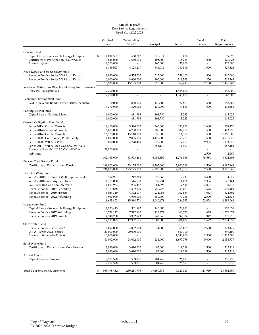#### City of Flagstaff Debt Service Requirements Fiscal Year 2022-2023

|                                                                               | Original<br>Issue        | Outstanding<br>7/1/22    | Principal                | Interest                 | Fiscal<br>Charges | Total<br>Requirements |
|-------------------------------------------------------------------------------|--------------------------|--------------------------|--------------------------|--------------------------|-------------------|-----------------------|
| General Fund                                                                  |                          |                          |                          |                          |                   |                       |
| Capital Lease - Renewable Energy Equipment                                    | \$<br>1,014,557          | 488,247                  | 76,014                   | 13,084                   |                   | 89,098                |
| Certificates of Participation - Courthouse                                    | 3,845,000                | 3,640,000                | 105,000                  | 115,725                  | 1,000             | 221,725               |
| Proposed: Quint                                                               | 1,300,000                |                          | 165,000                  | 52,000                   |                   | 217,000               |
|                                                                               | 6,159,557                | 4,128,247                | 346,014                  | 180,809                  | 1,000             | 527,823               |
| Road Repair and Street Safety Fund                                            |                          |                          |                          |                          |                   |                       |
| Revenue Bonds - Series 2016 Road Repair                                       | 8,930,000                | 6,535,000                | 515,000                  | 251,100                  | 900               | 767,000               |
| Revenue Bonds - Series 2018 Road Repair                                       | 10,000,000               | 8,600,000                | 400,000                  | 318,513                  | 1,250             | 719,763               |
| Roadway, Pedestrian, Bicycle and Safety Improvements                          | 18,930,000               | 15,135,000               | 915,000                  | 569,613                  | 2,150             | 1,486,763             |
| Proposed: Transportation                                                      | 17,200,000               | $\sim$                   |                          | 1,548,000                |                   | 1,548,000             |
|                                                                               | 17,200,000               | $\overline{\phantom{a}}$ | $\overline{\phantom{a}}$ | 1,548,000                | $\omega$          | 1,548,000             |
| Economic Development Fund                                                     |                          |                          |                          |                          |                   |                       |
| GADA Revenue Bonds - Series 2010A Incubator                                   | 3,370,000                | 1,820,000                | 170,000                  | 77,863                   | 500               | 248,363               |
|                                                                               | 3,370,000                | 1,820,000                | 170,000                  | 77,863                   | 500               | 248,363               |
| Parking District Fund                                                         |                          |                          |                          |                          |                   |                       |
| Capital Lease - Parking Meters                                                | 1,000,000                | 481,998                  | 101,780                  | 13,245                   |                   | 115,025               |
|                                                                               | 1,000,000                | 481,998                  | 101,780                  | 13,245                   |                   | 115,025               |
| General Obligation Bond Fund                                                  |                          |                          |                          |                          |                   |                       |
| Series 2013 - Capital Projects                                                | 11,460,000               | 5,990,000                | 760,000                  | 196,850                  | 1,600             | 958,450               |
| Series 2014A - Capital Projects<br>Series 2016 - Capital Projects             | 6,600,000                | 4,790,000                | 285,000<br>655,000       | 187,750<br>511,300       | 500<br>500        | 473,250<br>1,166,800  |
| Series 2020 - Courthouse/Public Safety                                        | 16,105,000<br>11,090,000 | 13,110,000<br>9,835,000  | 4,175,000                | 355,775                  | 500               | 4,531,275             |
| Series 2020 - WIFA - FWPP                                                     | 5,000,000                | 4,778,464                | 225,685                  | 17,403                   | 69,984            | 313,072               |
| Series 2011 - WIFA - Red Gap Shallow Wells                                    |                          |                          | 855,170                  | 1,991                    |                   | 857,161               |
| Proposed - November 2022 Ballot Initiatives                                   | 51,900,000               |                          | $\overline{\phantom{a}}$ | $\overline{\phantom{a}}$ |                   | $\sim$                |
| Arbitrage                                                                     |                          |                          |                          |                          | 2,500             | 2,500                 |
|                                                                               | 102,155,000              | 38,503,464               | 6,955,855                | 1,271,069                | 75,584            | 8,302,508             |
| Pension Debt Service Fund                                                     |                          |                          |                          |                          |                   |                       |
| Certificates of Participation - Pension                                       | 131,000,000              | 123,125,000              | 6,295,000                | 2,900,368                | 2,500             | 9,197,868             |
|                                                                               | 131,000,000              | 123,125,000              | 6,295,000                | 2,900,368                | 2,500             | 9,197,868             |
| Drinking Water Fund                                                           |                          |                          |                          |                          |                   |                       |
| WIFA - 2010 Fort Tuthill Well Improvements<br>WIFA - 2010 Local Aquifer Study | 594,951<br>1,100,000     | 247,369<br>516,538       | 28,366<br>59,231         | 2,215<br>4,626           | 3,498<br>7,304    | 34,079<br>71,161      |
| GO - 2011 Red Gap Shallow Wells                                               | 1,633,933                | 936,467                  | 81,298                   | 7,510                    | 7,024             | 95,832                |
| Revenue Bonds - 2017 Refunding                                                | 6,389,858                | 4,362,120                | 950,728                  | 49,061                   | 675               | 1,000,464             |
| Revenue Bonds - 2019 Projects                                                 | 5,044,710                | 4,392,077                | 271,055                  | 102,584                  | 1,053             | 374,692               |
| Revenue Bonds - 2022 Refunding                                                | 4,930,000                | 4,930,000                | 650,000                  | 70,336                   | 2,500             | 722,836               |
|                                                                               | 19,693,452               | 15,384,571               | 2,040,678                | 236,332                  | 22,054            | 2,299,064             |
| Wastewater Fund                                                               |                          |                          |                          |                          |                   |                       |
| Capital Lease - Renewable Energy Equipment                                    | 1,936,443                | 931,892                  | 145,086                  | 24,973                   | ÷.                | 170,059               |
| Revenue Bonds - 2017 Refunding                                                | 10,739,142               | 7,512,880                | 1,413,272                | 163,730                  | 675               | 1,577,677             |
| Revenue Bonds - 2019 Projects                                                 | 4,540,290                | 3,952,923                | 243,945                  | 92,324                   | 947               | 337,216               |
|                                                                               | 17,215,875               | 12,397,695               | 1,802,303                | 281,027                  | 1,622             | 2,084,952             |
| Stormwater Fund<br>Revenue Bonds - Series 2022                                |                          |                          |                          | 66,679                   |                   | 303,179               |
| WIFA - Series 2022 Projects                                                   | 4,092,000<br>20,000,000  | 4,092,000<br>20,000,000  | 234,000                  | 549,100                  | 2,500             | 549,100               |
| Proposed: Stormwater Projects                                                 | 16,000,000               |                          |                          | 1,280,000                | 2,500             | 1,282,500             |
|                                                                               | 40,092,000               | 24,092,000               | 234,000                  | 1,895,779                | 5,000             | 2,134,779             |
| Solid Waste Fund                                                              |                          |                          |                          |                          |                   |                       |
| Certificates of Participation - Core Services                                 | 3,880,000                | 3,610,000                | 95,000                   | 119,219                  | 1,500             | 215,719               |
|                                                                               | 3,880,000                | 3,610,000                | 95,000                   | 119,219                  | 1,500             | 215,719               |
| Airport Fund                                                                  |                          |                          |                          |                          |                   |                       |
| Capital Lease - Hangars                                                       | 2,782,598                | 533,801                  | 204,743                  | 26,993                   |                   | 231,736               |
|                                                                               | 2,782,598                | 533,801                  | 204,743                  | 26,993                   |                   | 231,736               |
|                                                                               |                          |                          |                          |                          |                   |                       |
| <b>Total Debt Service Requirements</b>                                        | \$<br>363,478,482        | 239, 211, 776            | 19,160,373               | 9,120,317                | 111,910           | 28,392,600            |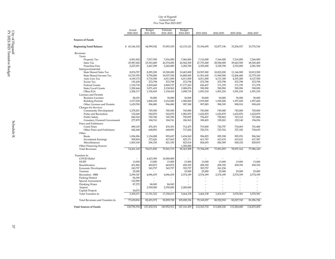# City of Flagstaff General Fund Five Year Plan 2023-2027

|                                     | Actual<br>2020-2021    | Budget<br>2021-2022  | Estimate<br>2021-2022  | Budget<br>2022-2023    | 2023-2024          | 2024-2025          | 2025-2026          | 2026-2027          |
|-------------------------------------|------------------------|----------------------|------------------------|------------------------|--------------------|--------------------|--------------------|--------------------|
|                                     |                        |                      |                        |                        |                    |                    |                    |                    |
| <b>Sources of Funds</b>             |                        |                      |                        |                        |                    |                    |                    |                    |
| <b>Beginning Fund Balance</b>       | \$43,166,102           | 44.999.542           | 57,093,185             | 62,133,123             | 33,194,695         | 32,877,196         | 33,256,937         | 33,776,766         |
| Revenues                            |                        |                      |                        |                        |                    |                    |                    |                    |
| Taxes                               |                        |                      |                        |                        |                    |                    |                    |                    |
| Property Tax                        | 6,961,062              | 7,017,500            | 7,016,000              | 7,066,000              | 7,116,000          | 7,166,000          | 7,216,000          | 7,266,000          |
| Sales Tax                           | 25,987,602             | 23,563,400           | 26,574,000             | 26,942,300             | 27,753,200         | 28,586,000         | 29,443,500         | 28,560,400         |
| Franchise Fees                      | 2,227,051              | 2,447,298            | 2,260,000              | 2,282,700              | 2,305,600          | 2,328,700          | 2,352,000          | 2,281,500          |
| Intergovernmental                   |                        |                      |                        |                        |                    |                    |                    |                    |
| State Shared Sales Tax              | 8,874,787              | 8,285,200            | 10,300,000             | 10,403,000             | 10,507,000         | 10,822,200         | 11,146,900         | 10,812,500         |
| State Shared Income Tax             | 10,723,978             | 9,790,000            | 10,075,700             | 14,800,000             | 11,501,600         | 11,960,900         | 12,406,400         | 12,779,100         |
| Auto Lieu Tax                       | 4,169,172              | 3,718,300            | 4,011,000              | 4,011,000              | 4,011,000          | 4,131,300          | 4,255,200          | 4,127,500          |
| Excise Tax<br><b>Federal Grants</b> | 135,438<br>1,130,718   | 272,798<br>3,269,668 | 272,798<br>2,849,157   | 272,798<br>17,177,243  | 272,798<br>626,437 | 272,798<br>171,378 | 272,798<br>171,378 | 272,798<br>171,378 |
| State/Local Grants                  |                        | 3,071,419            |                        |                        | 590,990            | 590,990            | 590,990            | 590,990            |
| Other IGA                           | 1,200,444<br>1,204,117 | 1,154,418            | 2,150,965<br>1,154,418 | 3,988,076<br>1,098,718 | 1,091,218          | 1,091,218          | 1,091,218          | 1,091,218          |
| Licenses and Permits                |                        |                      |                        |                        |                    |                    |                    |                    |
| <b>Business Licenses</b>            | 28,676                 | 30,000               | 30,000                 | 30,000                 | 30,000             | 30,000             | 30,000             | 30,000             |
| <b>Building Permits</b>             | 3,517,030              | 1,868,100            | 2,214,000              | 1,900,000              | 1,919,000          | 1,938,200          | 1,957,600          | 1,957,600          |
| Other Licenses and Permits          | 1,629,550              | 996,880              | 996,880                | 997,380                | 997,885            | 998,395            | 998,910            | 999,430            |
| Charges for Services                |                        |                      |                        |                        |                    |                    |                    |                    |
| Community Development               | 1,278,201              | 745,500              | 745,500                | 745,000                | 745,000            | 745,000            | 745,000            | 745,000            |
| Parks and Recreation                | 132,668                | 542,870              | 542,870                | 1,082,870              | 1,622,870          | 1,622,870          | 1,622,870          | 1,622,870          |
| <b>Public Safety</b>                | 840,369                | 745,780              | 745,780                | 750,097                | 754,457            | 758,862            | 763,312            | 767,804            |
| Cemetery/General Government         | 277,879                | 184,741              | 184,741                | 186,563                | 188,403            | 190,262            | 192,140            | 194,036            |
| Fines and Forfeitures               |                        |                      |                        |                        |                    |                    |                    |                    |
| <b>Court Fines</b>                  | 490,145                | 476,301              | 476,301                | 712,475                | 719,600            | 726,797            | 734,065            | 741,406            |
| Other Fines and Forfeitures         | 442,448                | 668,893              | 668,893                | 717,024                | 720,376            | 723,762            | 727,182            | 730,635            |
| Other                               |                        |                      |                        |                        |                    |                    |                    |                    |
| Rents                               | 1,094,906              | 1,154,008            | 993,697                | 1,654,569              | 994,825            | 995,398            | 995,976            | 996,560            |
| <b>Investment Earnings</b>          | 909,804                | 372,426              | 417,665                | 423,171                | 411,747            | 413,674            | 415,621            | 417,587            |
| Miscellaneous                       | 1,005,100              | 296,350              | 821,350                | 823,014                | 824,693            | 826,389            | 828,102            | 829,833            |
| Other Financing Sources             |                        |                      |                        | 1,300,000              |                    | $\overline{a}$     | $\overline{a}$     |                    |
| <b>Total Revenues</b>               | 74,261,145             | 70,671,850           | 75,501,715             | 99,363,998             | 75,704,699         | 77,091,093         | 78,957,162         | 77,986,145         |
| Transfers In                        |                        |                      |                        |                        |                    |                    |                    |                    |
| <b>COVID Relief</b>                 |                        | 4,423,509            | 10,000,000             |                        |                    |                    |                    |                    |
| <b>HURF</b>                         | 13,000                 | 13,000               | 13,000                 | 13,000                 | 13,000             | 13,000             | 13,000             | 13,000             |
| Beautification                      | 451,882                | 469,872              | 469,872                | 458,392                | 458,392            | 458,392            | 458,392            | 458,392            |
| Economic Development                | 243,757                | 343,757              | 343,757                | 393,757                | 393,757            | 361.236            |                    |                    |
| Tourism                             | 25,000                 |                      |                        | 25,000                 | 25,000             | 25,000             | 25,000             | 25,000             |
| Recreation - BBB                    | 2,299,347              | 4,096,439            | 4,096,439              | 2,574,189              | 2,574,189          | 2,574,189          | 2,574,189          | 2,574,189          |
| Parking District                    | 96,349                 |                      |                        |                        |                    |                    |                    |                    |
| Special Assessment                  | 122,989                |                      |                        | $\overline{a}$         | $\overline{a}$     | $\overline{a}$     | $\overline{a}$     | $\overline{a}$     |
| Drinking Water                      | 87,272                 | 84,945               | 84,945                 |                        |                    |                    |                    |                    |
| Airport                             |                        | 2,350,000            | 2,350,000              | 2,200,000              |                    |                    |                    |                    |
| Capital Projects                    | 30,075                 |                      |                        |                        |                    |                    |                    |                    |
| Total Transfers In                  | 3,369,671              | 11,781,522           | 17,358,013             | 5,664,338              | 3,464,338          | 3,431,817          | 3,070,581          | 3,070,581          |
| Total Revenues and Transfers In     | 77,630,816             | 82,453,372           | 92,859,728             | 105,028,336            | 79,169,037         | 80,522,910         | 82,027,743         | 81,056,726         |
| <b>Total Sources of Funds</b>       | 120,796,918            | 127,452,914          | 149,952,913            | 167,161,459            | 112,363,732        | 113,400,106        | 115,284,680        | 114,833,492        |
|                                     |                        |                      |                        |                        |                    |                    |                    |                    |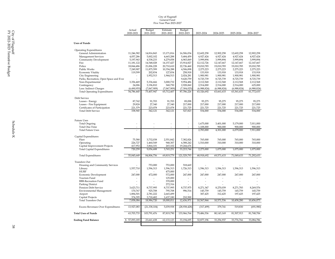# City of Flagstaff General Fund Five Year Plan 2023-2027

|                                        | Actual                   | Budget                   | Estimate                 | Budget                   |                          |                          |                          |                          |
|----------------------------------------|--------------------------|--------------------------|--------------------------|--------------------------|--------------------------|--------------------------|--------------------------|--------------------------|
|                                        | 2020-2021                | 2021-2022                | 2021-2022                | 2022-2023                | 2023-2024                | 2024-2025                | 2025-2026                | 2026-2027                |
|                                        |                          |                          |                          |                          |                          |                          |                          |                          |
| <b>Uses of Funds</b>                   |                          |                          |                          |                          |                          |                          |                          |                          |
|                                        |                          |                          |                          |                          |                          |                          |                          |                          |
| Operating Expenditures                 |                          |                          |                          |                          |                          |                          |                          |                          |
| General Administration                 | 11,246,582               | 14,816,843               | 13,171,816               | 16,506,034               | 12,602,258               | 12,902,258               | 12,602,258               | 12,902,258               |
| Management Services                    | 4,057,286                | 5,002,102                | 4,665,288                | 5,684,459                | 4,927,424                | 4,927,424                | 4,927,424                | 4,927,424                |
| Community Development<br>Fire          | 5,197,943                | 4,538,233                | 4,279,058                | 4,965,069                | 3,999,894                | 3,999,894                | 3,999,894                | 3,999,894                |
| Police                                 | 11,181,122<br>18,844,486 | 14,548,028<br>21,006,228 | 14,157,427<br>20,710,610 | 15,914,827<br>22,726,460 | 12,112,726<br>19,010,785 | 12,147,667<br>19,010,785 | 12,147,667<br>19,010,785 | 12,147,667<br>19,010,785 |
| <b>Public Works</b>                    | 7.249.907                | 11,875,599               | 10,354,288               | 4,506,898                | 2,275,223                | 2,275,223                | 2,275,223                | 2,275,223                |
| Economic Vitality                      | 119,599                  | 202,834                  | 127,834                  | 258,918                  | 133,918                  | 133,918                  | 133,918                  | 133,918                  |
| City Engineering                       | ۰                        | 1,952,513                | 1,944,513                | 2,024,281                | 1,900,981                | 1,900,981                | 1,900,981                | 1,900,981                |
| Parks, Recreation, Open Space and Ever |                          |                          |                          | 9,620,759                | 8,725,739                | 8,725,739                | 8,725,739                | 8,725,739                |
| Non-Departmental                       | 3,356,469                | 5,336,666                | 3,000,732                | 9,954,486                | 2,112,568                | 2,112,568                | 2,112,568                | 2,112,568                |
| Contingency                            | 24,006                   | 3,196,810                | 368,750                  | 2,928,060                | 2,514,000                | 2,514,000                | 2,514,000                | 625,000                  |
| Less: Indirect Charges                 | (6,490,955)              | (7,067,909)              | (7,067,909)              | (7,304,025)              | (6,988,824)              | (6,988,824)              | (6,988,824)              | (6,988,824)              |
| <b>Total Operating Expenditures</b>    | 54,786,445               | 75,407,947               | 65,712,407               | 87,786,226               | 63,326,692               | 63,661,633               | 63,361,633               | 61,772,633               |
|                                        |                          |                          |                          |                          |                          |                          |                          |                          |
| Debt Service                           |                          |                          |                          |                          |                          |                          |                          |                          |
| Leases - Energy                        | 87,742                   | 91,703                   | 91,703                   | 89,098                   | 95,275                   | 95,275                   | 95,275                   | 95,275                   |
| Leases - Fire Equipment                | 29,824                   | 27,340                   | 27,340                   | 217,000                  | 217,000                  | 217,000                  | 217,000                  | 217,000                  |
| Certificates of Participation          | 221,379                  | 223,078                  | 223,078                  | 221,725                  | 221,725                  | 221,725                  | 221,725                  | 221,725                  |
| <b>Total Debt Service</b>              | 338.945                  | 342,121                  | 342,121                  | 527,823                  | 534,000                  | 534.000                  | 534,000                  | 534.000                  |
|                                        |                          |                          |                          |                          |                          |                          |                          |                          |
| <b>Future Uses</b>                     |                          |                          |                          |                          |                          |                          |                          |                          |
| <b>Total Ongoing</b>                   | $\overline{a}$           |                          |                          | $\overline{a}$           | 1,675,000                | 3,401,000                | 5,179,000                | 7,011,000                |
| Total One-Time                         | $\overline{a}$           | $\overline{a}$           | $\overline{a}$           | $\overline{a}$           | 1,108,000                | 900,000                  | 900,000                  | 900,000                  |
| <b>Total Future Uses</b>               | $\overline{a}$           |                          |                          |                          | 2,783,000                | 4,301,000                | 6,079,000                | 7,911,000                |
| Capital Expenditures                   |                          |                          |                          |                          |                          |                          |                          |                          |
| Fleet                                  | 75,580                   | 3,732,038                | 2,551,842                | 7,382,826                | 765,000                  | 765,000                  | 765,000                  | 765,000                  |
| Operating                              | 226,727                  | 1,460,549                | 948,307                  | 6,588,242                | 1,510,000                | 310,000                  | 310,000                  | 310,000                  |
| Capital Improvement Projects           | 417,952                  | 3,864,101                | 265,102                  | 19,244,676               |                          |                          |                          |                          |
| <b>Total Capital Expenditures</b>      | 720,259                  | 9,056,688                | 3,765,251                | 33,215,744               | 2,275,000                | 1,075,000                | 1,075,000                | 1,075,000                |
|                                        |                          |                          |                          |                          |                          |                          |                          |                          |
| <b>Total Expenditures</b>              | 55,845,649               | 84,806,756               | 69,819,779               | 121,529,793              | 68,918,692               | 69,571,633               | 71,049,633               | 71,292,633               |
| <b>Transfers Out</b>                   |                          |                          |                          |                          |                          |                          |                          |                          |
| Housing and Community Services         |                          | 753,000                  | 753,000                  | 518,669                  |                          |                          |                          |                          |
| Library                                | 1,557,710                | 1,596,313                | 1,596,313                | 1,726,313                | 1,596,313                | 1,596,313                | 1,596,313                | 1,596,313                |
| <b>HURF</b>                            |                          |                          | 475,000                  |                          |                          |                          |                          |                          |
| Economic Development                   | 247,000                  | 472,000                  | 572,000                  | 247,000                  | 247,000                  | 247,000                  | 247,000                  | 247,000                  |
| Tourism Fund                           |                          |                          | 125,000                  |                          |                          |                          |                          |                          |
| <b>BBB-Recreation Fund</b>             |                          |                          | 370,000                  |                          |                          |                          |                          |                          |
| Parking District                       |                          |                          | 272,316                  |                          |                          |                          |                          |                          |
| Pension Debt Service                   | 3,623,711                | 8,737,995                | 8,737,995                | 8,737,975                | 8,271,347                | 8,270,039                | 8,271,783                | 8,269,576                |
| Environmental Management               | 170,767                  | 925,708                  | 795,708                  | 996,514                  | 145,759                  | 145,759                  | 145,759                  | 145,759                  |
| Airport                                | 1,884,501                | 2,781,222                | 2,665,499                |                          | 307,425                  | 312,425                  | 197,425                  | 197,425                  |
| Capital Projects                       | 374,395                  | 3,718,482                | 1,637,180                | 210,500                  |                          |                          |                          |                          |
| <b>Total Transfers Out</b>             | 7,858,084                | 18,984,720               | 18,000,011               | 12,436,971               | 10,567,844               | 10,571,536               | 10,458,280               | 10,456,073               |
| Excess Revenues Over Expenditures      | 13,927,083               | (21, 338, 104)           | 5,039,938                | (28,938,428)             | (317, 499)               | 379,741                  | 519,830                  | (691,980)                |
|                                        |                          |                          |                          |                          |                          |                          |                          |                          |
| <b>Total Uses of Funds</b>             | 63,703,733               | 103,791,476              | 87,819,790               | 133,966,764              | 79,486,536               | 80,143,169               | 81,507,913               | 81,748,706               |
| <b>Ending Fund Balance</b>             | 57,093,185<br>S          | 23,661,438               | 62,133,123               | 33,194,695               | 32,877,196               | 33,256,937               | 33,776,766               | 33,084,786               |
|                                        |                          |                          |                          |                          |                          |                          |                          |                          |
|                                        |                          |                          |                          |                          |                          |                          |                          |                          |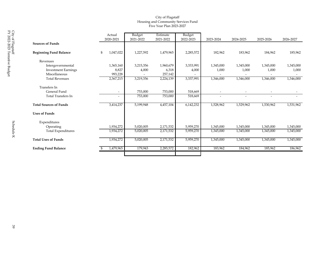#### City of Flagstaff Housing and Community Services Fund Five Year Plan 2023-2027

|                               | Actual          | Budget    | Estimate  | Budget    |           |           |           |           |
|-------------------------------|-----------------|-----------|-----------|-----------|-----------|-----------|-----------|-----------|
|                               | 2020-2021       | 2021-2022 | 2021-2022 | 2022-2023 | 2023-2024 | 2024-2025 | 2025-2026 | 2026-2027 |
| <b>Sources of Funds</b>       |                 |           |           |           |           |           |           |           |
| <b>Beginning Fund Balance</b> | 1,047,022<br>\$ | 1,227,592 | 1,479,965 | 2,285,572 | 182,962   | 183,962   | 184,962   | 185,962   |
| Revenues                      |                 |           |           |           |           |           |           |           |
| Intergovernmental             | 1,365,160       | 3,215,356 | 1,960,679 | 3,333,991 | 1,345,000 | 1,345,000 | 1,345,000 | 1,345,000 |
| <b>Investment Earnings</b>    | 8,827           | 4,000     | 6,318     | 4,000     | 1,000     | 1,000     | 1,000     | 1,000     |
| Miscellaneous                 | 993,228         |           | 257,142   |           |           |           |           |           |
| <b>Total Revenues</b>         | 2,367,215       | 3,219,356 | 2,224,139 | 3,337,991 | 1,346,000 | 1,346,000 | 1,346,000 | 1,346,000 |
| <b>Transfers</b> In           |                 |           |           |           |           |           |           |           |
| General Fund                  |                 | 753,000   | 753,000   | 518,669   |           |           |           |           |
| <b>Total Transfers In</b>     |                 | 753,000   | 753,000   | 518,669   |           |           |           |           |
| <b>Total Sources of Funds</b> | 3,414,237       | 5,199,948 | 4,457,104 | 6,142,232 | 1,528,962 | 1,529,962 | 1,530,962 | 1,531,962 |
| <b>Uses of Funds</b>          |                 |           |           |           |           |           |           |           |
| Expenditures                  |                 |           |           |           |           |           |           |           |
| Operating                     | 1,934,272       | 5,020,005 | 2,171,532 | 5,959,270 | 1,345,000 | 1,345,000 | 1,345,000 | 1,345,000 |
| <b>Total Expenditures</b>     | 1,934,272       | 5,020,005 | 2,171,532 | 5,959,270 | 1,345,000 | 1,345,000 | 1,345,000 | 1,345,000 |
| <b>Total Uses of Funds</b>    | 1,934,272       | 5,020,005 | 2,171,532 | 5,959,270 | 1,345,000 | 1,345,000 | 1,345,000 | 1,345,000 |
| <b>Ending Fund Balance</b>    | 1,479,965       | 179,943   | 2,285,572 | 182,962   | 183,962   | 184,962   | 185,962   | 186,962   |
|                               |                 |           |           |           |           |           |           |           |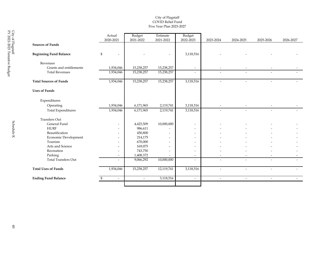# City of Flagstaff COVID Relief Fund Five Year Plan 2023-2027

| 2022-2023<br>2020-2021<br>2021-2022<br>2021-2022<br>2023-2024<br>2024-2025<br>2025-2026<br><b>Sources of Funds</b>                                                   | 2026-2027 |
|----------------------------------------------------------------------------------------------------------------------------------------------------------------------|-----------|
|                                                                                                                                                                      |           |
|                                                                                                                                                                      |           |
|                                                                                                                                                                      |           |
| \$<br>3,118,516<br><b>Beginning Fund Balance</b>                                                                                                                     |           |
|                                                                                                                                                                      |           |
| Revenues                                                                                                                                                             |           |
| Grants and entitlements<br>1,934,046<br>15,238,257<br>15,238,257                                                                                                     |           |
| <b>Total Revenues</b><br>1,934,046<br>15,238,257<br>15,238,257                                                                                                       |           |
|                                                                                                                                                                      |           |
| 1,934,046<br>3,118,516<br><b>Total Sources of Funds</b><br>15,238,257<br>15,238,257<br>$\sim$                                                                        |           |
|                                                                                                                                                                      |           |
| <b>Uses of Funds</b>                                                                                                                                                 |           |
|                                                                                                                                                                      |           |
| Expenditures                                                                                                                                                         |           |
| 3,118,516<br>Operating<br>1,934,046<br>6,171,965<br>2,119,741<br>$\overline{\phantom{a}}$<br>$\overline{\phantom{a}}$                                                |           |
| Total Expenditures<br>3,118,516<br>1,934,046<br>6,171,965<br>2,119,741<br>$\sim$                                                                                     |           |
|                                                                                                                                                                      |           |
| <b>Transfers Out</b>                                                                                                                                                 |           |
| General Fund<br>4,423,509<br>10,000,000<br>$\overline{\phantom{a}}$                                                                                                  |           |
| <b>HURF</b><br>986,611<br>$\overline{\phantom{a}}$                                                                                                                   |           |
| Beautification<br>450,800<br>$\overline{\phantom{a}}$                                                                                                                |           |
| Economic Development<br>214,175<br>$\overline{\phantom{0}}$                                                                                                          |           |
| 670,000<br>Tourism<br>$\sim$                                                                                                                                         |           |
| Arts and Science<br>169,075<br>$\overline{\phantom{a}}$<br>$\overline{\phantom{a}}$                                                                                  |           |
| Recreation<br>743,750<br>$\overline{\phantom{a}}$<br>$\overline{\phantom{a}}$                                                                                        |           |
| Parking<br>1,408,372<br>$\sim$<br>$\overline{\phantom{a}}$                                                                                                           |           |
| <b>Total Transfers Out</b><br>10,000,000<br>9,066,292<br>$\sim$                                                                                                      |           |
|                                                                                                                                                                      |           |
| <b>Total Uses of Funds</b><br>12,119,741<br>3,118,516<br>1,934,046<br>15,238,257<br>$\overline{\phantom{a}}$<br>$\overline{\phantom{a}}$<br>$\overline{\phantom{a}}$ |           |
|                                                                                                                                                                      |           |
| 3,118,516<br><b>Ending Fund Balance</b><br>\$<br>$\overline{\phantom{a}}$                                                                                            |           |
|                                                                                                                                                                      |           |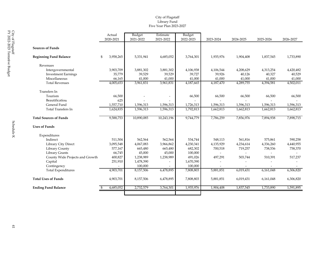### City of Flagstaff Library Fund Five Year Plan 2023-2027

|                                 | Actual          | Budget     | Estimate   | Budget    |           |           |           |           |
|---------------------------------|-----------------|------------|------------|-----------|-----------|-----------|-----------|-----------|
|                                 | 2020-2021       | 2021-2022  | 2021-2022  | 2022-2023 | 2023-2024 | 2024-2025 | 2025-2026 | 2026-2027 |
| <b>Sources of Funds</b>         |                 |            |            |           |           |           |           |           |
|                                 |                 |            |            |           |           |           |           |           |
| <b>Beginning Fund Balance</b>   | \$<br>3,958,265 | 5,331,941  | 4,685,052  | 3,764,301 | 1,935,976 | 1,904,408 | 1,837,545 | 1,733,890 |
| Revenues                        |                 |            |            |           |           |           |           |           |
| Intergovernmental               | 3,903,709       | 3,881,302  | 3,881,302  | 4,106,938 | 4,106,544 | 4,208,629 | 4,313,254 | 4,420,482 |
| <b>Investment Earnings</b>      | 35,779          | 39,529     | 39,529     | 39,727    | 39,926    | 40,126    | 40,327    | 40,529    |
| Miscellaneous                   | 66,165          | 41,000     | 41,000     | 41,000    | 41,000    | 41,000    | 41,000    | 41,000    |
| <b>Total Revenues</b>           | 4,005,653       | 3,961,831  | 3,961,831  | 4,187,665 | 4,187,470 | 4,289,755 | 4,394,581 | 4,502,011 |
| Transfers In                    |                 |            |            |           |           |           |           |           |
| Tourism                         | 66,500          |            |            | 66,500    | 66,500    | 66,500    | 66,500    | 66,500    |
| Beautification                  | 625             |            |            |           |           |           |           |           |
| General Fund                    | 1,557,710       | 1,596,313  | 1,596,313  | 1,726,313 | 1,596,313 | 1,596,313 | 1,596,313 | 1,596,313 |
| <b>Total Transfers In</b>       | 1,624,835       | 1,596,313  | 1,596,313  | 1,792,813 | 1,662,813 | 1,662,813 | 1,662,813 | 1,662,813 |
| <b>Total Sources of Funds</b>   | 9,588,753       | 10,890,085 | 10,243,196 | 9,744,779 | 7,786,259 | 7,856,976 | 7,894,938 | 7,898,715 |
| <b>Uses of Funds</b>            |                 |            |            |           |           |           |           |           |
| Expenditures                    |                 |            |            |           |           |           |           |           |
| Indirect                        | 511,504         | 562,564    | 562,564    | 534,744   | 548,113   | 561,816   | 575,861   | 590,258   |
| Library City Direct             | 3,095,548       | 4,067,083  | 3,966,862  | 4,230,341 | 4,135,929 | 4,234,614 | 4,336,260 | 4,440,955 |
| Library County                  | 577,167         | 665,480    | 665,480    | 682,302   | 700,518   | 719,257   | 738,536   | 758,370   |
| Library Grants                  | 66,745          | 45,000     | 45,000     | 100,000   |           |           |           |           |
| County Wide Projects and Growth | 400,827         | 1,238,989  | 1,238,989  | 491,026   | 497,291   | 503,744   | 510,391   | 517,237   |
| Capital                         | 251,910         | 1,478,390  |            | 1,670,390 |           |           |           |           |
| Contingency                     |                 | 100,000    |            | 100,000   |           |           |           |           |
| <b>Total Expenditures</b>       | 4,903,701       | 8,157,506  | 6,478,895  | 7,808,803 | 5,881,851 | 6,019,431 | 6,161,048 | 6,306,820 |
| <b>Total Uses of Funds</b>      | 4,903,701       | 8,157,506  | 6,478,895  | 7,808,803 | 5,881,851 | 6,019,431 | 6,161,048 | 6,306,820 |
| <b>Ending Fund Balance</b>      | 4,685,052       | 2,732,579  | 3,764,301  | 1,935,976 | 1,904,408 | 1,837,545 | 1,733,890 | 1,591,895 |
|                                 |                 |            |            |           |           |           |           |           |
|                                 |                 |            |            |           |           |           |           |           |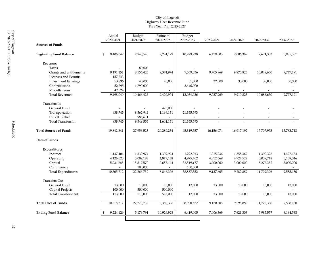#### City of Flagstaff Highway User Revenue Fund Five Year Plan 2023-2027

|                               | Actual          | Budget     | Estimate   | Budget     |            |            |            |            |
|-------------------------------|-----------------|------------|------------|------------|------------|------------|------------|------------|
|                               | 2020-2021       | 2021-2022  | 2021-2022  | 2022-2023  | 2023-2024  | 2024-2025  | 2025-2026  | 2026-2027  |
| <b>Sources of Funds</b>       |                 |            |            |            |            |            |            |            |
|                               |                 |            |            |            |            |            |            |            |
| <b>Beginning Fund Balance</b> | \$<br>9,406,047 | 7,940,543  | 9,224,129  | 10,929,928 | 6,419,005  | 7,006,369  | 7,621,303  | 5,985,557  |
| Revenues                      |                 |            |            |            |            |            |            |            |
| <b>Taxes</b>                  |                 | 80,000     |            |            |            |            |            |            |
| Grants and entitlements       | 9,191,151       | 8,556,425  | 9,374,974  | 9,539,036  | 9,705,969  | 9,875,823  | 10,048,650 | 9,747,191  |
| Licenses and Permits          | 157,743         |            |            |            |            |            |            |            |
| <b>Investment Earnings</b>    | 53,836          | 40,000     | 46,000     | 55,000     | 32,000     | 35,000     | 38,000     | 30,000     |
| Contributions                 | 52,795          | 1,790,000  |            | 3,440,000  |            |            |            |            |
| Miscellaneous                 | 42,524          |            |            |            |            |            |            |            |
| <b>Total Revenues</b>         | 9,498,049       | 10,466,425 | 9,420,974  | 13,034,036 | 9,737,969  | 9,910,823  | 10,086,650 | 9,777,191  |
|                               |                 |            |            |            |            |            |            |            |
| <b>Transfers In</b>           |                 |            |            |            |            |            |            |            |
| General Fund                  |                 |            | 475,000    |            |            |            |            |            |
| Transportation                | 938,745         | 8,562,944  | 1,169,131  | 21,355,593 |            |            |            |            |
| <b>COVID Relief</b>           |                 | 986,611    |            |            |            |            |            |            |
| <b>Total Transfers in</b>     | 938,745         | 9,549,555  | 1,644,131  | 21,355,593 |            |            |            |            |
| <b>Total Sources of Funds</b> | 19,842,841      | 27,956,523 | 20,289,234 | 45,319,557 | 16,156,974 | 16,917,192 | 17,707,953 | 15,762,748 |
| <b>Uses of Funds</b>          |                 |            |            |            |            |            |            |            |
| Expenditures                  |                 |            |            |            |            |            |            |            |
| Indirect                      | 1,147,404       | 1,339,974  | 1,339,974  | 1,292,913  | 1,325,236  | 1,358,367  | 1,392,326  | 1,427,134  |
| Operating                     | 4,126,623       | 5,009,188  | 4,819,188  | 4,975,462  | 4,812,369  | 4,924,522  | 5,039,718  | 5,158,046  |
| Capital                       | 5,231,685       | 15,817,570 | 2,687,144  | 32,519,177 | 3,000,000  | 3,000,000  | 5,277,352  | 3,000,000  |
| Contingency                   |                 | 100,000    |            | 100,000    |            |            |            |            |
| <b>Total Expenditures</b>     | 10,505,712      | 22,266,732 | 8,846,306  | 38,887,552 | 9,137,605  | 9,282,889  | 11,709,396 | 9,585,180  |
| <b>Transfers Out</b>          |                 |            |            |            |            |            |            |            |
| General Fund                  | 13,000          | 13,000     | 13,000     | 13,000     | 13,000     | 13,000     | 13,000     | 13,000     |
| Capital Projects              | 100,000         | 500,000    | 500,000    |            |            |            |            |            |
| <b>Total Transfers Out</b>    | 113,000         | 513,000    | 513,000    | 13,000     | 13,000     | 13,000     | 13,000     | 13,000     |
|                               |                 |            |            |            |            |            |            |            |
| <b>Total Uses of Funds</b>    | 10,618,712      | 22,779,732 | 9,359,306  | 38,900,552 | 9,150,605  | 9,295,889  | 11,722,396 | 9,598,180  |
| <b>Ending Fund Balance</b>    | 9,224,129       | 5,176,791  | 10,929,928 | 6,419,005  | 7,006,369  | 7,621,303  | 5,985,557  | 6,164,568  |
|                               |                 |            |            |            |            |            |            |            |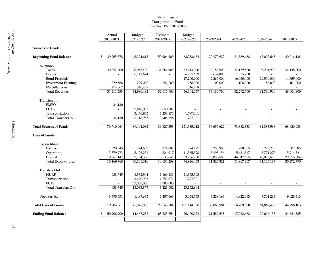#### City of Flagstaff Transportation Fund Five Year Plan 2023-2027

|                               | Actual           | <b>Budget</b> | Estimate   | Budget      |            |                          |                          |            |
|-------------------------------|------------------|---------------|------------|-------------|------------|--------------------------|--------------------------|------------|
|                               | 2020-2021        | 2021-2022     | 2021-2022  | 2022-2023   | 2023-2024  | 2024-2025                | 2025-2026                | 2026-2027  |
| <b>Sources of Funds</b>       |                  |               |            |             |            |                          |                          |            |
| <b>Beginning Fund Balance</b> | \$<br>39,265,578 | 48,394,615    | 50,906,900 | 63,283,654  | 20,470,922 | 21,589,638               | 17,092,668               | 20,016,138 |
| Revenues                      |                  |               |            |             |            |                          |                          |            |
| Taxes                         | 30,757,600       | 28,053,400    | 31,764,900 | 32,213,900  | 33,183,900 | 34,179,500               | 35,204,900               | 34,148,800 |
| Grants                        |                  | 6,141,624     |            | 6,285,699   | 632,800    | 1,955,200                |                          |            |
| <b>Bond Proceeds</b>          |                  |               |            | 17,200,000  | 2,265,000  | 16,050,000               | 29,500,000               | 14,655,000 |
| <b>Investment Earnings</b>    | 379,586          | 239,000       | 251,000    | 258,000     | 103,000    | 108,000                  | 86,000                   | 101,000    |
| Miscellaneous                 | 274,067          | 546,458       |            | 546,458     |            |                          |                          |            |
| <b>Total Revenues</b>         | 31,411,253       | 34,980,482    | 32,015,900 | 56,504,057  | 36,184,700 | 52,292,700               | 64,790,900               | 48,904,800 |
| Transfers In                  |                  |               |            |             |            |                          |                          |            |
| <b>FMPO</b>                   | 34,130           |               |            |             |            |                          |                          |            |
| <b>FUTS</b>                   |                  | 2,648,052     | 2,650,887  |             |            |                          |                          |            |
| Transportation                |                  | 3,470,933     | 1,253,871  | 1,797,301   |            |                          |                          |            |
| <b>Total Transfers In</b>     | 34,130           | 6,118,985     | 3,904,758  | 1,797,301   | $\sim$     |                          |                          |            |
| <b>Total Sources of Funds</b> | 70,710,961       | 89,494,082    | 86,827,558 | 121,585,012 | 56,655,622 | 73,882,338               | 81,883,568               | 68,920,938 |
| <b>Uses of Funds</b>          |                  |               |            |             |            |                          |                          |            |
| Expenditures                  |                  |               |            |             |            |                          |                          |            |
| Indirect                      | 328,645          | 274,681       | 274,681    | 274,127     | 280,980    | 288,005                  | 295,205                  | 302,585    |
| Operating                     | 3,879,973        | 8,126,231     | 4,824,917  | 11,365,598  | 5,495,156  | 5,631,517                | 5,771,277                | 5,914,521  |
| Capital                       | 10,961,147       | 52,104,398    | 13,533,641 | 63,286,708  | 26,050,685 | 46,047,685               | 48,099,685               | 29,055,684 |
| <b>Total Expenditures</b>     | 15,169,765       | 60,505,310    | 18,633,239 | 74,926,433  | 31,826,821 | 51,967,207               | 54,166,167               | 35,272,790 |
| <b>Transfers Out</b>          |                  |               |            |             |            |                          |                          |            |
| <b>HURF</b>                   | 938,745          | 8,562,944     | 1,169,131  | 21,355,593  |            |                          |                          |            |
| Transportation                |                  | 3,470,933     | 1,253,871  | 1,797,301   |            |                          |                          |            |
| <b>FUTS</b>                   |                  | 1,000,000     | 1,000,000  |             |            | $\overline{\phantom{a}}$ | $\overline{\phantom{a}}$ |            |
| <b>Total Transfers Out</b>    | 938,745          | 13,033,877    | 3,423,002  | 23,152,894  |            |                          |                          |            |
| Debt Service                  | 3,695,551        | 1,487,663     | 1,487,663  | 3,034,763   | 3,239,163  | 4,822,463                | 7,701,263                | 9,023,313  |
| <b>Total Uses of Funds</b>    | 19,804,061       | 75,026,850    | 23,543,904 | 101,114,090 | 35,065,984 | 56,789,670               | 61,867,430               | 44,296,103 |
| <b>Ending Fund Balance</b>    | 50,906,900<br>\$ | 14,467,232    | 63,283,654 | 20,470,922  | 21,589,638 | 17,092,668               | 20,016,138               | 24,624,835 |
|                               |                  |               |            |             |            |                          |                          |            |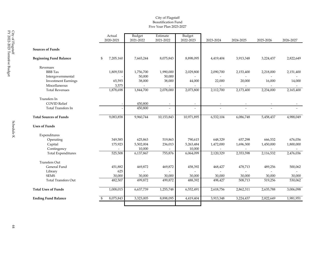# City of Flagstaff Beautification Fund Five Year Plan 2023-2027

|                               | Actual                   | Budget                   | Estimate                 | <b>Budget</b>            |                          |                          |                          |           |
|-------------------------------|--------------------------|--------------------------|--------------------------|--------------------------|--------------------------|--------------------------|--------------------------|-----------|
|                               | 2020-2021                | 2021-2022                | 2021-2022                | 2022-2023                | 2023-2024                | 2024-2025                | 2025-2026                | 2026-2027 |
| <b>Sources of Funds</b>       |                          |                          |                          |                          |                          |                          |                          |           |
|                               |                          |                          |                          |                          |                          |                          |                          |           |
| <b>Beginning Fund Balance</b> | \$<br>7,205,160          | 7,665,244                | 8,075,843                | 8,898,095                | 4,419,404                | 3,913,348                | 3,224,437                | 2,822,649 |
| Revenues                      |                          |                          |                          |                          |                          |                          |                          |           |
| <b>BBB</b> Tax                | 1,809,530                | 1,756,700                | 1,990,000                | 2,029,800                | 2,090,700                | 2,153,400                | 2,218,000                | 2,151,400 |
| Intergovernmental             |                          | 50,000                   | 50,000                   |                          |                          |                          |                          |           |
| <b>Investment Earnings</b>    | 65,593                   | 38,000                   | 38,000                   | 44,000                   | 22,000                   | 20,000                   | 16,000                   | 14,000    |
| Miscellaneous                 | 3,575                    | $\overline{\phantom{a}}$ |                          |                          |                          | $\blacksquare$           |                          |           |
| <b>Total Revenues</b>         | 1,878,698                | 1,844,700                | 2,078,000                | 2,073,800                | 2,112,700                | 2,173,400                | 2,234,000                | 2,165,400 |
| Transfers In                  |                          |                          |                          |                          |                          |                          |                          |           |
| <b>COVID Relief</b>           |                          | 450,800                  | $\overline{\phantom{a}}$ | $\overline{\phantom{a}}$ |                          | $\overline{\phantom{a}}$ |                          |           |
| <b>Total Transfers In</b>     |                          | 450,800                  |                          | $\overline{\phantom{0}}$ |                          |                          |                          |           |
| <b>Total Sources of Funds</b> | 9,083,858                | 9,960,744                | 10,153,843               | 10,971,895               | 6,532,104                | 6,086,748                | 5,458,437                | 4,988,049 |
| <b>Uses of Funds</b>          |                          |                          |                          |                          |                          |                          |                          |           |
| Expenditures                  |                          |                          |                          |                          |                          |                          |                          |           |
| Operating                     | 349,585                  | 625,863                  | 519,863                  | 790,615                  | 648,329                  | 657,298                  | 666,532                  | 676,036   |
| Capital                       | 175,923                  | 5,502,004                | 236,013                  | 5,263,484                | 1,472,000                | 1,696,300                | 1,450,000                | 1,800,000 |
| Contingency                   | $\overline{\phantom{a}}$ | 10,000                   |                          | 10,000                   | $\overline{\phantom{a}}$ | $\overline{\phantom{a}}$ | $\overline{\phantom{0}}$ |           |
| <b>Total Expenditures</b>     | 525,508                  | 6,137,867                | 755,876                  | 6,064,099                | 2,120,329                | 2,353,598                | 2,116,532                | 2,476,036 |
| <b>Transfers Out</b>          |                          |                          |                          |                          |                          |                          |                          |           |
| General Fund                  | 451,882                  | 469,872                  | 469,872                  | 458,392                  | 468,427                  | 478,713                  | 489,256                  | 500,062   |
| Library                       | 625                      |                          | $\overline{\phantom{a}}$ |                          |                          |                          |                          |           |
| <b>SEMS</b>                   | 30,000                   | 30,000                   | 30,000                   | 30,000                   | 30,000                   | 30,000                   | 30,000                   | 30,000    |
| <b>Total Transfers Out</b>    | 482,507                  | 499,872                  | 499,872                  | 488,392                  | 498,427                  | 508,713                  | 519,256                  | 530,062   |
| <b>Total Uses of Funds</b>    | 1,008,015                | 6,637,739                | 1,255,748                | 6,552,491                | 2,618,756                | 2,862,311                | 2,635,788                | 3,006,098 |
| <b>Ending Fund Balance</b>    | 8,075,843                | 3,323,005                | 8,898,095                | 4,419,404                | 3,913,348                | 3,224,437                | 2,822,649                | 1,981,951 |
|                               |                          |                          |                          |                          |                          |                          |                          |           |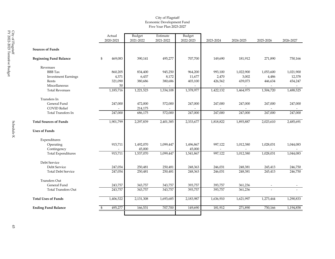# City of Flagstaff Economic Development Fund Five Year Plan 2023-2027

|                                     |       | Actual           | Budget           | Estimate         | Budget            |                  |                    |                          |                     |
|-------------------------------------|-------|------------------|------------------|------------------|-------------------|------------------|--------------------|--------------------------|---------------------|
|                                     |       | 2020-2021        | 2021-2022        | 2021-2022        | 2022-2023         | 2023-2024        | 2024-2025          | 2025-2026                | 2026-2027           |
|                                     |       |                  |                  |                  |                   |                  |                    |                          |                     |
| <b>Sources of Funds</b>             |       |                  |                  |                  |                   |                  |                    |                          |                     |
| <b>Beginning Fund Balance</b>       | $\$\$ | 469,083          | 390,141          | 495,277          | 707,700           | 149,690          | 181,912            | 271,890                  | 750,166             |
|                                     |       |                  |                  |                  |                   |                  |                    |                          |                     |
| Revenues<br><b>BBB</b> Tax          |       |                  |                  |                  |                   |                  |                    |                          |                     |
|                                     |       | 860,205<br>4,371 | 834,400<br>6,437 | 945,250<br>8,172 | 964,200<br>11,677 | 993,100<br>2,470 | 1,022,900<br>3,002 | 1,053,600<br>4,486       | 1,021,900<br>12,378 |
| <b>Investment Earnings</b><br>Rents |       |                  |                  |                  |                   |                  |                    |                          |                     |
| Miscellaneous                       |       | 321,090          | 380,686          | 380,686          | 403,100           | 426,562          | 439,073            | 446,634                  | 454,247             |
| <b>Total Revenues</b>               |       | 50<br>1,185,716  | 1,221,523        | 1,334,108        | 1,378,977         | 1,422,132        | 1,464,975          | 1,504,720                | 1,488,525           |
|                                     |       |                  |                  |                  |                   |                  |                    |                          |                     |
| Transfers In                        |       |                  |                  |                  |                   |                  |                    |                          |                     |
| General Fund                        |       | 247,000          | 472,000          | 572,000          | 247,000           | 247,000          | 247,000            | 247,000                  | 247,000             |
| <b>COVID Relief</b>                 |       |                  | 214,175          |                  |                   |                  |                    |                          |                     |
| <b>Total Transfers In</b>           |       | 247,000          | 686,175          | 572,000          | 247,000           | 247,000          | 247,000            | 247,000                  | 247,000             |
|                                     |       |                  |                  |                  |                   |                  |                    |                          |                     |
| <b>Total Sources of Funds</b>       |       | 1,901,799        | 2,297,839        | 2,401,385        | 2,333,677         | 1,818,822        | 1,893,887          | 2,023,610                | 2,485,691           |
| <b>Uses of Funds</b>                |       |                  |                  |                  |                   |                  |                    |                          |                     |
| Expenditures                        |       |                  |                  |                  |                   |                  |                    |                          |                     |
| Operating                           |       | 915,711          | 1,492,070        | 1,099,447        | 1,496,867         | 997,122          | 1,012,380          | 1,028,031                | 1,044,083           |
| Contingency                         |       |                  | 45,000           |                  | 45,000            |                  |                    |                          |                     |
| <b>Total Expenditures</b>           |       | 915,711          | 1,537,070        | 1,099,447        | 1,541,867         | 997,122          | 1,012,380          | 1,028,031                | 1,044,083           |
| Debt Service                        |       |                  |                  |                  |                   |                  |                    |                          |                     |
| Debt Service                        |       | 247,054          | 250,481          | 250,481          | 248,363           | 246,031          | 248,381            | 245,413                  | 246,750             |
| <b>Total Debt Service</b>           |       | 247,054          | 250,481          | 250,481          | 248,363           | 246,031          | 248,381            | 245,413                  | 246,750             |
| <b>Transfers Out</b>                |       |                  |                  |                  |                   |                  |                    |                          |                     |
| General Fund                        |       | 243,757          | 343,757          | 343,757          | 393,757           | 393,757          | 361,236            | $\overline{\phantom{a}}$ |                     |
| <b>Total Transfers Out</b>          |       | 243,757          | 343,757          | 343,757          | 393,757           | 393,757          | 361,236            | $\overline{\phantom{a}}$ |                     |
| <b>Total Uses of Funds</b>          |       | 1,406,522        | 2,131,308        | 1,693,685        | 2,183,987         | 1,636,910        | 1,621,997          | 1,273,444                | 1,290,833           |
|                                     |       |                  |                  |                  |                   |                  |                    |                          |                     |
| <b>Ending Fund Balance</b>          |       | 495,277          | 166,531          | 707,700          | 149,690           | 181,912          | 271,890            | 750,166                  | 1,194,858           |
|                                     |       |                  |                  |                  |                   |                  |                    |                          |                     |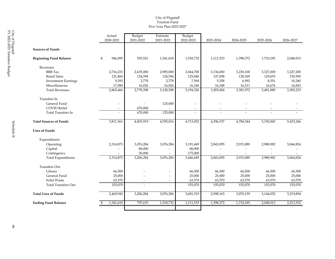# Five Year Plan 2023-2027 Tourism Fund City of Flagstaff

|                               | Actual                   | Budget<br>Estimate       |                          | Budget                   |                          |                          |                          |           |
|-------------------------------|--------------------------|--------------------------|--------------------------|--------------------------|--------------------------|--------------------------|--------------------------|-----------|
|                               | 2020-2021                | 2021-2022                | 2021-2022                | 2022-2023                | 2023-2024                | 2024-2025                | 2025-2026                | 2026-2027 |
|                               |                          |                          |                          |                          |                          |                          |                          |           |
| <b>Sources of Funds</b>       |                          |                          |                          |                          |                          |                          |                          |           |
|                               |                          |                          |                          |                          |                          |                          |                          |           |
| <b>Beginning Fund Balance</b> | \$<br>946,095            | 555,521                  | 1,341,618                | 1,518,732                | 1,111,533                | 1,398,372                | 1,710,185                | 2,048,013 |
| Revenues                      |                          |                          |                          |                          |                          |                          |                          |           |
| <b>BBB</b> Tax                | 2,716,233                | 2,635,000                | 2,985,000                | 3,044,700                | 3,136,000                | 3,230,100                | 3,327,000                | 3,227,200 |
| <b>Retail Sales</b>           |                          |                          |                          |                          |                          |                          |                          |           |
|                               | 121,860                  | 124,594                  | 124,594                  | 125,840                  | 127,098                  | 128,369                  | 129,653                  | 130,950   |
| <b>Investment Earnings</b>    | 9,393                    | 2,778                    | 2,778                    | 7,594                    | 5,558                    | 6,992                    | 8,551                    | 10,240    |
| Miscellaneous                 | 17,980                   | 16,026                   | 16,026                   | 16,186                   | 16,348                   | 16,511                   | 16,676                   | 16,843    |
| <b>Total Revenues</b>         | 2,865,466                | 2,778,398                | 3,128,398                | 3,194,320                | 3,285,004                | 3,381,972                | 3,481,880                | 3,385,233 |
| <b>Transfers In</b>           |                          |                          |                          |                          |                          |                          |                          |           |
| General Fund                  | $\overline{\phantom{a}}$ | $\overline{\phantom{a}}$ | 125,000                  |                          |                          |                          |                          |           |
| <b>COVID Relief</b>           | $\overline{\phantom{a}}$ | 670,000                  |                          | $\overline{\phantom{a}}$ | $\overline{\phantom{a}}$ | $\overline{\phantom{a}}$ | $\overline{\phantom{a}}$ |           |
| <b>Total Transfers In</b>     | $\tilde{\phantom{a}}$    | 670,000                  | 125,000                  | $\tilde{\phantom{a}}$    |                          |                          |                          |           |
|                               |                          |                          |                          |                          |                          |                          |                          |           |
| <b>Total Sources of Funds</b> | 3,811,561                | 4,003,919                | 4,595,016                | 4,713,052                | 4,396,537                | 4,780,344                | 5,192,065                | 5,433,246 |
|                               |                          |                          |                          |                          |                          |                          |                          |           |
| <b>Uses of Funds</b>          |                          |                          |                          |                          |                          |                          |                          |           |
| Expenditures                  |                          |                          |                          |                          |                          |                          |                          |           |
| Operating                     | 2,314,873                | 3,076,284                | 3,076,284                | 3,191,449                | 2,843,095                | 2,915,089                | 2,988,982                | 3,064,824 |
| Capital                       |                          | 80,000                   |                          | 80,000                   |                          |                          |                          |           |
| Contingency                   |                          | 50,000                   |                          | 175,000                  |                          |                          |                          |           |
| <b>Total Expenditures</b>     | 2,314,873                | 3,206,284                | 3,076,284                | 3,446,449                | 2,843,095                | 2,915,089                | 2,988,982                | 3,064,824 |
|                               |                          |                          |                          |                          |                          |                          |                          |           |
| <b>Transfers Out</b>          |                          |                          |                          |                          |                          |                          |                          |           |
| Library                       | 66,500                   |                          | $\tilde{\phantom{a}}$    | 66,500                   | 66,500                   | 66,500                   | 66,500                   | 66,500    |
| General Fund                  | 25,000                   |                          | $\overline{\phantom{a}}$ | 25,000                   | 25,000                   | 25,000                   | 25,000                   | 25,000    |
| Solid Waste                   | 63,570                   |                          | $\overline{\phantom{a}}$ | 63,570                   | 63,570                   | 63,570                   | 63,570                   | 63,570    |
| <b>Total Transfers Out</b>    | 155,070                  |                          |                          | 155,070                  | 155,070                  | 155,070                  | 155,070                  | 155,070   |
| <b>Total Uses of Funds</b>    | 2,469,943                | 3,206,284                | 3,076,284                | 3,601,519                | 2,998,165                | 3,070,159                | 3,144,052                | 3,219,894 |
|                               |                          |                          |                          |                          |                          |                          |                          |           |
| <b>Ending Fund Balance</b>    | 1,341,618<br>\$          | 797,635                  | 1,518,732                | 1,111,533                | 1,398,372                | 1,710,185                | 2,048,013                | 2,213,352 |
|                               |                          |                          |                          |                          |                          |                          |                          |           |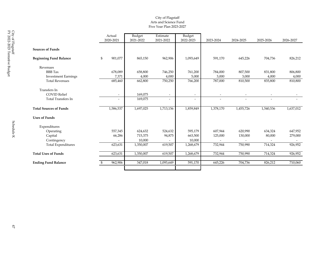# Five Year Plan 2023-2027 Arts and Science Fund City of Flagstaff

|                               | Actual |           | Budget    | Estimate                 | Budget    |           |           |           |           |
|-------------------------------|--------|-----------|-----------|--------------------------|-----------|-----------|-----------|-----------|-----------|
|                               |        | 2020-2021 | 2021-2022 | 2021-2022                | 2022-2023 | 2023-2024 | 2024-2025 | 2025-2026 | 2026-2027 |
| <b>Sources of Funds</b>       |        |           |           |                          |           |           |           |           |           |
| <b>Beginning Fund Balance</b> | \$     | 901,077   | 865,150   | 962,906                  | 1,093,649 | 591,170   | 645,226   | 704,736   | 826,212   |
| Revenues                      |        |           |           |                          |           |           |           |           |           |
| <b>BBB</b> Tax                |        | 678,089   | 658,800   | 746,250                  | 761,200   | 784,000   | 807,500   | 831,800   | 806,800   |
| <b>Investment Earnings</b>    |        | 7,371     | 4,000     | 4,000                    | 5,000     | 3,000     | 3,000     | 4,000     | 4,000     |
| <b>Total Revenues</b>         |        | 685,460   | 662,800   | 750,250                  | 766,200   | 787,000   | 810,500   | 835,800   | 810,800   |
| Transfers In                  |        |           |           |                          |           |           |           |           |           |
| <b>COVID Relief</b>           |        | $\sim$    | 169,075   | $\overline{\phantom{a}}$ |           |           |           |           |           |
| <b>Total Transfers In</b>     |        | $\sim$    | 169,075   | $\overline{\phantom{a}}$ | $\sim$    |           |           |           |           |
| <b>Total Sources of Funds</b> |        | 1,586,537 | 1,697,025 | 1,713,156                | 1,859,849 | 1,378,170 | 1,455,726 | 1,540,536 | 1,637,012 |
| <b>Uses of Funds</b>          |        |           |           |                          |           |           |           |           |           |
| Expenditures                  |        |           |           |                          |           |           |           |           |           |
| Operating                     |        | 557,345   | 624,632   | 524,632                  | 595,179   | 607,944   | 620,990   | 634,324   | 647,952   |
| Capital                       |        | 66,286    | 715,375   | 94,875                   | 663,500   | 125,000   | 130,000   | 80,000    | 279,000   |
| Contingency                   |        |           | 10,000    |                          | 10,000    |           |           |           |           |
| <b>Total Expenditures</b>     |        | 623,631   | 1,350,007 | 619,507                  | 1,268,679 | 732,944   | 750,990   | 714,324   | 926,952   |
| <b>Total Uses of Funds</b>    |        | 623,631   | 1,350,007 | 619,507                  | 1,268,679 | 732,944   | 750,990   | 714,324   | 926,952   |
| <b>Ending Fund Balance</b>    |        | 962,906   | 347,018   | 1,093,649                | 591,170   | 645,226   | 704,736   | 826,212   | 710,060   |
|                               |        |           |           |                          |           |           |           |           |           |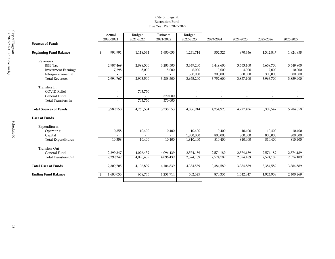## City of Flagstaff Recreation Fund Five Year Plan 2023-2027

|                               | Actual                   | Budget    | Estimate  | Budget                   |                |                |           |           |
|-------------------------------|--------------------------|-----------|-----------|--------------------------|----------------|----------------|-----------|-----------|
|                               | 2020-2021                | 2021-2022 | 2021-2022 | 2022-2023                | 2023-2024      | 2024-2025      | 2025-2026 | 2026-2027 |
| <b>Sources of Funds</b>       |                          |           |           |                          |                |                |           |           |
|                               |                          |           |           |                          |                |                |           |           |
| <b>Beginning Fund Balance</b> | 994,991<br>\$            | 1,118,334 | 1,680,053 | 1,231,714                | 502,325        | 870,336        | 1,342,847 | 1,924,958 |
| Revenues                      |                          |           |           |                          |                |                |           |           |
| <b>BBB</b> Tax                | 2,987,469                | 2,898,500 | 3,283,500 | 3,349,200                | 3,449,600      | 3,553,100      | 3,659,700 | 3,549,900 |
| <b>Investment Earnings</b>    | 7,298                    | 5,000     | 5,000     | 6,000                    | 3,000          | 4,000          | 7,000     | 10,000    |
| Intergovernmental             |                          |           |           | 300,000                  | 300,000        | 300,000        | 300,000   | 300,000   |
| <b>Total Revenues</b>         | 2,994,767                | 2,903,500 | 3,288,500 | 3,655,200                | 3,752,600      | 3,857,100      | 3,966,700 | 3,859,900 |
| Transfers In                  |                          |           |           |                          |                |                |           |           |
| <b>COVID Relief</b>           | $\overline{\phantom{a}}$ | 743,750   |           | $\overline{\phantom{a}}$ |                |                |           |           |
| General Fund                  | $\overline{\phantom{0}}$ |           | 370,000   |                          |                |                |           |           |
| Total Transfers In            | $\overline{\phantom{a}}$ | 743,750   | 370,000   | $\overline{a}$           | $\overline{a}$ | $\overline{a}$ |           |           |
|                               |                          |           |           |                          |                |                |           |           |
| <b>Total Sources of Funds</b> | 3,989,758                | 4,765,584 | 5,338,553 | 4,886,914                | 4,254,925      | 4,727,436      | 5,309,547 | 5,784,858 |
| <b>Uses of Funds</b>          |                          |           |           |                          |                |                |           |           |
| Expenditures                  |                          |           |           |                          |                |                |           |           |
| Operating                     | 10,358                   | 10,400    | 10,400    | 10,400                   | 10,400         | 10,400         | 10,400    | 10,400    |
| Capital                       |                          |           |           | 1,800,000                | 800,000        | 800,000        | 800,000   | 800,000   |
| <b>Total Expenditures</b>     | 10,358                   | 10,400    | 10,400    | 1,810,400                | 810,400        | 810,400        | 810,400   | 810,400   |
| <b>Transfers Out</b>          |                          |           |           |                          |                |                |           |           |
| General Fund                  | 2,299,347                | 4,096,439 | 4,096,439 | 2,574,189                | 2,574,189      | 2,574,189      | 2,574,189 | 2,574,189 |
| <b>Total Transfers Out</b>    | 2,299,347                | 4,096,439 | 4,096,439 | 2,574,189                | 2,574,189      | 2,574,189      | 2,574,189 | 2,574,189 |
|                               |                          |           |           |                          |                |                |           |           |
| <b>Total Uses of Funds</b>    | 2,309,705                | 4,106,839 | 4,106,839 | 4,384,589                | 3,384,589      | 3,384,589      | 3,384,589 | 3,384,589 |
| <b>Ending Fund Balance</b>    | 1,680,053                | 658,745   | 1,231,714 | 502,325                  | 870,336        | 1,342,847      | 1,924,958 | 2,400,269 |
|                               |                          |           |           |                          |                |                |           |           |
|                               |                          |           |           |                          |                |                |           |           |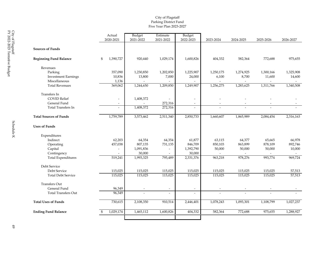# City of Flagstaff Parking District Fund Five Year Plan 2023-2027

|                               | Actual                   | <b>Budget</b>            | Estimate                 | Budget                   |                |           |                          |           |
|-------------------------------|--------------------------|--------------------------|--------------------------|--------------------------|----------------|-----------|--------------------------|-----------|
|                               | 2020-2021                | 2021-2022                | 2021-2022                | 2022-2023                | 2023-2024      | 2024-2025 | 2025-2026                | 2026-2027 |
|                               |                          |                          |                          |                          |                |           |                          |           |
| <b>Sources of Funds</b>       |                          |                          |                          |                          |                |           |                          |           |
| <b>Beginning Fund Balance</b> | \$<br>1,390,727          | 920,440                  | 1,029,174                | 1,600,826                | 404,332        | 582,364   | 772,688                  | 975,655   |
| Revenues                      |                          |                          |                          |                          |                |           |                          |           |
| Parking                       | 357,090                  | 1,230,850                | 1,202,850                | 1,225,907                | 1,250,175      | 1,274,925 | 1,300,166                | 1,325,908 |
| <b>Investment Earnings</b>    | 10,836                   | 13,800                   | 7,000                    | 24,000                   | 6,100          | 8,700     | 11,600                   | 14,600    |
| Miscellaneous                 | 1,136                    |                          |                          |                          |                |           |                          |           |
| <b>Total Revenues</b>         | 369,062                  | 1,244,650                | 1,209,850                | 1,249,907                | 1,256,275      | 1,283,625 | 1,311,766                | 1,340,508 |
| Transfers In                  |                          |                          |                          |                          |                |           |                          |           |
| <b>COVID Relief</b>           | ٠                        | 1,408,372                |                          | $\tilde{\phantom{a}}$    |                |           |                          |           |
| General Fund                  | $\overline{\phantom{a}}$ |                          | 272,316                  | $\overline{\phantom{a}}$ |                |           | $\overline{\phantom{a}}$ |           |
| Total Transfers In            | $\overline{a}$           | 1,408,372                | 272,316                  | $\overline{a}$           |                |           |                          |           |
| <b>Total Sources of Funds</b> | 1,759,789                | 3,573,462                | 2,511,340                | 2,850,733                | 1,660,607      | 1,865,989 | 2,084,454                | 2,316,163 |
| <b>Uses of Funds</b>          |                          |                          |                          |                          |                |           |                          |           |
| Expenditures                  |                          |                          |                          |                          |                |           |                          |           |
| Indirect                      | 62,203                   | 64,354                   | 64,354                   | 61,877                   | 63,115         | 64,377    | 65,665                   | 66,978    |
| Operating                     | 457,038                  | 807,135                  | 731,135                  | 846,709                  | 850,103        | 863,899   | 878,109                  | 892,746   |
| Capital                       | $\overline{a}$           | 1,091,836                | $\overline{\phantom{a}}$ | 1,392,790                | 50,000         | 50,000    | 50,000                   | 10,000    |
| Contingency                   |                          | 30,000                   |                          | 30,000                   |                |           |                          |           |
| <b>Total Expenditures</b>     | 519,241                  | 1,993,325                | 795,489                  | 2,331,376                | 963,218        | 978,276   | 993,774                  | 969,724   |
| Debt Service                  |                          |                          |                          |                          |                |           |                          |           |
| Debt Service                  | 115,025                  | 115,025                  | 115,025                  | 115,025                  | 115,025        | 115,025   | 115,025                  | 57,513    |
| <b>Total Debt Service</b>     | 115,025                  | 115,025                  | 115,025                  | 115,025                  | 115,025        | 115,025   | 115,025                  | 57,513    |
| <b>Transfers Out</b>          |                          |                          |                          |                          |                |           |                          |           |
| General Fund                  | 96,349                   | $\overline{\phantom{a}}$ | $\overline{\phantom{a}}$ | $\overline{\phantom{a}}$ |                |           |                          |           |
| <b>Total Transfers Out</b>    | 96,349                   |                          | $\overline{\phantom{a}}$ | $\overline{\phantom{a}}$ | $\overline{a}$ |           |                          |           |
| <b>Total Uses of Funds</b>    | 730,615                  | 2,108,350                | 910,514                  | 2,446,401                | 1,078,243      | 1,093,301 | 1,108,799                | 1,027,237 |
| <b>Ending Fund Balance</b>    | 1,029,174                | 1,465,112                | 1,600,826                | 404,332                  | 582,364        | 772,688   | 975,655                  | 1,288,927 |
|                               |                          |                          |                          |                          |                |           |                          |           |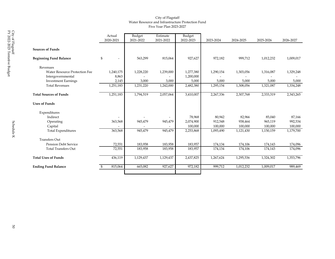# City of Flagstaff Water Resource and Infrastructure Protection Fund Five Year Plan 2023-2027

|                                      | Actual                         | Budget    | Estimate  | Budget    |           |           |           |           |
|--------------------------------------|--------------------------------|-----------|-----------|-----------|-----------|-----------|-----------|-----------|
|                                      | 2020-2021                      | 2021-2022 | 2021-2022 | 2022-2023 | 2023-2024 | 2024-2025 | 2025-2026 | 2026-2027 |
| <b>Sources of Funds</b>              |                                |           |           |           |           |           |           |           |
| <b>Beginning Fund Balance</b>        | $\mathbb{S}$<br>$\overline{a}$ | 563,299   | 815,064   | 927,627   | 972,182   | 999,712   | 1,012,232 | 1,009,017 |
| Revenues                             |                                |           |           |           |           |           |           |           |
| <b>Water Resource Protection Fee</b> | 1,240,175                      | 1,228,220 | 1,239,000 | 1,277,380 | 1,290,154 | 1,303,056 | 1,316,087 | 1,329,248 |
| Intergovernmental                    | 8,863                          |           |           | 1,200,000 |           |           |           |           |
| <b>Investment Earnings</b>           | 2,145                          | 3,000     | 3,000     | 5,000     | 5,000     | 5,000     | 5,000     | 5,000     |
| <b>Total Revenues</b>                | 1,251,183                      | 1,231,220 | 1,242,000 | 2,482,380 | 1,295,154 | 1,308,056 | 1,321,087 | 1,334,248 |
| <b>Total Sources of Funds</b>        | 1,251,183                      | 1,794,519 | 2,057,064 | 3,410,007 | 2,267,336 | 2,307,768 | 2,333,319 | 2,343,265 |
| <b>Uses of Funds</b>                 |                                |           |           |           |           |           |           |           |
| Expenditures                         |                                |           |           |           |           |           |           |           |
| Indirect                             |                                |           |           | 78,968    | 80,942    | 82,966    | 85,040    | 87,166    |
| Operating                            | 363,568                        | 945,479   | 945,479   | 2,074,900 | 912,548   | 938,464   | 965,119   | 992,534   |
| Capital                              |                                |           |           | 100,000   | 100,000   | 100,000   | 100,000   | 100,000   |
| <b>Total Expenditures</b>            | 363,568                        | 945,479   | 945,479   | 2,253,868 | 1,093,490 | 1,121,430 | 1,150,159 | 1,179,700 |
| <b>Transfers Out</b>                 |                                |           |           |           |           |           |           |           |
| <b>Pension Debt Service</b>          | 72,551                         | 183,958   | 183,958   | 183,957   | 174,134   | 174,106   | 174,143   | 174,096   |
| <b>Total Transfers Out</b>           | 72,551                         | 183,958   | 183,958   | 183,957   | 174,134   | 174,106   | 174,143   | 174,096   |
| <b>Total Uses of Funds</b>           | 436,119                        | 1,129,437 | 1,129,437 | 2,437,825 | 1,267,624 | 1,295,536 | 1,324,302 | 1,353,796 |
| <b>Ending Fund Balance</b>           | 815,064<br>S                   | 665,082   | 927,627   | 972,182   | 999,712   | 1,012,232 | 1,009,017 | 989,469   |
|                                      |                                |           |           |           |           |           |           |           |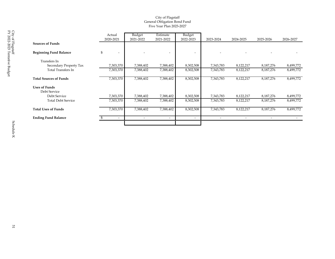#### City of Flagstaff General Obligation Bond Fund Five Year Plan 2023-2027

|                               | Actual                   | Budget    | Estimate                 | Budget    |           |           |                          |           |
|-------------------------------|--------------------------|-----------|--------------------------|-----------|-----------|-----------|--------------------------|-----------|
|                               | 2020-2021                | 2021-2022 | 2021-2022                | 2022-2023 | 2023-2024 | 2024-2025 | 2025-2026                | 2026-2027 |
| <b>Sources of Funds</b>       |                          |           |                          |           |           |           |                          |           |
| <b>Beginning Fund Balance</b> | \$                       |           | $\overline{\phantom{a}}$ |           |           |           |                          |           |
| Transfers In                  |                          |           |                          |           |           |           |                          |           |
| Secondary Property Tax        | 7,303,370                | 7,388,402 | 7,388,402                | 8,302,508 | 7,343,783 | 8,122,217 | 8,187,276                | 8,499,772 |
| <b>Total Transfers In</b>     | 7,303,370                | 7,388,402 | 7,388,402                | 8,302,508 | 7,343,783 | 8,122,217 | 8,187,276                | 8,499,772 |
| <b>Total Sources of Funds</b> | 7,303,370                | 7,388,402 | 7,388,402                | 8,302,508 | 7,343,783 | 8,122,217 | 8,187,276                | 8,499,772 |
| <b>Uses of Funds</b>          |                          |           |                          |           |           |           |                          |           |
| Debt Service                  |                          |           |                          |           |           |           |                          |           |
| Debt Service                  | 7,303,370                | 7,388,402 | 7,388,402                | 8,302,508 | 7,343,783 | 8,122,217 | 8,187,276                | 8,499,772 |
| <b>Total Debt Service</b>     | 7,303,370                | 7,388,402 | 7,388,402                | 8,302,508 | 7,343,783 | 8,122,217 | 8,187,276                | 8,499,772 |
| <b>Total Uses of Funds</b>    | 7,303,370                | 7,388,402 | 7,388,402                | 8,302,508 | 7,343,783 | 8,122,217 | 8,187,276                | 8,499,772 |
| <b>Ending Fund Balance</b>    | $\overline{\phantom{a}}$ |           | $\overline{\phantom{a}}$ |           |           |           | $\overline{\phantom{a}}$ |           |
|                               |                          |           |                          |           |           |           |                          |           |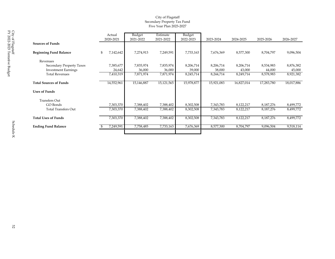# City of Flagstaff Secondary Property Tax Fund Five Year Plan 2023-2027

|                               | Actual          | Budget     | Estimate   | Budget     |            |            |            |            |
|-------------------------------|-----------------|------------|------------|------------|------------|------------|------------|------------|
|                               | 2020-2021       | 2021-2022  | 2021-2022  | 2022-2023  | 2023-2024  | 2024-2025  | 2025-2026  | 2026-2027  |
| <b>Sources of Funds</b>       |                 |            |            |            |            |            |            |            |
| <b>Beginning Fund Balance</b> | \$<br>7,142,642 | 7,274,913  | 7,249,591  | 7,733,163  | 7,676,369  | 8,577,300  | 8,704,797  | 9,096,504  |
| Revenues                      |                 |            |            |            |            |            |            |            |
| Secondary Property Taxes      | 7,385,677       | 7,835,974  | 7,835,974  | 8,206,714  | 8,206,714  | 8,206,714  | 8,534,983  | 8,876,382  |
| <b>Investment Earnings</b>    | 24,642          | 36,000     | 36,000     | 39,000     | 38,000     | 43,000     | 44,000     | 45,000     |
| <b>Total Revenues</b>         | 7,410,319       | 7,871,974  | 7,871,974  | 8,245,714  | 8,244,714  | 8,249,714  | 8,578,983  | 8,921,382  |
| <b>Total Sources of Funds</b> | 14,552,961      | 15,146,887 | 15,121,565 | 15,978,877 | 15,921,083 | 16,827,014 | 17,283,780 | 18,017,886 |
| <b>Uses of Funds</b>          |                 |            |            |            |            |            |            |            |
| <b>Transfers Out</b>          |                 |            |            |            |            |            |            |            |
| GO Bonds                      | 7,303,370       | 7,388,402  | 7,388,402  | 8,302,508  | 7,343,783  | 8,122,217  | 8,187,276  | 8,499,772  |
| <b>Total Transfers Out</b>    | 7,303,370       | 7,388,402  | 7,388,402  | 8,302,508  | 7,343,783  | 8,122,217  | 8,187,276  | 8,499,772  |
| <b>Total Uses of Funds</b>    | 7,303,370       | 7,388,402  | 7,388,402  | 8,302,508  | 7,343,783  | 8,122,217  | 8,187,276  | 8,499,772  |
| <b>Ending Fund Balance</b>    | 7,249,591       | 7,758,485  | 7,733,163  | 7,676,369  | 8,577,300  | 8,704,797  | 9,096,504  | 9,518,114  |
|                               |                 |            |            |            |            |            |            |            |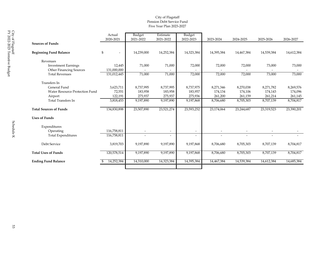# City of Flagstaff Pension Debt Service Fund Five Year Plan 2023-2027

|                                | Actual                           | Budget     | Estimate                 | <b>Budget</b>         |                       |                          |                          |            |
|--------------------------------|----------------------------------|------------|--------------------------|-----------------------|-----------------------|--------------------------|--------------------------|------------|
|                                | 2020-2021                        | 2021-2022  | 2021-2022                | 2022-2023             | 2023-2024             | 2024-2025                | 2025-2026                | 2026-2027  |
| <b>Sources of Funds</b>        |                                  |            |                          |                       |                       |                          |                          |            |
|                                |                                  |            |                          |                       |                       |                          |                          |            |
| <b>Beginning Fund Balance</b>  | $\mathfrak{s}$<br>$\blacksquare$ | 14,239,000 | 14,252,384               | 14,323,384            | 14,395,384            | 14,467,384               | 14,539,384               | 14,612,384 |
| Revenues                       |                                  |            |                          |                       |                       |                          |                          |            |
| <b>Investment Earnings</b>     | 12,445                           | 71,000     | 71,000                   | 72,000                | 72,000                | 72,000                   | 73,000                   | 73,000     |
| <b>Other Financing Sources</b> | 131,000,000                      |            |                          |                       |                       |                          |                          |            |
| <b>Total Revenues</b>          | 131,012,445                      | 71,000     | 71,000                   | 72,000                | 72,000                | 72,000                   | 73,000                   | 73,000     |
| Transfers In                   |                                  |            |                          |                       |                       |                          |                          |            |
| General Fund                   | 3,623,711                        | 8,737,995  | 8,737,995                | 8,737,975             | 8,271,346             | 8,270,038                | 8,271,782                | 8,269,576  |
| Water Resource Protection Fund | 72,551                           | 183,958    | 183,958                  | 183,957               | 174,134               | 174,106                  | 174,143                  | 174,096    |
| Airport                        | 122,191                          | 275,937    | 275,937                  | 275,936               | 261,200               | 261,159                  | 261,214                  | 261,145    |
| <b>Total Transfers In</b>      | 3,818,453                        | 9,197,890  | 9,197,890                | 9,197,868             | 8,706,680             | 8,705,303                | 8,707,139                | 8,704,817  |
| <b>Total Sources of Funds</b>  | 134,830,898                      | 23,507,890 | 23,521,274               | 23,593,252            | 23,174,064            | 23,244,687               | 23,319,523               | 23,390,201 |
| <b>Uses of Funds</b>           |                                  |            |                          |                       |                       |                          |                          |            |
| Expenditures                   |                                  |            |                          |                       |                       |                          |                          |            |
| Operating                      | 116,758,811                      |            | $\overline{\phantom{a}}$ |                       |                       |                          |                          |            |
| <b>Total Expenditures</b>      | 116,758,811                      |            | $\overline{\phantom{a}}$ | $\tilde{\phantom{a}}$ | $\tilde{\phantom{a}}$ | $\overline{\phantom{a}}$ | $\overline{\phantom{a}}$ |            |
| Debt Service                   | 3,819,703                        | 9,197,890  | 9,197,890                | 9,197,868             | 8,706,680             | 8,705,303                | 8,707,139                | 8,704,817  |
| <b>Total Uses of Funds</b>     | 120,578,514                      | 9,197,890  | 9,197,890                | 9,197,868             | 8,706,680             | 8,705,303                | 8,707,139                | 8,704,817  |
| <b>Ending Fund Balance</b>     | 14,252,384                       | 14,310,000 | 14,323,384               | 14,395,384            | 14,467,384            | 14,539,384               | 14,612,384               | 14,685,384 |
|                                |                                  |            |                          |                       |                       |                          |                          |            |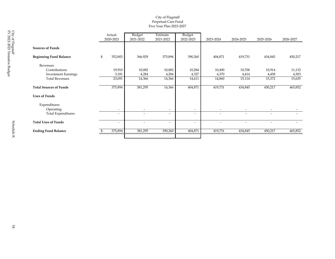### Five Year Plan 2023-2027 Perpetual Care Fund City of Flagstaff

|                               | Actual |                          | <b>Budget</b><br>Budget<br>Estimate |                          |                          |           |           |                          |           |
|-------------------------------|--------|--------------------------|-------------------------------------|--------------------------|--------------------------|-----------|-----------|--------------------------|-----------|
|                               |        | 2020-2021                | 2021-2022                           | 2021-2022                | 2022-2023                | 2023-2024 | 2024-2025 | 2025-2026                | 2026-2027 |
| <b>Sources of Funds</b>       |        |                          |                                     |                          |                          |           |           |                          |           |
| <b>Beginning Fund Balance</b> | \$     | 352,803                  | 366,929                             | 375,894                  | 390,260                  | 404,871   | 419,731   | 434,845                  | 450,217   |
| Revenues                      |        |                          |                                     |                          |                          |           |           |                          |           |
| Contributions                 |        | 19,910                   | 10,082                              | 10,082                   | 10,284                   | 10,490    | 10,700    | 10,914                   | 11,132    |
| <b>Investment Earnings</b>    |        | 3,181                    | 4,284                               | 4,284                    | 4,327                    | 4,370     | 4,414     | 4,458                    | 4,503     |
| <b>Total Revenues</b>         |        | 23,091                   | 14,366                              | 14,366                   | 14,611                   | 14,860    | 15,114    | 15,372                   | 15,635    |
| <b>Total Sources of Funds</b> |        | 375,894                  | 381,295                             | 14,366                   | 404,871                  | 419,731   | 434,845   | 450,217                  | 465,852   |
| <b>Uses of Funds</b>          |        |                          |                                     |                          |                          |           |           |                          |           |
| Expenditures                  |        |                          |                                     |                          |                          |           |           |                          |           |
| Operating                     |        | $\overline{\phantom{a}}$ |                                     | $\overline{\phantom{0}}$ |                          |           |           |                          |           |
| <b>Total Expenditures</b>     |        | $\sim$                   |                                     | $\overline{\phantom{0}}$ | $\overline{\phantom{0}}$ | ۰         | ۰         | $\overline{\phantom{0}}$ |           |
| <b>Total Uses of Funds</b>    |        | $\overline{\phantom{a}}$ |                                     | $\overline{\phantom{0}}$ | $\overline{\phantom{a}}$ |           |           |                          |           |
| <b>Ending Fund Balance</b>    |        | 375,894                  | 381,295                             | 390,260                  | 404,871                  | 419,731   | 434,845   | 450,217                  | 465,852   |
|                               |        |                          |                                     |                          |                          |           |           |                          |           |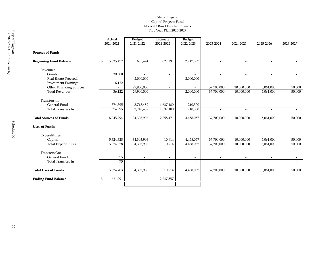#### Five Year Plan 2023-2027 Non-GO Bond Funded Projects Capital Projects Fund City of Flagstaff

|                               | Actual          | Budget                   | Estimate                 | Budget                   |                          |            |                       |           |
|-------------------------------|-----------------|--------------------------|--------------------------|--------------------------|--------------------------|------------|-----------------------|-----------|
|                               | 2020-2021       | 2021-2022                | 2021-2022                | 2022-2023                | 2023-2024                | 2024-2025  | 2025-2026             | 2026-2027 |
| <b>Sources of Funds</b>       |                 |                          |                          |                          |                          |            |                       |           |
| <b>Beginning Fund Balance</b> | \$<br>5,835,477 | 685,424                  | 621,291                  | 2,247,557                |                          |            |                       |           |
| Revenues                      |                 |                          |                          |                          |                          |            |                       |           |
| Grants                        | 30,000          |                          |                          |                          |                          |            |                       |           |
| <b>Real Estate Proceeds</b>   |                 | 2,000,000                | $\overline{a}$           | 2,000,000                |                          |            |                       |           |
| <b>Investment Earnings</b>    | 6,122           |                          |                          |                          |                          |            |                       |           |
| Other Financing Sources       |                 | 27,900,000               |                          |                          | 37,700,000               | 10,000,000 | 5,061,000             | 50,000    |
| <b>Total Revenues</b>         | 36,122          | 29,900,000               | ÷.                       | 2,000,000                | 37,700,000               | 10,000,000 | 5,061,000             | 50,000    |
| <b>Transfers In</b>           |                 |                          |                          |                          |                          |            |                       |           |
| General Fund                  | 374,395         | 3,718,482                | 1,637,180                | 210,500                  |                          |            |                       |           |
| Total Transfers In            | 374,395         | 3,718,482                | 1,637,180                | 210,500                  |                          |            |                       |           |
| <b>Total Sources of Funds</b> | 6,245,994       | 34,303,906               | 2,258,471                | 4,458,057                | 37,700,000               | 10,000,000 | 5,061,000             | 50,000    |
| <b>Uses of Funds</b>          |                 |                          |                          |                          |                          |            |                       |           |
| Expenditures                  |                 |                          |                          |                          |                          |            |                       |           |
| Capital                       | 5,624,628       | 34,303,906               | 10,914                   | 4,458,057                | 37,700,000               | 10,000,000 | 5,061,000             | 50,000    |
| <b>Total Expenditures</b>     | 5,624,628       | 34,303,906               | 10,914                   | 4,458,057                | 37,700,000               | 10,000,000 | 5,061,000             | 50,000    |
| <b>Transfers Out</b>          |                 |                          |                          |                          |                          |            |                       |           |
| General Fund                  | 75              |                          | $\overline{\phantom{a}}$ |                          |                          |            |                       |           |
| Total Transfers In            | 75              | $\overline{\phantom{a}}$ | $\overline{\phantom{a}}$ | $\overline{\phantom{a}}$ | $\overline{\phantom{a}}$ | $\sim$     | $\tilde{\phantom{a}}$ |           |
| <b>Total Uses of Funds</b>    | 5,624,703       | 34,303,906               | 10,914                   | 4,458,057                | 37,700,000               | 10,000,000 | 5,061,000             | 50,000    |
| <b>Ending Fund Balance</b>    | 621,291         |                          | 2,247,557                | $\tilde{\phantom{a}}$    |                          |            |                       |           |
|                               |                 |                          |                          |                          |                          |            |                       |           |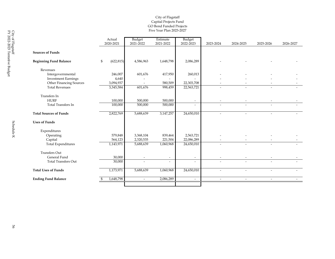#### Five Year Plan 2023-2027 GO Bond Funded Projects Capital Projects Fund City of Flagstaff

|                               | Actual           | <b>Budget</b>            | Estimate                 | <b>Budget</b>            |                          |                          |                          |           |
|-------------------------------|------------------|--------------------------|--------------------------|--------------------------|--------------------------|--------------------------|--------------------------|-----------|
|                               | 2020-2021        | 2021-2022                | 2021-2022                | 2022-2023                | 2023-2024                | 2024-2025                | 2025-2026                | 2026-2027 |
|                               |                  |                          |                          |                          |                          |                          |                          |           |
| <b>Sources of Funds</b>       |                  |                          |                          |                          |                          |                          |                          |           |
| <b>Beginning Fund Balance</b> | (622, 815)<br>\$ | 4,586,963                | 1,648,798                | 2,086,289                |                          |                          |                          |           |
| Revenues                      |                  |                          |                          |                          |                          |                          |                          |           |
| Intergovernmental             | 246,007          | 601,676                  | 417,950                  | 260,013                  |                          |                          |                          |           |
| <b>Investment Earnings</b>    | 4,640            |                          |                          |                          |                          |                          |                          |           |
| Other Financing Sources       | 3,094,937        |                          | 580,509                  | 22,303,708               |                          |                          |                          |           |
| <b>Total Revenues</b>         | 3,345,584        | 601,676                  | 998,459                  | 22,563,721               |                          |                          |                          |           |
|                               |                  |                          |                          |                          |                          |                          |                          |           |
| Transfers In                  |                  |                          |                          |                          |                          |                          |                          |           |
| <b>HURF</b>                   | 100,000          | 500,000                  | 500,000                  |                          |                          |                          |                          |           |
| Total Transfers In            | 100,000          | 500,000                  | 500,000                  |                          |                          |                          |                          |           |
| <b>Total Sources of Funds</b> | 2,822,769        | 5,688,639                | 3,147,257                | 24,650,010               |                          | $\overline{\phantom{a}}$ | $\sim$                   |           |
| <b>Uses of Funds</b>          |                  |                          |                          |                          |                          |                          |                          |           |
| Expenditures                  |                  |                          |                          |                          |                          |                          |                          |           |
| Operating                     | 579,848          | 3,368,104                | 839,464                  | 2,563,721                |                          |                          |                          |           |
| Capital                       | 564,123          | 2,320,535                | 221,504                  | 22,086,289               |                          |                          |                          |           |
| <b>Total Expenditures</b>     | 1,143,971        | 5,688,639                | 1,060,968                | 24,650,010               |                          | $\overline{a}$           | $\sim$                   |           |
| <b>Transfers Out</b>          |                  |                          |                          |                          |                          |                          |                          |           |
| General Fund                  | 30,000           |                          |                          | $\overline{\phantom{a}}$ |                          |                          |                          |           |
| <b>Total Transfers Out</b>    | 30,000           | $\overline{\phantom{a}}$ | $\overline{\phantom{a}}$ | $\overline{\phantom{a}}$ | $\overline{\phantom{a}}$ | $\overline{\phantom{a}}$ | $\overline{\phantom{a}}$ |           |
| <b>Total Uses of Funds</b>    | 1,173,971        | 5,688,639                | 1,060,968                | 24,650,010               |                          | $\sim$                   | $\sim$                   |           |
|                               |                  |                          |                          |                          |                          |                          |                          |           |
| <b>Ending Fund Balance</b>    | 1,648,798<br>\$  | $\overline{\phantom{a}}$ | 2,086,289                | $\sim$                   | $\overline{\phantom{a}}$ | $\sim$                   | $\tilde{\phantom{a}}$    |           |
|                               |                  |                          |                          |                          |                          |                          |                          |           |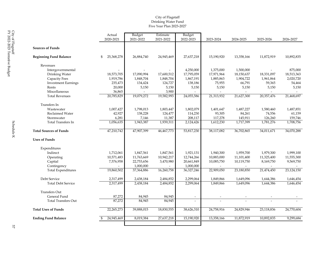#### City of Flagstaff Drinking Water Fund Five Year Plan 2023-2027

|                               | Actual           | <b>Budget</b> | Estimate   | Budget                   |                          |                          |                          |            |
|-------------------------------|------------------|---------------|------------|--------------------------|--------------------------|--------------------------|--------------------------|------------|
|                               | 2020-2021        | 2021-2022     | 2021-2022  | 2022-2023                | 2023-2024                | 2024-2025                | 2025-2026                | 2026-2027  |
| <b>Sources of Funds</b>       |                  |               |            |                          |                          |                          |                          |            |
|                               |                  |               |            |                          |                          |                          |                          |            |
| <b>Beginning Fund Balance</b> | \$<br>25,368,278 | 26,884,740    | 24,945,469 | 27,637,218               | 15,190,920               | 13,358,166               | 11,872,919               | 10,892,835 |
| Revenues                      |                  |               |            |                          |                          |                          |                          |            |
| Intergovernmental             |                  |               |            | 4,250,000                | 1,375,000                | 1,500,000                |                          | 875,000    |
| Drinking Water                | 18,573,705       | 17,090,994    | 17,600,512 | 17,795,059               | 17,971,964               | 18,150,637               | 18,331,097               | 18,513,363 |
| <b>Capacity Fees</b>          | 1,919,786        | 1,848,704     | 1,848,704  | 1,867,191                | 1,885,863                | 1,904,722                | 1,961,864                | 2,020,720  |
| <b>Investment Earnings</b>    | 235,473          | 134,424       | 124,727    | 138,186                  | 75,955                   | 66,791                   | 59,365                   | 54,464     |
| Rents                         | 20,000           | 5,150         | 5,150      | 5,150                    | 5,150                    | 5,150                    | 5,150                    | 5,150      |
| Miscellaneous                 | 36,865           |               | 3,900      |                          |                          |                          |                          |            |
| <b>Total Revenues</b>         | 20,785,829       | 19,079,272    | 19,582,993 | 24,055,586               | 21,313,932               | 21,627,300               | 20,357,476               | 21,468,697 |
| Transfers In                  |                  |               |            |                          |                          |                          |                          |            |
| Wastewater                    | 1,007,427        | 1,798,013     | 1,803,447  | 1,802,079                | 1,401,647                | 1,487,227                | 1,580,460                | 1,487,851  |
| Reclaimed Water               | 42,927           | 138,228       | 124,477    | 114,230                  | 93,305                   | 84,261                   | 74,556                   | 61,159     |
| Stormwater                    | 6,281            | 7,146         | 11,387     | 208,117                  | 117,278                  | 145,911                  | 126,260                  | 159,746    |
| <b>Total Transfers In</b>     | 1,056,635        | 1,943,387     | 1,939,311  | 2,124,426                | 1,612,230                | 1,717,399                | 1,781,276                | 1,708,756  |
| <b>Total Sources of Funds</b> | 47,210,742       | 47,907,399    | 46,467,773 | 53,817,230               | 38,117,082               | 36,702,865               | 34,011,671               | 34,070,288 |
| <b>Uses of Funds</b>          |                  |               |            |                          |                          |                          |                          |            |
| Expenditures                  |                  |               |            |                          |                          |                          |                          |            |
| Indirect                      | 1,712,061        | 1,847,561     | 1,847,561  | 1,921,131                | 1,940,300                | 1,959,700                | 1,979,300                | 1,999,100  |
| Operating                     | 10,571,483       | 11,763,669    | 10,942,217 | 12,744,266               | 10,883,000               | 11,101,400               | 11,325,400               | 11,555,300 |
| Capital                       | 7,576,958        | 22,753,656    | 3,470,980  | 20,661,849               | 10,085,750               | 10,119,750               | 8,169,750                | 9,569,750  |
| Contingency                   |                  | 1,000,000     |            | 1,000,000                |                          | $\overline{\phantom{a}}$ |                          |            |
| <b>Total Expenditures</b>     | 19,860,502       | 37,364,886    | 16,260,758 | 36,327,246               | 22,909,050               | 23,180,850               | 21,474,450               | 23,124,150 |
| Debt Service                  | 2,317,499        | 2,438,184     | 2,484,852  | 2,299,064                | 1,849,866                | 1,649,096                | 1,644,386                | 1,646,454  |
| <b>Total Debt Service</b>     | 2,317,499        | 2,438,184     | 2,484,852  | 2,299,064                | 1,849,866                | 1,649,096                | 1,644,386                | 1,646,454  |
| <b>Transfers Out</b>          |                  |               |            |                          |                          |                          |                          |            |
| General Fund                  | 87,272           | 84,945        | 84,945     | $\overline{\phantom{a}}$ | $\overline{\phantom{a}}$ | $\overline{\phantom{a}}$ | $\overline{\phantom{a}}$ |            |
| <b>Total Transfers Out</b>    | 87,272           | 84,945        | 84,945     | $\overline{a}$           |                          |                          |                          |            |
| <b>Total Uses of Funds</b>    | 22,265,273       | 39,888,015    | 18,830,555 | 38,626,310               | 24,758,916               | 24,829,946               | 23,118,836               | 24,770,604 |
| <b>Ending Fund Balance</b>    | 24,945,469       | 8,019,384     | 27,637,218 | 15,190,920               | 13,358,166               | 11,872,919               | 10,892,835               | 9,299,684  |
|                               |                  |               |            |                          |                          |                          |                          |            |
|                               |                  |               |            |                          |                          |                          |                          |            |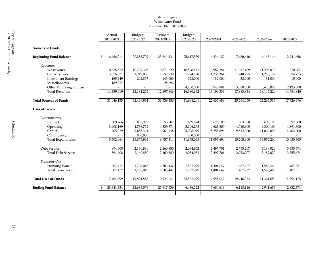#### City of Flagstaff Wastewater Fund Five Year Plan 2023-2027

|                               | Actual           | Budget     | Estimate   | Budget     |            |            |            |            |
|-------------------------------|------------------|------------|------------|------------|------------|------------|------------|------------|
|                               | 2020-2021        | 2021-2022  | 2021-2022  | 2022-2023  | 2023-2024  | 2024-2025  | 2025-2026  | 2026-2027  |
| <b>Sources of Funds</b>       |                  |            |            |            |            |            |            |            |
| <b>Beginning Fund Balance</b> | 16,686,214<br>\$ | 20,285,709 | 23,641,334 | 25,617,539 | 6,436,122  | 7,680,616  | 6,118,116  | 2,941,656  |
| Revenues                      |                  |            |            |            |            |            |            |            |
| Wastewater                    | 10,928,522       | 10,769,398 | 10,871,220 | 10,878,542 | 10,987,281 | 11,097,109 | 11,208,033 | 11,320,067 |
| Capacity Fees                 | 3,076,521        | 1,212,000  | 1,852,930  | 1,224,120  | 1,236,361  | 1,248,725  | 1,286,187  | 1,324,773  |
| <b>Investment Earnings</b>    | 165,549          | 202,857    | 145,000    | 128,000    | 32,000     | 38,000     | 31,000     | 15,000     |
| Miscellaneous                 | 189,327          |            | 28,696     |            |            |            |            |            |
| Other Financing Sources       |                  |            |            | 4,150,000  | 3,943,894  | 5,500,000  | 5,620,000  | 2,125,000  |
| <b>Total Revenues</b>         | 14,359,919       | 12,184,255 | 12,897,846 | 16,380,662 | 16,199,536 | 17,883,834 | 18,145,220 | 14,784,840 |
| <b>Total Sources of Funds</b> | 31,046,133       | 32,469,964 | 36,539,180 | 41,998,201 | 22,635,658 | 25,564,450 | 24,263,336 | 17,726,496 |
| <b>Uses of Funds</b>          |                  |            |            |            |            |            |            |            |
| Expenditures                  |                  |            |            |            |            |            |            |            |
| Indirect                      | 689,766          | 655,902    | 655,902    | 669,824    | 676,500    | 683,300    | 690,100    | 697,000    |
| Operating                     | 3,908,169        | 4,736,752  | 4,339,674  | 5,196,275  | 4,623,300  | 4,710,600  | 4,800,100  | 4,891,600  |
| Capital                       | 905,029          | 9,683,341  | 1,961,738  | 25,008,949 | 5,755,894  | 9,812,000  | 11,062,000 | 4,462,000  |
| Contingency                   |                  | 800,000    |            | 800,000    |            |            |            |            |
| <b>Total Expenditures</b>     | 5,502,964        | 15,875,995 | 6,957,314  | 31,675,048 | 11,055,694 | 15,205,900 | 16,552,200 | 10,050,600 |
| Debt Service                  | 894,408          | 2,160,880  | 2,160,880  | 2,084,952  | 2,497,701  | 2,753,207  | 3,189,020  | 3,355,674  |
| <b>Total Debt Service</b>     | 894,408          | 2,160,880  | 2,160,880  | 2,084,952  | 2,497,701  | 2,753,207  | 3,189,020  | 3,355,674  |
| <b>Transfers Out</b>          |                  |            |            |            |            |            |            |            |
| Drinking Water                | 1,007,427        | 1,798,013  | 1,803,447  | 1,802,079  | 1,401,647  | 1,487,227  | 1,580,460  | 1,487,851  |
| <b>Total Transfers Out</b>    | 1,007,427        | 1,798,013  | 1,803,447  | 1,802,079  | 1,401,647  | 1,487,227  | 1,580,460  | 1,487,851  |
| <b>Total Uses of Funds</b>    | 7,404,799        | 19,834,888 | 10,921,641 | 35,562,079 | 14,955,042 | 19,446,334 | 21,321,680 | 14,894,125 |
| <b>Ending Fund Balance</b>    | 23,641,334       | 12,635,076 | 25,617,539 | 6,436,122  | 7,680,616  | 6,118,116  | 2,941,656  | 2,832,371  |
|                               |                  |            |            |            |            |            |            |            |
|                               |                  |            |            |            |            |            |            |            |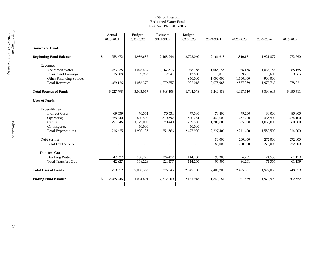# City of Flagstaff Reclaimed Water Fund Five Year Plan 2023-2027

|                               | Actual                   | Budget    | Estimate                     | Budget    |           |           |           |           |
|-------------------------------|--------------------------|-----------|------------------------------|-----------|-----------|-----------|-----------|-----------|
|                               | 2020-2021                | 2021-2022 | 2021-2022                    | 2022-2023 | 2023-2024 | 2024-2025 | 2025-2026 | 2026-2027 |
| <b>Sources of Funds</b>       |                          |           |                              |           |           |           |           |           |
| <b>Beginning Fund Balance</b> | \$<br>1,758,672          | 1,986,685 | 2,468,246                    | 2,772,060 | 2,161,918 | 1,840,181 | 1,921,879 | 1,972,590 |
| Revenues                      |                          |           |                              |           |           |           |           |           |
| Reclaimed Water               | 1,453,038                | 1,046,439 | 1,067,516                    | 1,068,158 | 1,068,158 | 1,068,158 | 1,068,158 | 1,068,158 |
| <b>Investment Earnings</b>    | 16,088                   | 9,933     | 12,341                       | 13,860    | 10,810    | 9,201     | 9,609     | 9,863     |
| Other Financing Sources       |                          |           |                              | 850,000   | 1,000,000 | 1,500,000 | 900,000   |           |
| <b>Total Revenues</b>         | 1,469,126                | 1,056,372 | 1,079,857                    | 1,932,018 | 2,078,968 | 2,577,359 | 1,977,767 | 1,078,021 |
| <b>Total Sources of Funds</b> | 3,227,798                | 3,043,057 | 3,548,103                    | 4,704,078 | 4,240,886 | 4,417,540 | 3,899,646 | 3,050,611 |
| <b>Uses of Funds</b>          |                          |           |                              |           |           |           |           |           |
| Expenditures                  |                          |           |                              |           |           |           |           |           |
| <b>Indirect Costs</b>         | 69,339                   | 70,534    | 70,534                       | 77,586    | 78,400    | 79,200    | 80,000    | 80,800    |
| Operating                     | 355,340                  | 600,592   | 510,592                      | 530,784   | 449,000   | 457,200   | 465,500   | 474,100   |
| Capital                       | 291,946                  | 1,179,009 | 70,440                       | 1,769,560 | 1,700,000 | 1,675,000 | 1,035,000 | 360,000   |
| Contingency                   |                          | 50,000    |                              | 50,000    |           |           |           |           |
| <b>Total Expenditures</b>     | 716,625                  | 1,900,135 | 651,566                      | 2,427,930 | 2,227,400 | 2,211,400 | 1,580,500 | 914,900   |
| Debt Service                  | $\overline{\phantom{a}}$ |           | $\qquad \qquad \blacksquare$ |           | 80,000    | 200,000   | 272,000   | 272,000   |
| <b>Total Debt Service</b>     | $\overline{a}$           |           | $\overline{a}$               |           | 80,000    | 200,000   | 272,000   | 272,000   |
| <b>Transfers Out</b>          |                          |           |                              |           |           |           |           |           |
| Drinking Water                | 42,927                   | 138,228   | 124,477                      | 114,230   | 93,305    | 84,261    | 74,556    | 61,159    |
| <b>Total Transfers Out</b>    | 42,927                   | 138,228   | 124,477                      | 114,230   | 93,305    | 84,261    | 74,556    | 61,159    |
| <b>Total Uses of Funds</b>    | 759,552                  | 2,038,363 | 776,043                      | 2,542,160 | 2,400,705 | 2,495,661 | 1,927,056 | 1,248,059 |
| <b>Ending Fund Balance</b>    | 2,468,246<br>\$          | 1,004,694 | 2,772,060                    | 2,161,918 | 1,840,181 | 1,921,879 | 1,972,590 | 1,802,552 |
|                               |                          |           |                              |           |           |           |           |           |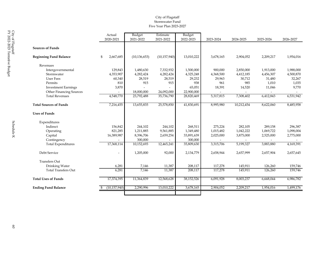#### City of Flagstaff Stormwater Fund Five Year Plan 2023-2027

|                                | Actual                   | <b>Budget</b>  | Estimate       | <b>Budget</b> |           |            |           |           |
|--------------------------------|--------------------------|----------------|----------------|---------------|-----------|------------|-----------|-----------|
|                                | 2020-2021                | 2021-2022      | 2021-2022      | 2022-2023     | 2023-2024 | 2024-2025  | 2025-2026 | 2026-2027 |
|                                |                          |                |                |               |           |            |           |           |
| <b>Sources of Funds</b>        |                          |                |                |               |           |            |           |           |
| <b>Beginning Fund Balance</b>  | \$<br>2,667,685          | (10, 136, 653) | (10, 157, 940) | 13,010,222    | 3,678,165 | 2,904,052  | 2,209,217 | 1,954,016 |
| Revenues                       |                          |                |                |               |           |            |           |           |
| Intergovernmental              | 129,843                  | 1,480,630      | 7,332,932      | 1,500,000     | 900,000   | 2,850,000  | 1,913,000 | 1,988,000 |
| Stormwater                     | 4,353,907                | 4,282,424      | 4,282,424      | 4,325,248     | 4,368,500 | 4,412,185  | 4,456,307 | 4,500,870 |
| <b>User Fees</b>               | 60,340                   | 28,519         | 28,519         | 29,232        | 29,963    | 30,712     | 31,480    | 32,267    |
| Permits                        | 810                      | 915            | 915            | 938           | 961       | 985        | 1,010     | 1,035     |
| <b>Investment Earnings</b>     | 3,870                    |                |                | 65,051        | 18,391    | 14,520     | 11,046    | 9,770     |
| <b>Other Financing Sources</b> |                          | 18,000,000     | 24,092,000     | 22,900,000    |           |            |           |           |
| <b>Total Revenues</b>          | 4,548,770                | 23,792,488     | 35,736,790     | 28,820,469    | 5,317,815 | 7,308,402  | 6,412,843 | 6,531,942 |
|                                |                          |                |                |               |           |            |           |           |
| <b>Total Sources of Funds</b>  | 7,216,455                | 13,655,835     | 25,578,850     | 41,830,691    | 8,995,980 | 10,212,454 | 8,622,060 | 8,485,958 |
| <b>Uses of Funds</b>           |                          |                |                |               |           |            |           |           |
| Expenditures                   |                          |                |                |               |           |            |           |           |
| Indirect                       | 156,842                  | 244,102        | 244,102        | 268,511       | 275,224   | 282,105    | 289,158   | 296,387   |
| Operating                      | 821,285                  | 1,211,885      | 9,561,885      | 1,349,480     | 1,015,482 | 1,042,222  | 1,069,722 | 1,098,004 |
| Capital                        | 16,389,987               | 8,396,706      | 2,659,254      | 33,891,639    | 2,025,000 | 3,875,000  | 2,525,000 | 2,775,000 |
| Contingency                    |                          | 300,000        |                | 300,000       |           |            |           |           |
| <b>Total Expenditures</b>      | 17,368,114               | 10,152,693     | 12,465,241     | 35,809,630    | 3,315,706 | 5,199,327  | 3,883,880 | 4,169,391 |
| Debt Service                   | $\overline{\phantom{a}}$ | 1,205,000      | 92,000         | 2,134,779     | 2,658,944 | 2,657,999  | 2,657,904 | 2,657,645 |
| <b>Transfers Out</b>           |                          |                |                |               |           |            |           |           |
| Drinking Water                 | 6,281                    | 7,146          | 11,387         | 208,117       | 117,278   | 145,911    | 126,260   | 159,746   |
| <b>Total Transfers Out</b>     | 6,281                    | 7,146          | 11,387         | 208,117       | 117,278   | 145,911    | 126,260   | 159,746   |
| <b>Total Uses of Funds</b>     | 17,374,395               | 11,364,839     | 12,568,628     | 38,152,526    | 6,091,928 | 8,003,237  | 6,668,044 | 6,986,782 |
| <b>Ending Fund Balance</b>     | (10, 157, 940)<br>55     | 2,290,996      | 13,010,222     | 3,678,165     | 2,904,052 | 2,209,217  | 1,954,016 | 1,499,176 |
|                                |                          |                |                |               |           |            |           |           |
|                                |                          |                |                |               |           |            |           |           |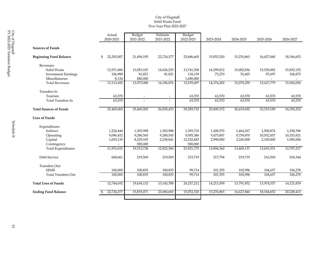#### Five Year Plan 2023-2027 Solid Waste Fund City of Flagstaff

|                               | Actual           | Budget     | Estimate   | Budget       |            |            |            |            |
|-------------------------------|------------------|------------|------------|--------------|------------|------------|------------|------------|
|                               | 2020-2021        | 2021-2022  | 2021-2022  | 2022-2023    | 2023-2024  | 2024-2025  | 2025-2026  | 2026-2027  |
| <b>Sources of Funds</b>       |                  |            |            |              |            |            |            |            |
| <b>Beginning Fund Balance</b> | \$<br>22,292,007 | 21,494,195 | 22,724,377 | 23,686,665   | 15,052,520 | 15,276,863 | 16,627,840 | 18,344,652 |
| Revenues                      |                  |            |            |              |            |            |            |            |
| Solid Waste                   | 12,971,880       | 13,053,187 | 14,024,255 | 13,741,358   | 14,299,012 | 15,002,856 | 15,530,082 | 15,835,155 |
| <b>Investment Earnings</b>    | 106,988          | 81,821     | 81,821     | 118,139      | 75,270     | 76,403     | 97,697     | 106,875    |
| Miscellaneous                 | 8,124            | 840,000    |            | 1,680,000    |            |            |            |            |
| <b>Total Revenues</b>         | 13,113,492       | 13,975,008 | 14,106,076 | 15,539,497   | 14,374,282 | 15,079,259 | 15,627,779 | 15,942,030 |
| Transfers In                  |                  |            |            |              |            |            |            |            |
| Tourism                       | 63,570           |            |            | 63,570       | 63,570     | 63,570     | 63,570     | 63,570     |
| <b>Total Transfers In</b>     | 63,570           |            |            | 63,570       | 63,570     | 63,570     | 63,570     | 63,570     |
| <b>Total Sources of Funds</b> | 35,469,069       | 35,469,203 | 36,830,453 | 39,289,732   | 29,490,372 | 30,419,692 | 32,319,189 | 34,350,252 |
| <b>Uses of Funds</b>          |                  |            |            |              |            |            |            |            |
| Expenditures                  |                  |            |            |              |            |            |            |            |
| Indirect                      | 1,224,444        | 1,303,998  | 1,303,998  | 1,393,710    | 1,428,553  | 1,464,267  | 1,500,874  | 1,538,396  |
| Operating                     | 9,096,452        | 9,280,545  | 9,280,545  | 9,505,386    | 9,475,807  | 9,759,870  | 10,052,457 | 10,353,821 |
| Capital                       | 1,655,135        | 8,229,185  | 2,238,841  | 12,522,683   | 2,990,000  | 2,245,000  | 2,100,000  | 1,905,000  |
| Contingency                   |                  | 500,000    |            | 500,000      |            |            |            |            |
| <b>Total Expenditures</b>     | 11,976,031       | 19,313,728 | 12,823,384 | 23,921,779   | 13,894,360 | 13,469,137 | 13,653,331 | 13,797,217 |
| Debt Service                  | 668,661          | 219,569    | 219,569    | 215,719      | 217,794    | 219,719    | 216,569    | 218,344    |
| Transfers Out:                |                  |            |            |              |            |            |            |            |
| <b>SEMS</b>                   | 100,000          | 100,835    | 100,835    | 99,714       | 101,355    | 102,996    | 104,637    | 106,278    |
| <b>Total Transfers Out</b>    | 100,000          | 100,835    | 100,835    | 99,714       | 101,355    | 102,996    | 104,637    | 106,278    |
| <b>Total Uses of Funds</b>    | 12,744,692       | 19,634,132 | 13,143,788 | 24, 237, 212 | 14,213,509 | 13,791,852 | 13,974,537 | 14,121,839 |
| <b>Ending Fund Balance</b>    | 22,724,377<br>S  | 15,835,071 | 23,686,665 | 15,052,520   | 15,276,863 | 16,627,840 | 18,344,652 | 20,228,413 |
|                               |                  |            |            |              |            |            |            |            |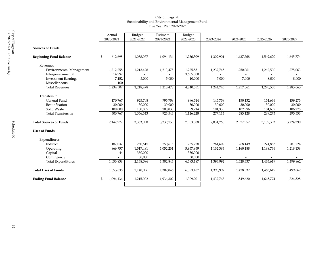#### City of Flagstaff Sustainability and Environmental Management Fund Five Year Plan 2023-2027

|                               | Actual         | <b>Budget</b> | Estimate  | <b>Budget</b> |           |           |           |           |
|-------------------------------|----------------|---------------|-----------|---------------|-----------|-----------|-----------|-----------|
|                               | 2020-2021      | 2021-2022     | 2021-2022 | 2022-2023     | 2023-2024 | 2024-2025 | 2025-2026 | 2026-2027 |
| <b>Sources of Funds</b>       |                |               |           |               |           |           |           |           |
|                               |                |               |           |               |           |           |           |           |
| <b>Beginning Fund Balance</b> | \$<br>612,698  | 1,088,077     | 1,094,134 | 1,936,309     | 1,309,901 | 1,437,768 | 1,549,620 | 1,645,774 |
| Revenues                      |                |               |           |               |           |           |           |           |
| Environmental Management      | 1,212,258      | 1,213,478     | 1,213,478 | 1,225,551     | 1,237,745 | 1,250,061 | 1,262,500 | 1,275,063 |
| Intergovernmental             | 14,997         |               |           | 3,605,000     |           |           |           |           |
| <b>Investment Earnings</b>    | 7,152          | 5,000         | 5,000     | 10,000        | 7,000     | 7,000     | 8,000     | 8,000     |
| Miscellaneous                 | 100            |               |           |               |           |           |           |           |
| <b>Total Revenues</b>         | 1,234,507      | 1,218,478     | 1,218,478 | 4,840,551     | 1,244,745 | 1,257,061 | 1,270,500 | 1,283,063 |
| Transfers In                  |                |               |           |               |           |           |           |           |
| General Fund                  | 170,767        | 925,708       | 795,708   | 996,514       | 145,759   | 150,132   | 154,636   | 159,275   |
| Beautification                | 30,000         | 30,000        | 30,000    | 30,000        | 30,000    | 30,000    | 30,000    | 30,000    |
| Solid Waste                   | 100,000        | 100,835       | 100,835   | 99,714        | 101,355   | 102,996   | 104,637   | 106,278   |
| <b>Total Transfers In</b>     | 300,767        | 1,056,543     | 926,543   | 1,126,228     | 277,114   | 283,128   | 289,273   | 295,553   |
| <b>Total Sources of Funds</b> | 2,147,972      | 3,363,098     | 3,239,155 | 7,903,088     | 2,831,760 | 2,977,957 | 3,109,393 | 3,224,390 |
| <b>Uses of Funds</b>          |                |               |           |               |           |           |           |           |
| Expenditures                  |                |               |           |               |           |           |           |           |
| Indirect                      | 187,037        | 250,615       | 250,615   | 255,228       | 261,609   | 268,149   | 274,853   | 281,724   |
| Operating                     | 866,757        | 1,517,481     | 1,052,231 | 5,957,959     | 1,132,383 | 1,160,188 | 1,188,766 | 1,218,138 |
| Capital                       | 44             | 350,000       |           | 350,000       |           |           |           |           |
| Contingency                   |                | 30,000        |           | 30,000        |           |           |           |           |
| <b>Total Expenditures</b>     | 1,053,838      | 2,148,096     | 1,302,846 | 6,593,187     | 1,393,992 | 1,428,337 | 1,463,619 | 1,499,862 |
| <b>Total Uses of Funds</b>    | 1,053,838      | 2,148,096     | 1,302,846 | 6,593,187     | 1,393,992 | 1,428,337 | 1,463,619 | 1,499,862 |
| <b>Ending Fund Balance</b>    | 1,094,134<br>S | 1,215,002     | 1,936,309 | 1,309,901     | 1,437,768 | 1,549,620 | 1,645,774 | 1,724,528 |
|                               |                |               |           |               |           |           |           |           |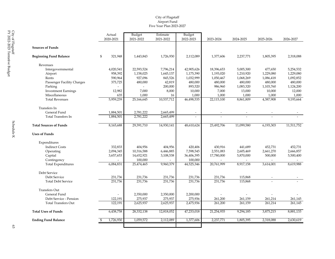#### City of Flagstaff Airport Fund Five Year Plan 2023-2027

|                               | Actual<br>2020-2021 | Budget<br>2021-2022 | Estimate<br>2021-2022 | Budget<br>2022-2023      | 2023-2024                | 2024-2025                | 2025-2026                | 2026-2027  |
|-------------------------------|---------------------|---------------------|-----------------------|--------------------------|--------------------------|--------------------------|--------------------------|------------|
|                               |                     |                     |                       |                          |                          |                          |                          |            |
| <b>Sources of Funds</b>       |                     |                     |                       |                          |                          |                          |                          |            |
| <b>Beginning Fund Balance</b> | \$<br>321,948       | 1,443,843           | 1,726,930             | 2,112,089                | 1,377,606                | 2,237,771                | 1,805,395                | 2,318,088  |
| Revenues                      |                     |                     |                       |                          |                          |                          |                          |            |
| Intergovernmental             | 4,020,541           | 22,593,524          | 7,796,214             | 42,905,626               | 18,396,653               | 5,005,300                | 477,650                  | 5,254,532  |
| Airport                       | 958,392             | 1,158,025           | 1,645,137             | 1,175,390                | 1,193,020                | 1,210,920                | 1,229,080                | 1,229,080  |
| Rents                         | 590,964             | 927,096             | 845,526               | 1,032,999                | 1,050,467                | 1,068,269                | 1,086,418                | 1,092,852  |
| Passenger Facility Charges    | 375,725             | 480,000             | 42,819                | 480,000                  | 480,000                  | 480,000                  | 480,000                  | 480,000    |
| Parking                       | $\overline{a}$      | $\omega$            | 200,000               | 893,520                  | 986,960                  | 1,083,320                | 1,103,760                | 1,124,200  |
| <b>Investment Earnings</b>    | 12,982              | 7,000               | 8,000                 | 10,000                   | 7,000                    | 13,000                   | 10,000                   | 12,000     |
| Miscellaneous                 | 635                 | 1,000               | 16                    | 1,000                    | 1,000                    | 1,000                    | 1,000                    | 1,000      |
| <b>Total Revenues</b>         | 5,959,239           | 25,166,645          | 10,537,712            | 46,498,535               | 22,115,100               | 8,861,809                | 4,387,908                | 9,193,664  |
| Transfers In                  |                     |                     |                       |                          |                          |                          |                          |            |
| General Fund                  | 1,884,501           | 2,781,222           | 2,665,499             | $\overline{\phantom{a}}$ | $\overline{\phantom{a}}$ | $\overline{\phantom{a}}$ | $\overline{\phantom{a}}$ |            |
| <b>Total Transfers In</b>     | 1,884,501           | 2,781,222           | 2,665,499             | $\overline{\phantom{a}}$ |                          |                          |                          |            |
| <b>Total Sources of Funds</b> | 8,165,688           | 29,391,710          | 14,930,141            | 48,610,624               | 23,492,706               | 11,099,580               | 6,193,303                | 11,511,752 |
| <b>Uses of Funds</b>          |                     |                     |                       |                          |                          |                          |                          |            |
| Expenditures                  |                     |                     |                       |                          |                          |                          |                          |            |
| <b>Indirect Costs</b>         | 332,833             | 404,956             | 404,956               | 420,406                  | 430,916                  | 441,689                  | 452,731                  | 452,731    |
| Operating                     | 2,094,345           | 10,316,588          | 6,446,885             | 7,598,545                | 2,551,083                | 2,605,469                | 2,661,270                | 2,666,857  |
| Capital                       | 3,657,653           | 14,652,921          | 3,108,538             | 36,406,395               | 17,780,000               | 5,870,000                | 500,000                  | 5,500,400  |
| Contingency                   |                     | 100,000             |                       | 100,000                  |                          |                          | $\overline{a}$           |            |
| <b>Total Expenditures</b>     | 6,084,831           | 25,474,465          | 9,960,379             | 44,525,346               | 20,761,999               | 8,917,158                | 3,614,001                | 8,619,988  |
| Debt Service                  |                     |                     |                       |                          |                          |                          |                          |            |
| Debt Service                  | 231,736             | 231,736             | 231,736               | 231,736                  | 231,736                  | 115,868                  |                          |            |
| <b>Total Debt Service</b>     | 231,736             | 231,736             | 231,736               | 231,736                  | 231,736                  | 115,868                  |                          |            |
| <b>Transfers Out</b>          |                     |                     |                       |                          |                          |                          |                          |            |
| General Fund                  |                     | 2,350,000           | 2,350,000             | 2,200,000                |                          |                          |                          |            |
| Debt Service - Pension        | 122,191             | 275,937             | 275,937               | 275,936                  | 261,200                  | 261,159                  | 261,214                  | 261,145    |
| <b>Total Transfers Out</b>    | 122,191             | 2,625,937           | 2,625,937             | 2,475,936                | 261,200                  | 261,159                  | 261,214                  | 261,145    |
| <b>Total Uses of Funds</b>    | 6,438,758           | 28,332,138          | 12,818,052            | 47,233,018               | 21,254,935               | 9,294,185                | 3,875,215                | 8,881,133  |
| <b>Ending Fund Balance</b>    | 1,726,930<br>\$     | 1,059,572           | 2,112,089             | 1,377,606                | 2,237,771                | 1,805,395                | 2,318,088                | 2,630,619  |
|                               |                     |                     |                       |                          |                          |                          |                          |            |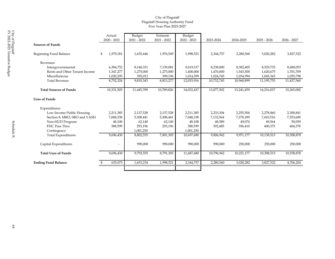### City of Flagstaff Flagstaff Housing Authority Fund Five Year Plan 2023-2027

|                               | Actual                   | Budget        | Estimate      | Budget        |            |            |               |               |
|-------------------------------|--------------------------|---------------|---------------|---------------|------------|------------|---------------|---------------|
|                               | $2020 - 2021$            | $2021 - 2022$ | $2021 - 2022$ | $2022 - 2023$ | 2023-2024  | 2024-2025  | $2025 - 2026$ | $2026 - 2027$ |
| <b>Sources of Funds</b>       |                          |               |               |               |            |            |               |               |
|                               |                          |               |               |               |            |            |               |               |
| Beginning Fund Balance        | \$<br>1,579,181          | 1,635,446     | 1,976,549     | 1,998,521     | 2,344,757  | 2,280,560  | 3,020,282     | 3,827,522     |
| Revenues                      |                          |               |               |               |            |            |               |               |
| Intergovernmental             | 6,384,752                | 8,140,331     | 7,139,081     | 9,619,317     | 8,238,000  | 8,382,405  | 8,529,735     | 8,680,053     |
| Rents and Other Tenant Income | 1,347,277                | 1,275,000     | 1,275,000     | 1,400,000     | 1,470,000  | 1,543,500  | 1,620,675     | 1,701,709     |
| Miscellaneous                 | 1,020,295                | 395,012       | 399,196       | 1,014,599     | 1,024,745  | 1,034,994  | 1,045,345     | 1,055,798     |
| <b>Total Revenue</b>          | 8,752,324                | 9,810,343     | 8,813,277     | 12,033,916    | 10,732,745 | 10,960,899 | 11,195,755    | 11,437,560    |
|                               |                          |               |               |               |            |            |               |               |
| <b>Total Sources of Funds</b> | 10,331,505               | 11,445,789    | 10,789,826    | 14,032,437    | 13,077,502 | 13,241,459 | 14,216,037    | 15,265,082    |
|                               |                          |               |               |               |            |            |               |               |
| <b>Uses of Funds</b>          |                          |               |               |               |            |            |               |               |
|                               |                          |               |               |               |            |            |               |               |
| Expenditures                  |                          |               |               |               |            |            |               |               |
| Low Income Public Housing     | 2,211,385                | 2,137,528     | 2,137,528     | 2,211,385     | 2,233,304  | 2,255,504  | 2,278,060     | 2,300,841     |
| Section 8, MRO, SRO and VASH  | 7,048,338                | 5,308,441     | 5,308,441     | 7,048,338     | 7,132,564  | 7,270,189  | 7,410,516     | 7,553,600     |
| Non-HUD Program               | 48,108                   | 62,140        | 62,140        | 48,108        | 48,589     | 49,074     | 49,564        | 50,059        |
| FHC Pass Thru                 | 388,599                  | 293,196       | 293,196       | 388,599       | 392,485    | 396,410    | 400,375       | 404,378       |
| Contingency                   |                          | 1,001,250     |               | 1,001,250     |            |            |               |               |
| <b>Total Expenditures</b>     | 9,696,430                | 8,802,555     | 7,801,305     | 10,697,680    | 9,806,942  | 9,971,177  | 10,138,515    | 10,308,878    |
|                               |                          |               |               |               |            |            |               |               |
| Capital Expenditures          | $\overline{\phantom{0}}$ | 990,000       | 990,000       | 990,000       | 990,000    | 250,000    | 250,000       | 250,000       |
| <b>Total Uses of Funds</b>    | 9,696,430                | 9,792,555     | 8,791,305     | 11,687,680    | 10,796,942 | 10,221,177 | 10,388,515    | 10,558,878    |
|                               |                          |               |               |               |            |            |               |               |
| <b>Ending Fund Balance</b>    | \$<br>635,075            | 1,653,234     | 1,998,521     | 2,344,757     | 2,280,560  | 3,020,282  | 3,827,522     | 4,706,204     |
|                               |                          |               |               |               |            |            |               |               |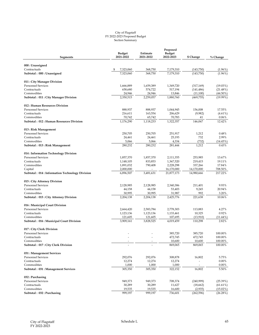| Segments                                                    | <b>Budget</b><br>2021-2022   | Estimate<br>2021-2022 | Proposed<br><b>Budget</b><br>2022-2023 | \$ Change              | $%$ Change                 |
|-------------------------------------------------------------|------------------------------|-----------------------|----------------------------------------|------------------------|----------------------------|
|                                                             |                              |                       |                                        |                        |                            |
| 000: Unassigned<br>Contractuals                             |                              |                       |                                        |                        |                            |
| Subtotal: 000: Unassigned                                   | \$<br>7,323,060<br>7.323.060 | 368,750<br>368,750    | 7,179,310<br>7.179.310                 | (143,750)<br>(143,750) | $(1.96\%)$<br>$(1.96\%)$   |
|                                                             |                              |                       |                                        |                        |                            |
| 011 : City Manager Division                                 |                              |                       |                                        |                        |                            |
| <b>Personnel Services</b>                                   | 1,666,889                    | 1,659,389             | 1,349,720                              | (317, 169)             | $(19.03\%)$                |
| Contractuals                                                | 658,680                      | 574,722               | 517,194                                | (141, 486)             | $(21.48\%)$                |
| Commodities<br>Subtotal: 011: City Manager Division         | 24,946<br>2,350,515          | 24,946<br>2,259,057   | 13,846<br>1,880,760                    | (11,100)<br>(469,755)  | $(44.50\%)$<br>$(19.99\%)$ |
|                                                             |                              |                       |                                        |                        |                            |
| 012 : Human Resources Division                              |                              |                       |                                        |                        |                            |
| <b>Personnel Services</b>                                   | 888,937                      | 888,937               | 1,044,945                              | 156,008                | 17.55%                     |
| Contractuals                                                | 216,611                      | 163,554               | 206,629                                | (9,982)                | $(4.61\%)$                 |
| Commodities                                                 | 70,742                       | 65,742                | 70,783                                 | 41                     | $0.06\%$                   |
| Subtotal: 012: Human Resources Division                     | 1,176,290                    | 1,118,233             | 1,322,357                              | 146,067                | 12.42%                     |
| 013 : Risk Management                                       |                              |                       |                                        |                        |                            |
| <b>Personnel Services</b>                                   | 250,705                      | 250,705               | 251,917                                | 1,212                  | 0.48%                      |
| Contractuals                                                | 24,461                       | 24,461                | 25,193                                 | 732                    | 2.99%                      |
| Commodities                                                 | 5,066                        | 5,066                 | 4,334                                  | (732)                  | $(14.45\%)$                |
| Subtotal: 013: Risk Management                              | 280,232                      | 280,232               | 281,444                                | 1,212                  | 0.43%                      |
| 014 : Information Technology Division                       |                              |                       |                                        |                        |                            |
| <b>Personnel Services</b>                                   | 1,857,370                    | 1,857,370             | 2,111,355                              | 253,985                | 13.67%                     |
| Contractuals                                                | 1,148,105                    | 833,853               | 1,367,520                              | 219,415                | 19.11%                     |
| Commodities                                                 | 1,891,032                    | 790,408               | 2,228,298                              | 337,266                | 17.84%                     |
| Capital                                                     | 2,000,000                    |                       | 16,170,000                             | 14,170,000             | 708.50%                    |
| <b>Subtotal: 014: Information Technology Division</b>       | 6,896,507                    | 3,481,631             | 21,877,173                             | 14,980,666             | 217.22%                    |
| 015 : City Attorney Division                                |                              |                       |                                        |                        |                            |
| <b>Personnel Services</b>                                   | 2,128,985                    | 2,128,985             | 2,340,386                              | 211,401                | 9.93%                      |
| Contractuals                                                | 44,158                       | 44,158                | 53,403                                 | 9,245                  | 20.94%                     |
| Commodities                                                 | 30,995                       | 30,995                | 31,987                                 | 992                    | 3.20%                      |
| Subtotal: 015: City Attorney Division                       | 2,204,138                    | 2,204,138             | 2,425,776                              | 221,638                | 10.06%                     |
|                                                             |                              |                       |                                        |                        |                            |
| 016 : Municipal Court Division<br><b>Personnel Services</b> | 2,664,420                    | 2,583,784             | 2,778,303                              | 113,883                | 4.27%                      |
| Contractuals                                                | 1,123,136                    | 1,123,136             | 1,133,461                              | 10,325                 | 0.92%                      |
| Commodities                                                 | 121,605                      | 121,605               | 107,695                                | (13,910)               | $(11.44\%)$                |
| Subtotal: 016: Municipal Court Division                     | 3,909,161                    | 3,828,525             | 4,019,459                              | 110,298                | 2.82%                      |
|                                                             |                              |                       |                                        |                        |                            |
| 017 : City Clerk Division                                   |                              |                       |                                        |                        |                            |
| <b>Personnel Services</b><br>Contractuals                   |                              |                       | 385,720<br>472,745                     | 385,720<br>472,745     | 100.00%<br>100.00%         |
| Commodities                                                 |                              |                       | 10,600                                 | 10,600                 | 100.00%                    |
| Subtotal: 017: City Clerk Division                          |                              |                       | 869.065                                | 869,065                | 100.00%                    |
|                                                             |                              |                       |                                        |                        |                            |
| 031 : Management Services                                   |                              |                       |                                        |                        |                            |
| <b>Personnel Services</b>                                   | 292,076                      | 292,076               | 308,878                                | 16,802                 | 5.75%                      |
| Contractuals<br>Commodities                                 | 12,274                       | 12,274                | 12,274<br>1,000                        |                        | 0.00%                      |
| Subtotal: 031: Management Services                          | 1,000<br>305,350             | 1,000<br>305,350      | 322,152                                | 16,802                 | $0.00\%$<br>5.50%          |
|                                                             |                              |                       |                                        |                        |                            |
| 032: Purchasing                                             |                              |                       |                                        |                        |                            |
| <b>Personnel Services</b>                                   | 949,373                      | 949,373               | 708,374                                | (240,999)              | (25.39%)                   |
| Contractuals<br>Commodities                                 | 30,289                       | 30,289                | 11,627                                 | (18,662)               | $(61.61\%)$                |
| Subtotal: 032: Purchasing                                   | 19,535<br>999,197            | 19,535<br>999,197     | 16,600<br>736,601                      | (2,935)<br>(262, 596)  | $(15.02\%)$<br>(26.28%)    |
|                                                             |                              |                       |                                        |                        |                            |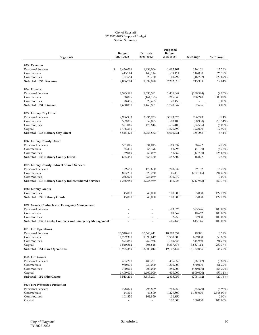|                                                                              | <b>Budget</b>        | Estimate                 | Proposed<br><b>Budget</b> |                          |                    |
|------------------------------------------------------------------------------|----------------------|--------------------------|---------------------------|--------------------------|--------------------|
| Segments                                                                     | 2021-2022            | 2021-2022                | 2022-2023                 | \$ Change                | % Change           |
|                                                                              |                      |                          |                           |                          |                    |
| 033 : Revenue<br><b>Personnel Services</b>                                   | \$                   |                          |                           |                          |                    |
| Contractuals                                                                 | 1,436,006<br>443,114 | 1,436,006<br>443,114     | 1,612,107<br>559,114      | 176,101<br>116,000       | 12.26%<br>26.18%   |
| Commodities                                                                  | 157,584              | 20,770                   | 110,792                   | (46,792)                 | (29.69%)           |
| Subtotal: 033: Revenue                                                       | 2,036,704            | 1,899,890                | 2,282,013                 | 245,309                  | 12.04%             |
|                                                                              |                      |                          |                           |                          |                    |
| 034 : Finance<br><b>Personnel Services</b>                                   | 1,593,591            | 1,593,591                | 1,435,047                 | (158, 544)               | $(9.95\%)$         |
| Contractuals                                                                 | 38,805               | (161, 195)               | 265,045                   | 226,240                  | 583.02%            |
| Commodities                                                                  | 28,455               | 28,455                   | 28,455                    |                          | 0.00%              |
| Subtotal: 034: Finance                                                       | 1,660,851            | 1,460,851                | 1,728,547                 | 67,696                   | 4.08%              |
| 035 : Library City Direct                                                    |                      |                          |                           |                          |                    |
| <b>Personnel Services</b>                                                    | 2,936,933            | 2,936,933                | 3,193,676                 | 256,743                  | 8.74%              |
| Contractuals                                                                 | 559,085              | 559,085                  | 500,185                   | (58,900)                 | $(10.54\%)$        |
| Commodities                                                                  | 571,065              | 470,844                  | 536,480                   | (34,585)                 | $(6.06\%)$         |
| Capital                                                                      | 1,478,390            |                          | 1,670,390                 | 192,000                  | 12.99%             |
| Subtotal: 035: Library City Direct                                           | 5,545,473            | 3,966,862                | 5,900,731                 | 355,258                  | 6.41%              |
| 036 : Library County Direct                                                  |                      |                          |                           |                          |                    |
| <b>Personnel Services</b>                                                    | 531,015              | 531,015                  | 569,637                   | 38,622                   | 7.27%              |
| Contractuals                                                                 | 65,396               | 65,396                   | 61,296                    | (4,100)                  | (6.27%)            |
| Commodities                                                                  | 69,069               | 69,069                   | 51,369                    | (17,700)                 | (25.63%)           |
| Subtotal: 036: Library County Direct                                         | 665,480              | 665,480                  | 682,302                   | 16,822                   | 2.53%              |
| 037: Library County Indirect Shared Services                                 |                      |                          |                           |                          |                    |
| <b>Personnel Services</b>                                                    | 179,680              | 179,680                  | 208,832                   | 29,152                   | 16.22%             |
| Contractuals                                                                 | 823,230              | 823,230                  | 46,115                    | (777, 115)               | $(94.40\%)$        |
| Commodities                                                                  | 236,079              | 236,079                  | 236,079                   | $\overline{\phantom{a}}$ | $0.00\%$           |
| <b>Subtotal: 037: Library County Indirect Shared Services</b>                | 1,238,989            | 1,238,989                | 491,026                   | (747, 963)               | (60.37%)           |
| 038 : Library Grants                                                         |                      |                          |                           |                          |                    |
| Commodities                                                                  | 45,000               | 45,000                   | 100,000                   | 55,000                   | 122.22%            |
| Subtotal: 038: Library Grants                                                | 45,000               | 45,000                   | 100,000                   | 55,000                   | 122.22%            |
|                                                                              |                      |                          |                           |                          |                    |
| 039: Grants, Contracts and Emergency Management<br><b>Personnel Services</b> |                      |                          |                           |                          | 100.00%            |
| Contractuals                                                                 |                      |                          | 593,526<br>18,662         | 593,526<br>18,662        | 100.00%            |
| Commodities                                                                  |                      |                          | 2,958                     | 2,958                    | 100.00%            |
| Subtotal: 039: Grants, Contracts and Emergency Management                    |                      |                          | 615,146                   | 615,146                  | 100.00%            |
|                                                                              |                      |                          |                           |                          |                    |
| 051 : Fire Operations                                                        |                      |                          |                           |                          |                    |
| <b>Personnel Services</b>                                                    | 10,540,641           | 10,540,641               | 10,570,632                | 29,991<br>699.000        | 0.28%              |
| Contractuals                                                                 | 1,299,300            | 1,090,649<br>762,936     | 1,998,300<br>1,140,836    |                          | 53.80%             |
| Commodities<br>Capital                                                       | 594,886<br>1,540,562 | 905,816                  | 5,397,676                 | 545,950<br>3,857,114     | 91.77%<br>250.37%  |
| Subtotal: 051: Fire Operations                                               | 13,975,389           | 13,300,042               | 19,107,444                | 5,132,055                | 36.72%             |
|                                                                              |                      |                          |                           |                          |                    |
| 052 : Fire Grants<br><b>Personnel Services</b>                               | 483,201              |                          |                           | (28, 142)                |                    |
| Contractuals                                                                 | 930,000              | 483,201                  | 455,059<br>1,500,000      |                          | (5.82%)            |
| Commodities                                                                  | 700,000              | 930,000<br>700,000       | 250,000                   | 570,000<br>(450,000)     | 61.29%<br>(64.29%) |
| Capital                                                                      | 1,400,000            | 1,400,000                | 600,000                   | (800,000)                | (57.14%)           |
| Subtotal: 052: Fire Grants                                                   | 3,513,201            | 3,513,201                | 2,805,059                 | (708, 142)               | $(20.16\%)$        |
|                                                                              |                      |                          |                           |                          |                    |
| 053 : Fire Watershed Protection                                              |                      |                          |                           |                          |                    |
| <b>Personnel Services</b>                                                    | 798,829              | 798,829                  | 743,250                   | (55, 579)                | $(6.96\%)$         |
| Contractuals<br>Commodities                                                  | 44,800<br>101,850    | 44,800<br>101,850        | 1,229,800<br>101,850      | 1,185,000                | 2,645.09%<br>0.00% |
| Capital                                                                      |                      | $\overline{\phantom{a}}$ | 100,000                   | 100,000                  | 100.00%            |
|                                                                              |                      |                          |                           |                          |                    |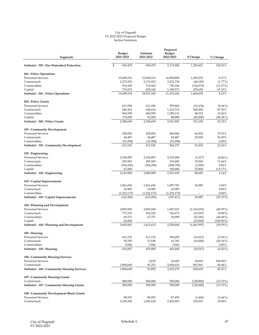| Segments                                         |                | <b>Budget</b><br>2021-2022 | Estimate<br>2021-2022 | Proposed<br><b>Budget</b><br>2022-2023 | \$ Change   | $%$ Change   |
|--------------------------------------------------|----------------|----------------------------|-----------------------|----------------------------------------|-------------|--------------|
| Subtotal: 053: Fire Watershed Protection         | $\mathfrak{s}$ | 945,479                    | 945,479               | 2,174,900                              | 1,229,421   | 130.03%      |
| 061 : Police Operations                          |                |                            |                       |                                        |             |              |
| <b>Personnel Services</b>                        |                | 15,600,516                 | 15,600,516            | 16,890,809                             | 1,290,293   | 8.27%        |
| Contractuals                                     |                | 2,272,923                  | 2,176,923             | 2,232,738                              | (40, 185)   | (1.77%)      |
| Commodities                                      |                | 914,180                    | 714,562               | 790,106                                | (124, 074)  | (13.57%)     |
| Capital                                          |                | 710,915                    | 429,342               | 1,189,573                              | 478,658     | 67.33%       |
| Subtotal: 061: Police Operations                 |                | 19,498,534                 | 18,921,343            | 21,103,226                             | 1,604,692   | 8.23%        |
| 062 : Police Grants                              |                |                            |                       |                                        |             |              |
| <b>Personnel Services</b>                        |                | 611,596                    | 611,596               | 559,962                                | (51, 634)   | $(8.44\%)$   |
| Contractuals                                     |                | 646,414                    | 646,414               | 1,214,714                              | 568,300     | 87.92%       |
| Commodities                                      |                | 960,599                    | 960,599               | 1,059,131                              | 98,532      | 10.26%       |
| Capital                                          |                | 170,000                    | 82,000                | 88,000                                 | (82,000)    | $(48.24\%)$  |
| Subtotal: 062: Police Grants                     |                | 2,388,609                  | 2,300,609             | 2,921,807                              | 533,198     | 22.32%       |
| 101: Community Development                       |                |                            |                       |                                        |             |              |
| <b>Personnel Services</b>                        |                | 420,056                    | 420,056               | 486,886                                | 66,830      | 15.91%       |
| Contractuals                                     |                | 44,487                     | 44,487                | 69,487                                 | 25,000      | 56.20%       |
| Commodities                                      |                | (51,998)                   | (51,998)              | (51,998)                               |             | $0.00\%$     |
| <b>Subtotal: 101: Community Development</b>      |                | 412,545                    | 412,545               | 504,375                                | 91,830      | 22.26%       |
| 102: Engineering                                 |                |                            |                       |                                        |             |              |
| <b>Personnel Services</b>                        |                | 2,106,803                  | 2,106,803             | 2,105,486                              | (1,317)     | $(0.06\%)$   |
| Contractuals                                     |                | 293,502                    | 285,502               | 333,002                                | 39,500      | 13.46%       |
| Commodities                                      |                | (304, 296)                 | (304, 296)            | (306, 796)                             | (2,500)     | 0.82%        |
| Capital                                          |                | 47,000                     |                       | 100,000                                | 53,000      | 112.77%      |
| Subtotal: 102: Engineering                       |                | 2,143,009                  | 2,088,009             | 2,231,692                              | 88,683      | 4.14%        |
| 103 : Capital Improvements                       |                |                            |                       |                                        |             |              |
| <b>Personnel Services</b>                        |                | 1,061,696                  | 1,061,696             | 1,097,781                              | 36,085      | 3.40%        |
| Contractuals                                     |                | 16,983                     | 16,983                | 16,983                                 |             | 0.00%        |
| Commodities                                      |                | (1,222,175)                | (1,222,175)           | (1,222,175)                            |             | $0.00\%$     |
| Subtotal: 103: Capital Improvements              |                | (143, 496)                 | (143, 496)            | (107, 411)                             | 36,085      | (25.15%)     |
| 104 : Planning and Development                   |                |                            |                       |                                        |             |              |
| <b>Personnel Services</b>                        |                | 2,803,040                  | 2,803,040             | 1,487,021                              | (1,316,019) | $(46.95\%)$  |
| Contractuals                                     |                | 777,270                    | 542,222               | 706,673                                | (70, 597)   | $(9.08\%)$   |
| Commodities                                      |                | 69,371                     | 67,371                | 36,990                                 | (32, 381)   | $(46.68\%)$  |
| Capital                                          |                | 43,000                     |                       |                                        | (43,000)    | $(100.00\%)$ |
| Subtotal: 104: Planning and Development          |                | 3,692,681                  | 3,412,633             | 2,230,684                              | (1,461,997) | (39.59%)     |
| 105 : Housing                                    |                |                            |                       |                                        |             |              |
| <b>Personnel Services</b>                        |                | 411,176                    | 411,176               | 396.609                                | (14, 567)   | $(3.54\%)$   |
| Contractuals                                     |                | 59,785                     | 37,658                | 43,785                                 | (16,000)    | (26.76%)     |
| Commodities                                      |                | 5,046                      | 5,046                 | 5,046                                  |             | $0.00\%$     |
| Subtotal: 105: Housing                           |                | 476,007                    | 453,880               | 445,440                                | (30, 567)   | $(6.42\%)$   |
| 106 : Community Housing Services                 |                |                            |                       |                                        |             |              |
| <b>Personnel Services</b>                        |                |                            | 2,639                 | 18,669                                 | 18,669      | 100.00%      |
| Contractuals                                     |                | 1,804,649                  | 81,253                | 2,606,610                              | 801,961     | 44.44%       |
| <b>Subtotal: 106: Community Housing Services</b> |                | 1,804,649                  | 83,892                | 2,625,279                              | 820,630     | 45.47%       |
| 107: Community Housing Grants                    |                |                            |                       |                                        |             |              |
| Contractuals                                     |                | 900,000                    | 900,000               | 780,000                                | (120,000)   | (13.33%)     |
| <b>Subtotal: 107: Community Housing Grants</b>   |                | 900,000                    | 900,000               | 780,000                                | (120,000)   | (13.33%)     |
| 108 : Community Development Block Grants         |                |                            |                       |                                        |             |              |
| <b>Personnel Services</b>                        |                | 88,953                     | 88,953                | 87,493                                 | (1,460)     | $(1.64\%)$   |
| Contractuals                                     |                | 2,169,340                  | 1,041,624             | 2,403,603                              | 234,263     | 10.80%       |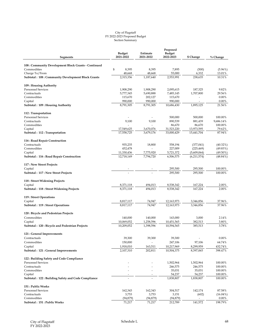| Segments                                                                   | Budget<br>2021-2022    | Estimate<br>2021-2022 | Proposed<br><b>Budget</b><br>2022-2023 | \$ Change                 | $%$ Change              |
|----------------------------------------------------------------------------|------------------------|-----------------------|----------------------------------------|---------------------------|-------------------------|
|                                                                            |                        |                       |                                        |                           |                         |
| 108 : Community Development Block Grants - Continued                       |                        |                       |                                        |                           |                         |
| Commodities                                                                | \$<br>8,395            | 8,395                 | 7,895                                  | (500)                     | $(5.96\%)$              |
| Charge To/From<br><b>Subtotal: 108: Community Development Block Grants</b> | 48,668                 | 48,668                | 55,000                                 | 6,332                     | 13.01%<br>10.31%        |
|                                                                            | 2,315,356              | 1,187,640             | 2,553,991                              | 238,635                   |                         |
| 109 : Housing Authority                                                    |                        |                       |                                        |                           |                         |
| <b>Personnel Services</b>                                                  | 1,908,290              | 1,908,290             | 2,095,615                              | 187,325                   | 9.82%                   |
| Contractuals                                                               | 5,777,345              | 5,690,888             | 7,485,145                              | 1,707,800                 | 29.56%                  |
| Commodities                                                                | 115,670                | 202,127               | 115,670                                |                           | 0.00%                   |
| Capital<br>Subtotal: 109: Housing Authority                                | 990,000<br>8,791,305   | 990,000<br>8,791,305  | 990,000<br>10,686,430                  | 1,895,125                 | $0.00\%$<br>21.56%      |
|                                                                            |                        |                       |                                        |                           |                         |
| 112: Transportation                                                        |                        |                       |                                        |                           |                         |
| <b>Personnel Services</b>                                                  |                        |                       | 500,000                                | 500,000                   | 100.00%                 |
| Contractuals                                                               | 9,100                  | 9,100                 | 890,539                                | 881,439                   | 9,686.14%               |
| Commodities<br>Capital                                                     | 17,549,625             | 3,670,076             | 86,670<br>31,523,220                   | 86,670<br>13,973,595      | 100.00%<br>79.62%       |
| Subtotal: 112: Transportation                                              | 17,558,725             | 3,679,176             | 33,000,429                             | 15,441,704                | 87.94%                  |
|                                                                            |                        |                       |                                        |                           |                         |
| 116 : Road Repair Construction                                             |                        |                       |                                        |                           |                         |
| Contractuals                                                               | 935,235                | 18,800                | 558,194                                | (377, 041)                | $(40.32\%)$             |
| Commodities<br>Capital                                                     | 452,478<br>11,330,436  | 7,775,920             | 227,009<br>5,721,372                   | (225, 469)<br>(5,609,064) | (49.83%)<br>$(49.50\%)$ |
| <b>Subtotal: 116: Road Repair Construction</b>                             | 12,718,149             | 7,794,720             | 6,506,575                              | (6,211,574)               | $(48.84\%)$             |
|                                                                            |                        |                       |                                        |                           |                         |
| 117: New Street Projects                                                   |                        |                       |                                        |                           |                         |
| Capital                                                                    |                        |                       | 295,500                                | 295,500                   | 100.00%                 |
| Subtotal: 117: New Street Projects                                         |                        |                       | 295,500                                | 295,500                   | 100.00%                 |
| 118 : Street Widening Projects                                             |                        |                       |                                        |                           |                         |
| Capital                                                                    | 8,371,118              | 494,013               | 8,538,342                              | 167,224                   | 2.00%                   |
| Subtotal: 118: Street Widening Projects                                    | 8,371,118              | 494,013               | 8,538,342                              | 167,224                   | 2.00%                   |
|                                                                            |                        |                       |                                        |                           |                         |
| 119 : Street Operations                                                    |                        |                       |                                        |                           |                         |
| Capital<br>Subtotal: 119: Street Operations                                | 8,817,117<br>8,817,117 | 74,947<br>74,947      | 12,163,973<br>12,163,973               | 3,346,856<br>3,346,856    | 37.96%<br>37.96%        |
|                                                                            |                        |                       |                                        |                           |                         |
| 120 : Bicycle and Pedestrian Projects                                      |                        |                       |                                        |                           |                         |
| Commodities                                                                | 140,000                | 140,000               | 143,000                                | 3,000                     | 2.14%                   |
| Capital                                                                    | 10,069,052             | 1,258,596             | 10,451,565                             | 382,513                   | 3.80%                   |
| Subtotal: 120: Bicycle and Pedestrian Projects                             | 10,209,052             | 1,398,596             | 10,594,565                             | 385,513                   | 3.78%                   |
| 121 : General Improvements                                                 |                        |                       |                                        |                           |                         |
| Contractuals                                                               | 39,300                 | 39,300                | 39,300                                 |                           | $0.00\%$                |
| Commodities                                                                | 150,000                |                       | 247,106                                | 97,106                    | 64.74%                  |
| Capital                                                                    | 1,918,010              | 163,511               | 10,217,969                             | 8,299,959                 | 432.74%                 |
| Subtotal: 121: General Improvements                                        | 2,107,310              | 202,811               | 10,504,375                             | 8,397,065                 | 398.47%                 |
|                                                                            |                        |                       |                                        |                           |                         |
| 122 : Building Safety and Code Compliance                                  |                        |                       |                                        |                           |                         |
| <b>Personnel Services</b><br>Contractuals                                  |                        |                       | 1,502,964<br>246,575                   | 1,502,964<br>246,575      | 100.00%<br>100.00%      |
| Commodities                                                                |                        |                       | 35,031                                 | 35,031                    | 100.00%                 |
| Capital                                                                    |                        |                       | 54,237                                 | 54,237                    | 100.00%                 |
| Subtotal: 122: Building Safety and Code Compliance                         |                        |                       | 1,838,807                              | 1,838,807                 | 100.00%                 |
| 151 : Public Works                                                         |                        |                       |                                        |                           |                         |
| <b>Personnel Services</b>                                                  | 162,343                | 162,343               | 304,517                                | 142,174                   | 87.58%                  |
| Contractuals                                                               | 3,753                  | 3,753                 | 3,151                                  | (602)                     | $(16.04\%)$             |
| Commodities                                                                | (94, 879)              | (94, 879)             | (94, 879)                              |                           | $0.00\%$                |
| Subtotal: 151: Public Works                                                | 71,217                 | 71,217                | 212,789                                | 141,572                   | 198.79%                 |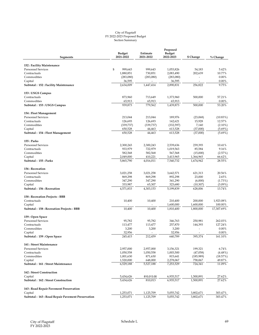|                                                         | <b>Budget</b> | Proposed<br><b>Budget</b> |            |                          |             |
|---------------------------------------------------------|---------------|---------------------------|------------|--------------------------|-------------|
| Segments                                                | 2021-2022     | Estimate<br>2021-2022     | 2022-2023  | \$ Change                | $%$ Change  |
|                                                         |               |                           |            |                          |             |
| 152 : Facility Maintenance<br><b>Personnel Services</b> | \$<br>999,643 | 999,643                   | 1,053,826  | 54,183                   | 5.42%       |
| Contractuals                                            | 1,880,851     | 730,851                   | 2,083,490  | 202,639                  | 10.77%      |
| Commodities                                             | (283,080)     | (283,080)                 | (283,080)  |                          | $0.00\%$    |
| Capital                                                 | 36,595        |                           | 36,595     |                          | $0.00\%$    |
| Subtotal: 152: Facility Maintenance                     | 2,634,009     | 1,447,414                 | 2,890,831  | 256,822                  | 9.75%       |
| 153 : USGS Campus                                       |               |                           |            |                          |             |
| Contractuals                                            | 873,960       | 713,649                   | 1,373,960  | 500,000                  | 57.21%      |
| Commodities                                             | 65,913        | 65,913                    | 65,913     |                          | $0.00\%$    |
| Subtotal: 153: USGS Campus                              | 939,873       | 779,562                   | 1,439,873  | 500,000                  | 53.20%      |
| 154 : Fleet Management                                  |               |                           |            |                          |             |
| <b>Personnel Services</b>                               | 213,044       | 213,044                   | 189,976    | (23,068)                 | $(10.83\%)$ |
| Contractuals                                            | 126,693       | 126,693                   | 142,621    | 15,928                   | 12.57%      |
| Commodities                                             | (339,737)     | (339, 737)                | (332, 597) | 7,140                    | $(2.10\%)$  |
| Capital                                                 | 650,528       | 44,463                    | 613,528    | (37,000)                 | $(5.69\%)$  |
| Subtotal: 154: Fleet Management                         | 650,528       | 44,463                    | 613,528    | (37,000)                 | $(5.69\%)$  |
| <b>155: Parks</b>                                       |               |                           |            |                          |             |
| <b>Personnel Services</b>                               | 2,300,243     | 2,300,243                 | 2,539,636  | 239,393                  | 10.41%      |
| Contractuals                                            | 933,979       | 722,979                   | 1,019,563  | 85,584                   | 9.16%       |
| Commodities                                             | 582,568       | 582,568                   | 567,568    | (15,000)                 | (2.57%)     |
| Capital                                                 | 2,049,000     | 410,221                   | 3,413,965  | 1,364,965                | 66.62%      |
| Subtotal: 155: Parks                                    | 5,865,790     | 4,016,011                 | 7,540,732  | 1,674,942                | 28.55%      |
| 156 : Recreation                                        |               |                           |            |                          |             |
| <b>Personnel Services</b>                               | 3,021,258     | 3,021,258                 | 3,642,571  | 621,313                  | 20.56%      |
| Contractuals                                            | 869,298       | 869,298                   | 892,298    | 23,000                   | 2.65%       |
| Commodities                                             | 347,290       | 347,290                   | 341,290    | (6,000)                  | (1.73%)     |
| Capital                                                 | 333,987       | 65,307                    | 323,680    | (10,307)                 | $(3.09\%)$  |
| Subtotal: 156: Recreation                               | 4,571,833     | 4,303,153                 | 5,199,839  | 628,006                  | 13.74%      |
| 158 : Recreation Projects - BBB                         |               |                           |            |                          |             |
| Contractuals                                            | 10,400        | 10,400                    | 210,400    | 200,000                  | 1,923.08%   |
| Capital                                                 |               |                           | 1,600,000  | 1,600,000                | 100.00%     |
| Subtotal: 158: Recreation Projects - BBB                | 10,400        | 10,400                    | 1,810,400  | 1,800,000                | 17,307.69%  |
| 159 : Open Space                                        |               |                           |            |                          |             |
| <b>Personnel Services</b>                               | 95,782        | 95,782                    | 346,763    | 250,981                  | 262.03%     |
| Contractuals                                            | 113,477       | 113,477                   | 257,870    | 144,393                  | 127.24%     |
| Commodities                                             | 3,200         | 3,200                     | 3,200      |                          | 0.00%       |
| Capital                                                 | 32,956        |                           | 32,956     | $\overline{\phantom{a}}$ | $0.00\%$    |
| Subtotal: 159: Open Space                               | 245,415       | 212.459                   | 640,789    | 395,374                  | 161.10%     |
| 161 : Street Maintenance                                |               |                           |            |                          |             |
| <b>Personnel Services</b>                               | 2,957,000     | 2,957,000                 | 3,156,321  | 199,321                  | 6.74%       |
| Contractuals                                            | 1,050,558     | 1,050,558                 | 1,003,500  | (47,058)                 | $(4.48\%)$  |
| Commodities                                             | 1,001,630     | 871,630                   | 815,641    | (185,989)                | (18.57%)    |
| Capital                                                 | 1,520,000     | 648,000                   | 2,278,067  | 758,067                  | 49.87%      |
| Subtotal: 161: Street Maintenance                       | 6,529,188     | 5,527,188                 | 7,253,529  | 724,341                  | 11.09%      |
| 162 : Street Construction                               |               |                           |            |                          |             |
| Capital                                                 | 5,434,626     | 810,013.00                | 6,935,517  | 1,500,891                | 27.62%      |
| Subtotal: 162: Street Construction                      | 5,434,626     | 810,013                   | 6,935,517  | 1,500,891                | 27.62%      |
| 163 : Road Repair Pavement Preservation                 |               |                           |            |                          |             |
| Capital                                                 | 1,253,071     | 1,125,709                 | 5,055,742  | 3,802,671                | 303.47%     |
| Subtotal: 163: Road Repair Pavement Preservation        | 1,253,071     | 1,125,709                 | 5,055,742  | 3,802,671                | 303.47%     |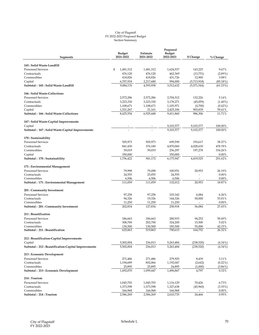| Segments                                                | <b>Budget</b><br>2021-2022 | Estimate<br>2021-2022 | Proposed<br><b>Budget</b><br>2022-2023 | \$ Change          | $%$ Change               |
|---------------------------------------------------------|----------------------------|-----------------------|----------------------------------------|--------------------|--------------------------|
|                                                         |                            |                       |                                        |                    |                          |
| 165 : Solid Waste-Landfill<br><b>Personnel Services</b> | \$<br>1,481,312            | 1,481,312             | 1,624,537                              | 143,225            | 9.67%                    |
| Contractuals                                            | 476,120                    | 476,120               | 462,369                                | (13,751)           | (2.89%)                  |
| Commodities                                             | 418,826                    | 418,826               | 431,726                                | 12,900             | 3.08%                    |
| Capital                                                 | 6,707,918                  | 2,217,680             | 994,000                                | (5,713,918)        | (85.18%)                 |
| Subtotal: 165: Solid Waste-Landfill                     | 9,084,176                  | 4,593,938             | 3,512,632                              | (5,571,544)        | $(61.33\%)$              |
| 166 : Solid Waste-Collections                           |                            |                       |                                        |                    |                          |
| <b>Personnel Services</b>                               | 2,572,286                  | 2,572,286             | 2,704,512                              | 132.226            | 5.14%                    |
| Contractuals                                            | 3,223,330                  | 3,223,330             | 3,178,271                              | (45,059)           | $(1.40\%)$               |
| Commodities                                             | 1,108,671                  | 1,108,671             | 1,103,971                              | (4,700)<br>903,839 | $(0.42\%)$<br>59.41%     |
| Capital<br>Subtotal: 166: Solid Waste-Collections       | 1,521,267<br>8,425,554     | 21,161<br>6,925,448   | 2,425,106<br>9,411,860                 | 986,306            | 11.71%                   |
| 167 : Solid Waste-Capital Improvements                  |                            |                       |                                        |                    |                          |
| Capital                                                 | $\overline{\phantom{a}}$   |                       | 9,103,577                              | 9,103,577          | 100.00%                  |
| Subtotal: 167: Solid Waste-Capital Improvements         |                            |                       | 9,103,577                              | 9,103,577          | 100.00%                  |
| 170 : Sustainability                                    |                            |                       |                                        |                    |                          |
| <b>Personnel Services</b>                               | 505,973                    | 505,973               | 699,590                                | 193,617            | 38.27%                   |
| Contractuals                                            | 841,430                    | 376,180               | 4,870,060                              | 4,028,630          | 478.78%                  |
| Commodities                                             | 59,019<br>350,000          | 59,019                | 256,297                                | 197,278            | 334.26%<br>$0.00\%$      |
| Capital<br>Subtotal: 170: Sustainability                | 1,756,422                  | 941,172               | 350,000<br>6,175,947                   | 4,419,525          | 251.62%                  |
|                                                         |                            |                       |                                        |                    |                          |
| 171 : Environmental Management                          |                            |                       |                                        |                    |                          |
| <b>Personnel Services</b>                               | 79,998                     | 79,498                | 100,951                                | 20,953             | 26.19%<br>0.00%          |
| Contractuals<br>Commodities                             | 24,555<br>6,506            | 25,055<br>6,506       | 24,555<br>6,506                        |                    | $0.00\%$                 |
| Subtotal: 171: Environmental Management                 | 111,059                    | 111,059               | 132,012                                | 20,953             | 18.87%                   |
| 201: Community Investment                               |                            |                       |                                        |                    |                          |
| <b>Personnel Services</b>                               | 97,258                     | 97,258                | 103,342                                | 6,084              | 6.26%                    |
| Contractuals                                            | 94,326                     | 19,326                | 144,326                                | 50,000             | 53.01%                   |
| Commodities                                             | 11,250                     | 11,250                | 11,250                                 |                    | $0.00\%$                 |
| Subtotal: 201: Community Investment                     | 202,834                    | 127,834               | 258,918                                | 56,084             | 27.65%                   |
| 211: Beautification                                     |                            |                       |                                        |                    |                          |
| <b>Personnel Services</b><br>Contractuals               | 186,663<br>308,700         | 186,663<br>202,700    | 280,915<br>324,200                     | 94,252<br>15,500   | 50.49%<br>5.02%          |
| Commodities                                             | 130,500                    | 130,500               | 185,500                                | 55,000             | 42.15%                   |
| Subtotal: 211: Beautification                           | 625,863                    | 519.863               | 790,615                                | 164,752            | 26.32%                   |
| 212 : Beautification-Capital Improvements               |                            |                       |                                        |                    |                          |
| Capital                                                 | 5,502,004                  | 236,013               | 5,263,484                              | (238, 520)         | $(4.34\%)$               |
| Subtotal: 212: Beautification-Capital Improvements      | 5,502,004                  | 236,013               | 5,263,484                              | (238, 520)         | $(4.34\%)$               |
| 213 : Economic Development                              |                            |                       |                                        |                    |                          |
| <b>Personnel Services</b>                               | 271,486                    | 271,486               | 279,925                                | 8,439              | 3.11%                    |
| Contractuals<br>Commodities                             | 1,194,689<br>25,895        | 802,066<br>25,895     | 1,192,047<br>24,895                    | (2,642)<br>(1,000) | $(0.22\%)$<br>$(3.86\%)$ |
| Subtotal: 213: Economic Development                     | 1,492,070                  | 1,099,447             | 1,496,867                              | 4,797              | 0.32%                    |
| 214: Tourism                                            |                            |                       |                                        |                    |                          |
| <b>Personnel Services</b>                               | 1,045,703                  | 1,045,703             | 1,116,129                              | 70,426             | 6.73%                    |
| Contractuals                                            | 1,373,598                  | 1,373,598             | 1,327,638                              | (45,960)           | (3.35%)                  |
| Commodities                                             | 166,968                    | 166,968               | 166,968                                | -                  | $0.00\%$                 |
| Subtotal: 214: Tourism                                  | 2,586,269                  | 2,586,269             | 2,610,735                              | 24,466             | 0.95%                    |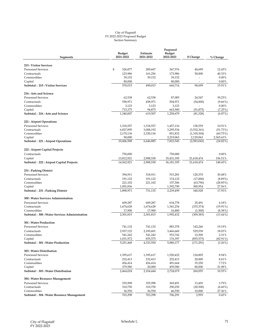|                                                     |    |                            |                       | Proposed                   |                          |                    |
|-----------------------------------------------------|----|----------------------------|-----------------------|----------------------------|--------------------------|--------------------|
| Segments                                            |    | <b>Budget</b><br>2021-2022 | Estimate<br>2021-2022 | <b>Budget</b><br>2022-2023 | \$ Change                | $%$ Change         |
|                                                     |    |                            |                       |                            |                          |                    |
| 215 : Visitor Services<br><b>Personnel Services</b> | \$ |                            |                       |                            |                          |                    |
|                                                     |    | 326,877                    | 289,607               | 367,576                    | 40,699                   | 12.45%             |
| Contractuals<br>Commodities                         |    | 123,986                    | 161,256               | 173,986                    | 50,000                   | 40.33%<br>$0.00\%$ |
|                                                     |    | 39,152                     | 39,152                | 39,152                     | $\overline{\phantom{a}}$ |                    |
| Capital                                             |    | 80,000                     |                       | 80,000                     |                          | $0.00\%$           |
| Subtotal: 215: Visitor Services                     |    | 570,015                    | 490,015               | 660,714                    | 90,699                   | 15.91%             |
| 216 : Arts and Science                              |    |                            |                       |                            |                          |                    |
| <b>Personnel Services</b>                           |    | 62,538                     | 62,538                | 87,085                     | 24,547                   | 39.25%             |
| Contractuals                                        |    | 558,971                    | 458,971               | 504,971                    | (54,000)                 | $(9.66\%)$         |
| Commodities                                         |    | 3,123                      | 3,123                 | 3,123                      |                          | 0.00%              |
| Capital                                             |    | 715,375                    | 94,875                | 663,500                    | (51, 875)                | (7.25%)            |
| Subtotal: 216: Arts and Science                     |    | 1,340,007                  | 619,507               | 1,258,679                  | (81,328)                 | (6.07%)            |
| 221 : Airport Operations                            |    |                            |                       |                            |                          |                    |
| <b>Personnel Services</b>                           |    | 1,318,557                  | 1,318,557             | 1,457,116                  | 138,559                  | 10.51%             |
| Contractuals                                        |    | 6,827,895                  | 3,008,192             | 3,295,534                  | (3,532,361)              | (51.73%)           |
| Commodities                                         |    | 2,170,136                  | 2,320,136             | 851,832                    | (1,318,304)              | (60.75%)           |
| Capital                                             |    | 90,000                     |                       | 2,219,063                  | 2,129,063                | 2,365.63%          |
| <b>Subtotal: 221: Airport Operations</b>            |    | 10,406,588                 | 6,646,885             | 7,823,545                  | (2,583,043)              | (24.82%)           |
| 222 : Airport Capital Projects                      |    |                            |                       |                            |                          |                    |
| Contractuals                                        |    | 750,000                    |                       | 750,000                    |                          | 0.00%              |
| Capital                                             |    | 13,812,921                 | 2,908,538             | 35,431,395                 | 21,618,474               | 156.51%            |
| Subtotal: 222: Airport Capital Projects             |    | 14,562,921                 | 2,908,538             | 36,181,395                 | 21,618,474               | 148.45%            |
|                                                     |    |                            |                       |                            |                          |                    |
| 231 : Parking District<br><b>Personnel Services</b> |    | 394,911                    | 318,911               | 515,281                    | 120,370                  | 30.48%             |
| Contractuals                                        |    | 191,122                    | 191,122               | 174,122                    | (17,000)                 | $(8.89\%)$         |
| Commodities                                         |    | 221,102                    | 221,102               | 157,306                    | (63,796)                 | (28.85%)           |
| Capital                                             |    | 1,091,836                  |                       | 1,392,790                  | 300,954                  | 27.56%             |
| Subtotal: 231: Parking District                     |    | 1,898,971                  | 731,135               | 2,239,499                  | 340,528                  | 17.93%             |
|                                                     |    |                            |                       |                            |                          |                    |
| 300: Water Services Administration                  |    |                            |                       |                            |                          |                    |
| <b>Personnel Services</b>                           |    | 609,287                    | 609,287               | 634,778                    | 25,491                   | 4.18%              |
| Contractuals                                        |    | 1,674,628                  | 1,674,628             | 1,341,254                  | (333, 374)               | $(19.91\%)$        |
| Commodities                                         |    | 17,900                     | 17,900                | 16,400                     | (1,500)                  | $(8.38\%)$         |
| Subtotal: 300: Water Services Administration        |    | 2,301,815                  | 2,301,815             | 1,992,432                  | (309, 383)               | $(13.44\%)$        |
| 301 : Water Production                              |    |                            |                       |                            |                          |                    |
| <b>Personnel Services</b>                           |    | 741,132                    | 741,132               | 883,378                    | 142,246                  | 19.19%             |
| Contractuals                                        |    | 2,937,122                  | 2,185,601             | 3,466,660                  | 529,538                  | 18.03%             |
| Commodities                                         |    | 541,242                    | 541,242               | 553,742                    | 12,500                   | 2.31%              |
| Capital                                             |    | 1,031,972                  | 855,575               | 176,397                    | (855, 575)               | $(82.91\%)$        |
| Subtotal: 301: Water Production                     |    | 5,251,468                  | 4,323,550             | 5,080,177                  | (171, 291)               | $(3.26\%)$         |
| 303: Water Distribution                             |    |                            |                       |                            |                          |                    |
| <b>Personnel Services</b>                           |    | 1,395,617                  | 1,395,617             | 1,520,422                  | 124,805                  | 8.94%              |
| Contractuals                                        |    | 232,413                    | 232,413               | 252,413                    | 20,000                   | 8.61%              |
| Commodities                                         |    | 456,414                    | 456,414               | 491,664                    | 35,250                   | 7.72%              |
| Capital                                             |    | 379,580                    | 20,000                | 459,580                    | 80,000                   | 21.08%             |
| Subtotal: 303: Water Distribution                   |    | 2,464,024                  | 2,104,444             | 2,724,079                  | 260,055                  | 10.55%             |
| 304 : Water Resource Management                     |    |                            |                       |                            |                          |                    |
| <b>Personnel Services</b>                           |    | 355,998                    | 355,998               | 369,491                    | 13,493                   | 3.79%              |
| Contractuals                                        |    | 310,750                    | 310,750               | 290,250                    | (20,500)                 | $(6.60\%)$         |
| Commodities                                         |    | 36,550                     | 36,550                | 46,550                     | 10,000                   | 27.36%             |
| Subtotal: 304: Water Resource Management            |    | 703,298                    | 703,298               | 706,291                    | 2,993                    | 0.43%              |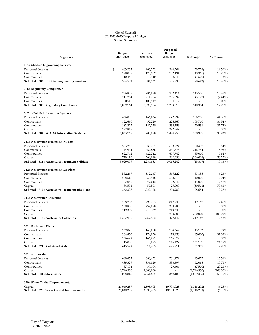|                                               |                            | Estimate           | Proposed                   |                      |                         |
|-----------------------------------------------|----------------------------|--------------------|----------------------------|----------------------|-------------------------|
| Segments                                      | <b>Budget</b><br>2021-2022 | 2021-2022          | <b>Budget</b><br>2022-2023 | \$ Change            | $%$ Change              |
|                                               |                            |                    |                            |                      |                         |
| 305 : Utilities Engineering Services          |                            |                    |                            |                      |                         |
| <b>Personnel Services</b>                     | \$<br>403,232<br>170,859   | 403,232<br>170,859 | 344,504                    | (58, 728)            | $(14.56\%)$             |
| Contractuals<br>Commodities                   |                            |                    | 152,494                    | (18, 365)            | (10.75%)                |
| Subtotal: 305: Utilities Engineering Services | 10,440<br>584,531          | 10,440<br>584,531  | 8,840<br>505,838           | (1,600)<br>(78, 693) | (15.33%)<br>$(13.46\%)$ |
|                                               |                            |                    |                            |                      |                         |
| 306 : Regulatory Compliance                   |                            |                    |                            |                      |                         |
| <b>Personnel Services</b>                     | 786,888                    | 786,888            | 932,414                    | 145,526              | 18.49%                  |
| Contractuals                                  | 211,764                    | 211,764            | 206,592                    | (5, 172)             | $(2.44\%)$              |
| Commodities                                   | 100,512                    | 100,512            | 100,512                    |                      | $0.00\%$                |
| Subtotal: 306: Regulatory Compliance          | 1,099,164                  | 1,099,164          | 1,239,518                  | 140,354              | 12.77%                  |
| 307 : SCADA Information Systems               |                            |                    |                            |                      |                         |
| <b>Personnel Services</b>                     | 466,036                    | 466,036            | 672,792                    | 206,756              | 44.36%                  |
| Contractuals                                  | 122,660                    | 52,729             | 226,360                    | 103,700              | 84.54%                  |
| Commodities                                   | 182,225                    | 182,225            | 232,756                    | 50,531               | 27.73%                  |
| Capital                                       | 292,847                    |                    | 292,847                    |                      | $0.00\%$                |
| Subtotal: 307: SCADA Information Systems      | 1,063,768                  | 700,990            | 1,424,755                  | 360,987              | 33.93%                  |
| 311: Wastewater Treatment-Wildcat             |                            |                    |                            |                      |                         |
| <b>Personnel Services</b>                     | 533,267                    | 533,267            | 633,724                    | 100,457              | 18.84%                  |
| Contractuals                                  | 1,144,934                  | 762,856            | 1,361,678                  | 216,744              | 18.93%                  |
| Commodities                                   | 622,742                    | 622,742            | 657,742                    | 35,000               | 5.62%                   |
| Capital                                       | 728,116                    | 366,018            | 362,098                    | (366, 018)           | (50.27%)                |
| Subtotal: 311: Wastewater Treatment-Wildcat   | 3,029,059                  | 2,284,883          | 3,015,242                  | (13, 817)            | $(0.46\%)$              |
| 312 : Wastewater Treatment-Rio Plant          |                            |                    |                            |                      |                         |
| <b>Personnel Services</b>                     | 532,267                    | 532,267            | 565,422                    | 33,155               | 6.23%                   |
| Contractuals                                  | 568,518                    | 553,518            | 608,518                    | 40,000               | 7.04%                   |
| Commodities                                   | 77,042                     | 77,042             | 92,042                     | 15,000               | 19.47%                  |
| Capital                                       | 84,501                     | 59,501             | 25,000                     | (59, 501)            | (70.41%)                |
| Subtotal: 312: Wastewater Treatment-Rio Plant | 1,262,328                  | 1,222,328          | 1,290,982                  | 28,654               | 2.27%                   |
| 313: Wastewater Collection                    |                            |                    |                            |                      |                         |
| <b>Personnel Services</b>                     | 798,763                    | 798,763            | 817,930                    | 19,167               | 2.40%                   |
| Contractuals                                  | 239,880                    | 239,880            | 239,880                    |                      | 0.00%                   |
| Commodities                                   | 219,339                    | 219,339            | 219,339                    |                      | 0.00%                   |
| Capital                                       |                            |                    | 200,000                    | 200,000              | 100.00%                 |
| Subtotal: 313: Wastewater Collection          | 1,257,982                  | 1,257,982          | 1,477,149                  | 219,167              | 17.42%                  |
| 321 : Reclaimed Water                         |                            |                    |                            |                      |                         |
| <b>Personnel Services</b>                     | 169,070                    | 169,070            | 184,262                    | 15,192               | 8.99%                   |
| Contractuals                                  | 264,850                    | 174,850            | 179,850                    | (85,000)             | (32.09%)                |
| Commodities                                   | 166,672                    | 166,672            | 166,672                    |                      | $0.00\%$                |
| Capital                                       | 15,000                     | 3,873              | 146,127                    | 131,127              | 874.18%                 |
| Subtotal: 321: Reclaimed Water                | 615,592                    | 514,465            | 676,911                    | 61,319               | 9.96%                   |
| 331 : Stormwater                              |                            |                    |                            |                      |                         |
| <b>Personnel Services</b>                     | 688,452                    | 688,452            | 781,479                    | 93,027               | 13.51%                  |
| Contractuals                                  | 486,329                    | 836,329            | 538,397                    | 52,068               | 10.71%                  |
| Commodities                                   | 37,104                     | 37,104             | 29,604                     | (7,500)              | $(20.21\%)$             |
| Capital                                       | 1,796,930                  | 8,000,000          |                            | (1,796,930)          | $(100.00\%)$            |
| Subtotal: 331: Stormwater                     | 3,008,815                  | 9,561,885          | 1,349,480                  | (1,659,335)          | (55.15%)                |
|                                               |                            |                    |                            |                      |                         |
| 370 : Water Capital Improvements<br>Capital   | 21,049,257                 | 2,595,405          | 19,733,025                 | (1,316,232)          | (6.25%)                 |
| Subtotal: 370: Water Capital Improvements     | 21,049,257                 | 2,595,405          | 19,733,025                 | (1,316,232)          | (6.25%)                 |
|                                               |                            |                    |                            |                      |                         |